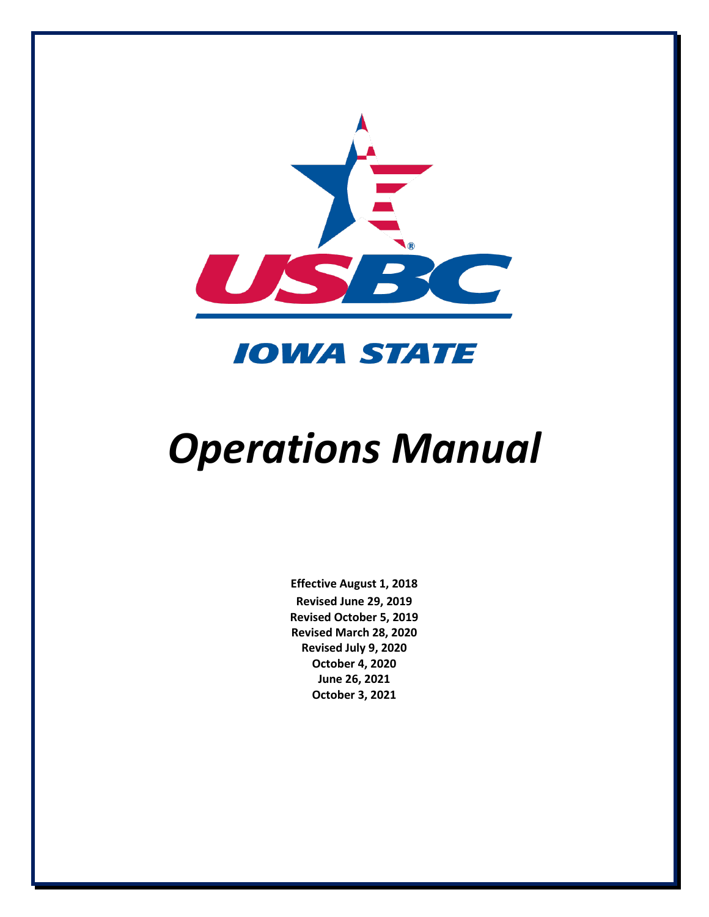

**IOWA STATE** 

## *Operations Manual*

**Effective August 1, 2018 Revised June 29, 2019 Revised October 5, 2019 Revised March 28, 2020 Revised July 9, 2020 October 4, 2020 June 26, 2021 October 3, 2021**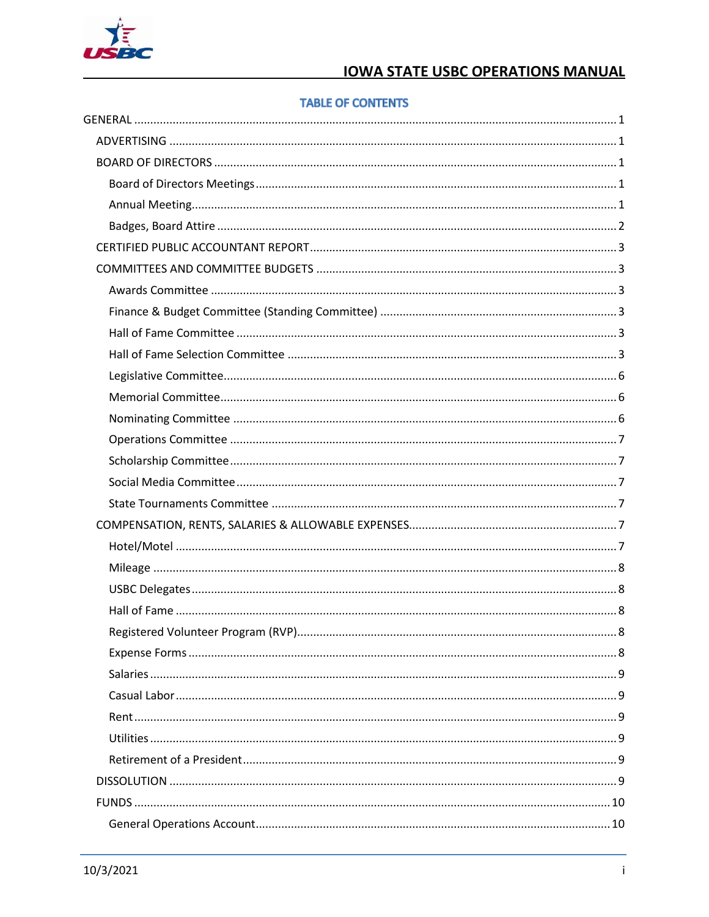

#### **TABLE OF CONTENTS**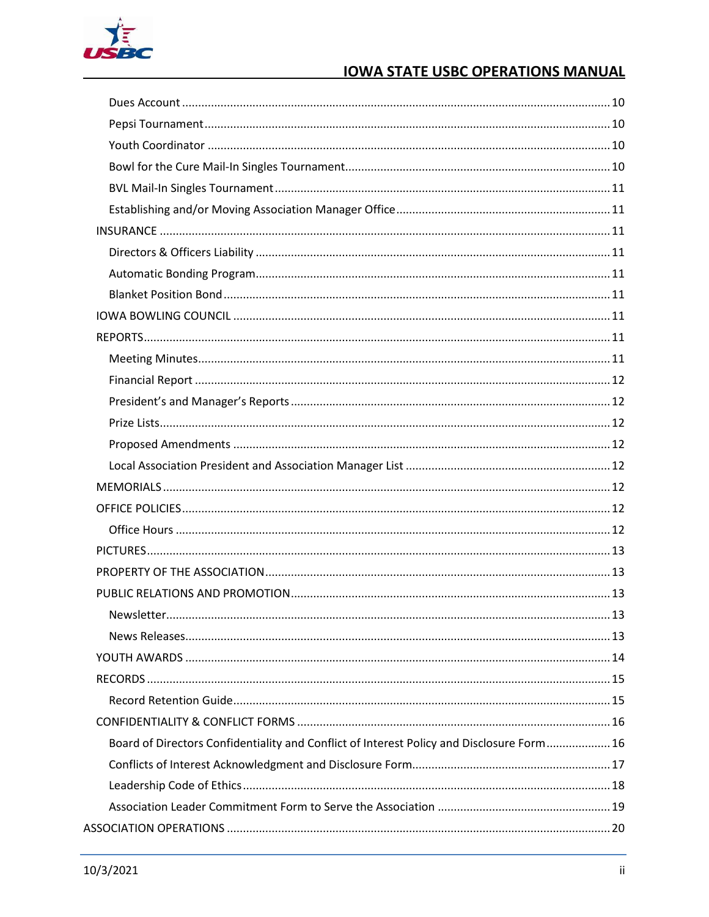

| Newsletter.                                                                               | .13 |
|-------------------------------------------------------------------------------------------|-----|
|                                                                                           |     |
|                                                                                           |     |
|                                                                                           |     |
|                                                                                           |     |
|                                                                                           |     |
| Board of Directors Confidentiality and Conflict of Interest Policy and Disclosure Form 16 |     |
|                                                                                           |     |
|                                                                                           |     |
|                                                                                           |     |
|                                                                                           |     |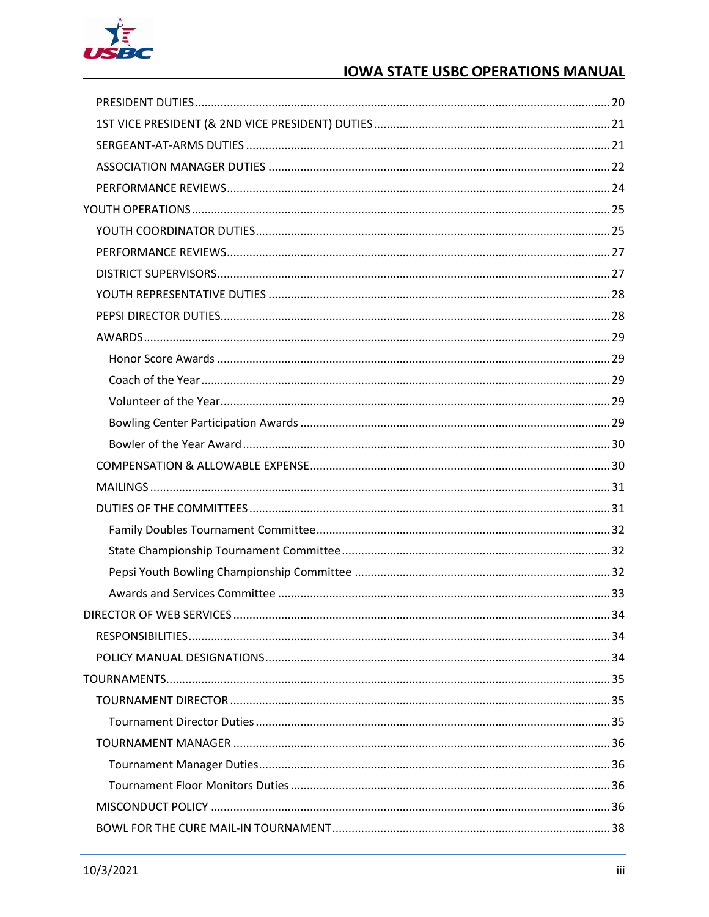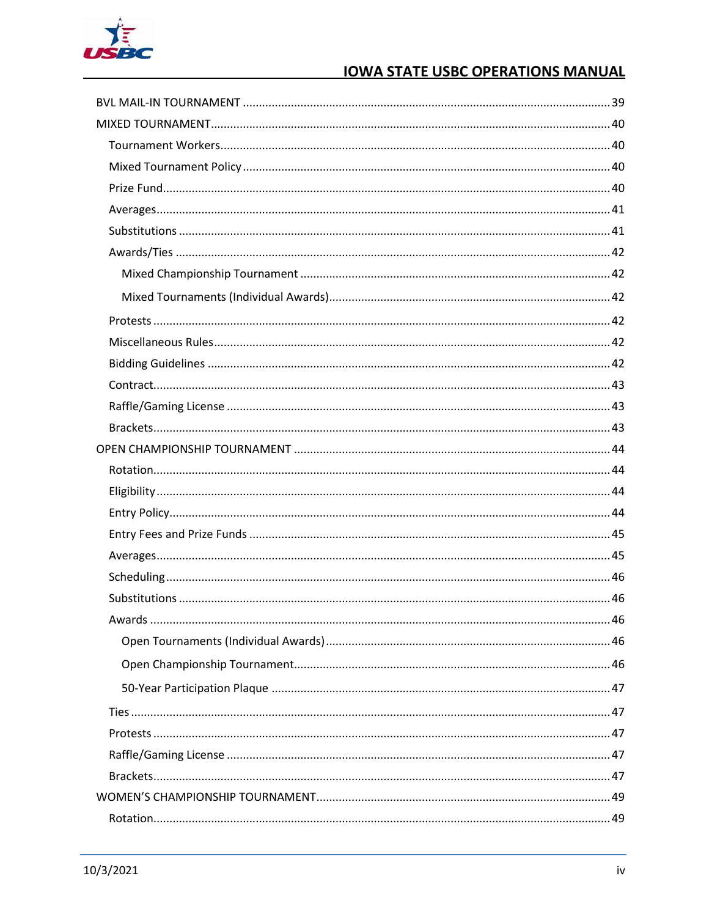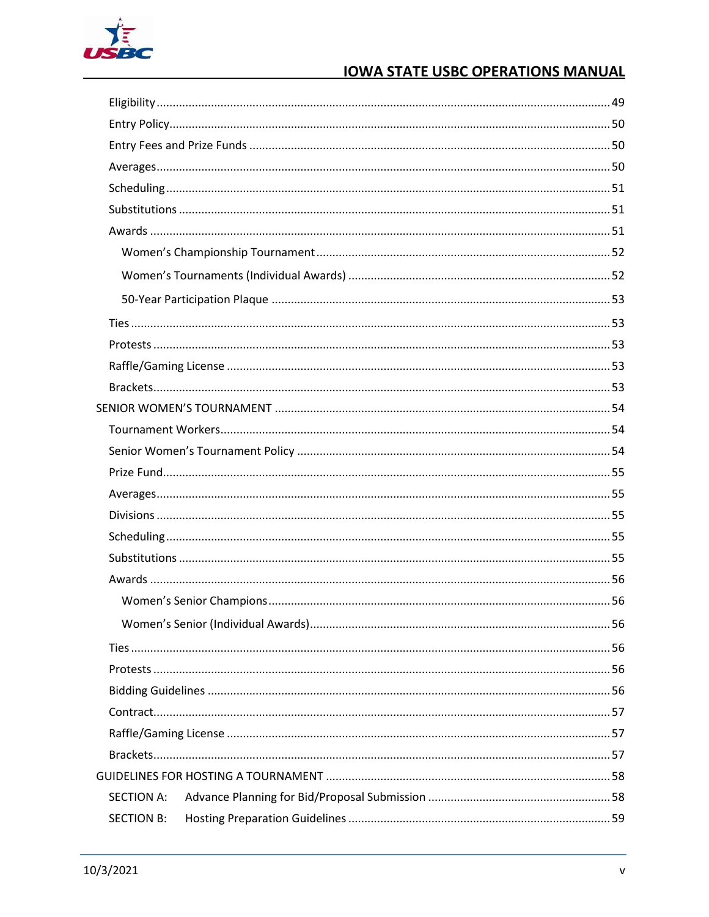

| <b>SECTION A:</b> |  |
|-------------------|--|
| <b>SECTION B:</b> |  |
|                   |  |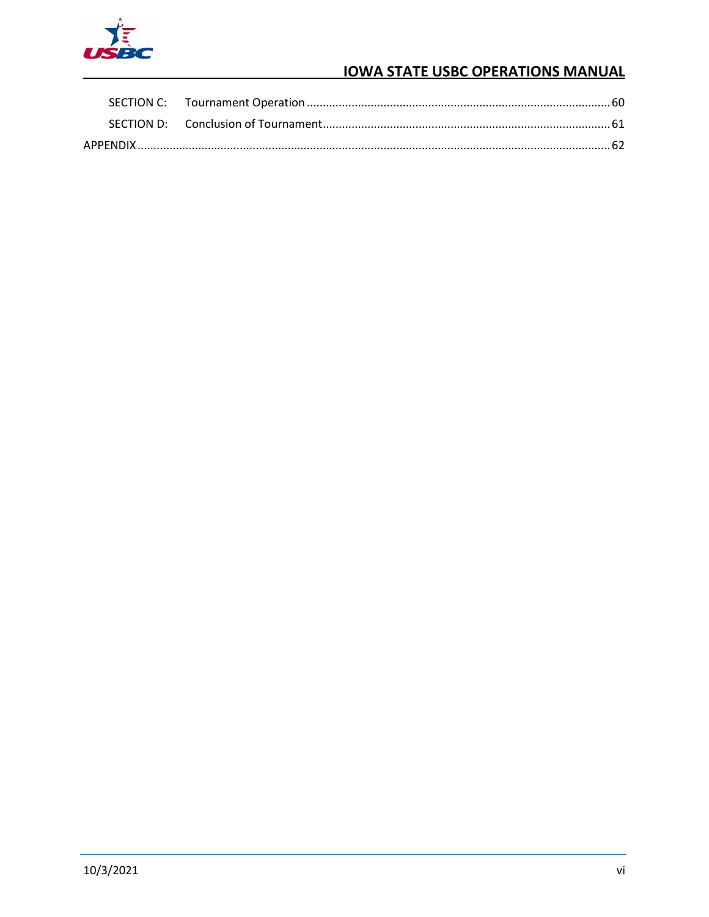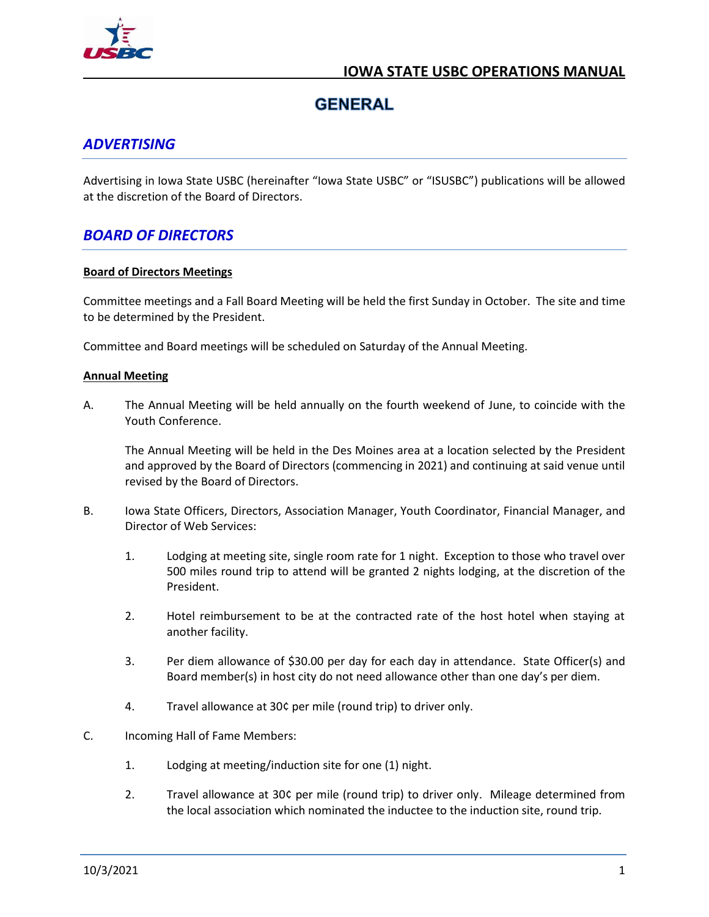

## **GENERAL**

## <span id="page-7-1"></span><span id="page-7-0"></span>*ADVERTISING*

Advertising in Iowa State USBC (hereinafter "Iowa State USBC" or "ISUSBC") publications will be allowed at the discretion of the Board of Directors.

## <span id="page-7-2"></span>*BOARD OF DIRECTORS*

#### <span id="page-7-3"></span>**Board of Directors Meetings**

Committee meetings and a Fall Board Meeting will be held the first Sunday in October. The site and time to be determined by the President.

Committee and Board meetings will be scheduled on Saturday of the Annual Meeting.

#### <span id="page-7-4"></span>**Annual Meeting**

A. The Annual Meeting will be held annually on the fourth weekend of June, to coincide with the Youth Conference.

The Annual Meeting will be held in the Des Moines area at a location selected by the President and approved by the Board of Directors (commencing in 2021) and continuing at said venue until revised by the Board of Directors.

- B. Iowa State Officers, Directors, Association Manager, Youth Coordinator, Financial Manager, and Director of Web Services:
	- 1. Lodging at meeting site, single room rate for 1 night. Exception to those who travel over 500 miles round trip to attend will be granted 2 nights lodging, at the discretion of the President.
	- 2. Hotel reimbursement to be at the contracted rate of the host hotel when staying at another facility.
	- 3. Per diem allowance of \$30.00 per day for each day in attendance. State Officer(s) and Board member(s) in host city do not need allowance other than one day's per diem.
	- 4. Travel allowance at 30¢ per mile (round trip) to driver only.
- C. Incoming Hall of Fame Members:
	- 1. Lodging at meeting/induction site for one (1) night.
	- 2. Travel allowance at 30¢ per mile (round trip) to driver only. Mileage determined from the local association which nominated the inductee to the induction site, round trip.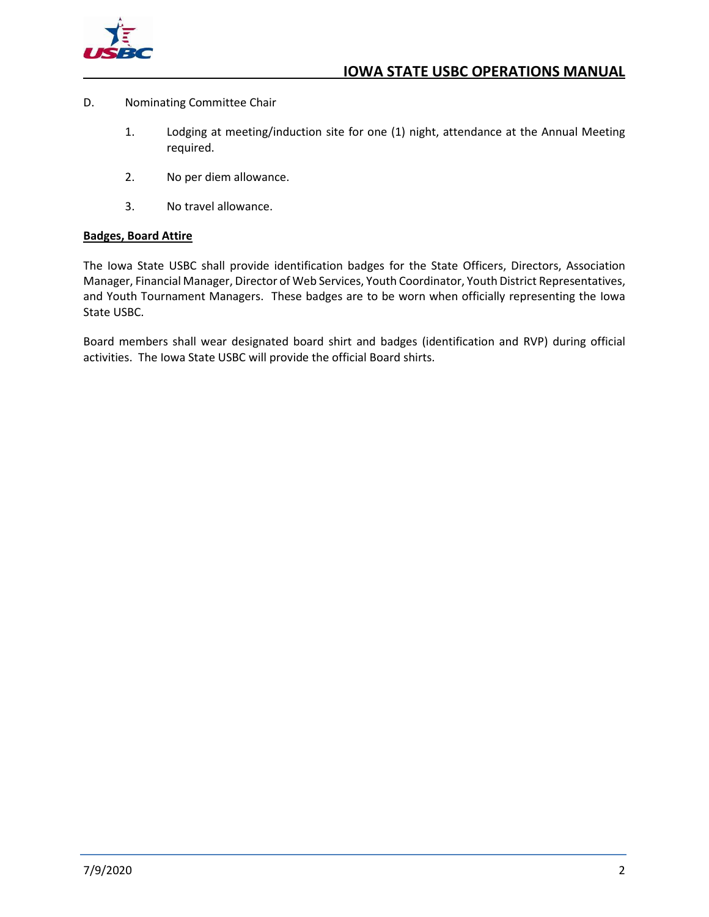

- D. Nominating Committee Chair
	- 1. Lodging at meeting/induction site for one (1) night, attendance at the Annual Meeting required.
	- 2. No per diem allowance.
	- 3. No travel allowance.

#### <span id="page-8-0"></span>**Badges, Board Attire**

The Iowa State USBC shall provide identification badges for the State Officers, Directors, Association Manager, Financial Manager, Director of Web Services, Youth Coordinator, Youth District Representatives, and Youth Tournament Managers. These badges are to be worn when officially representing the Iowa State USBC.

Board members shall wear designated board shirt and badges (identification and RVP) during official activities. The Iowa State USBC will provide the official Board shirts.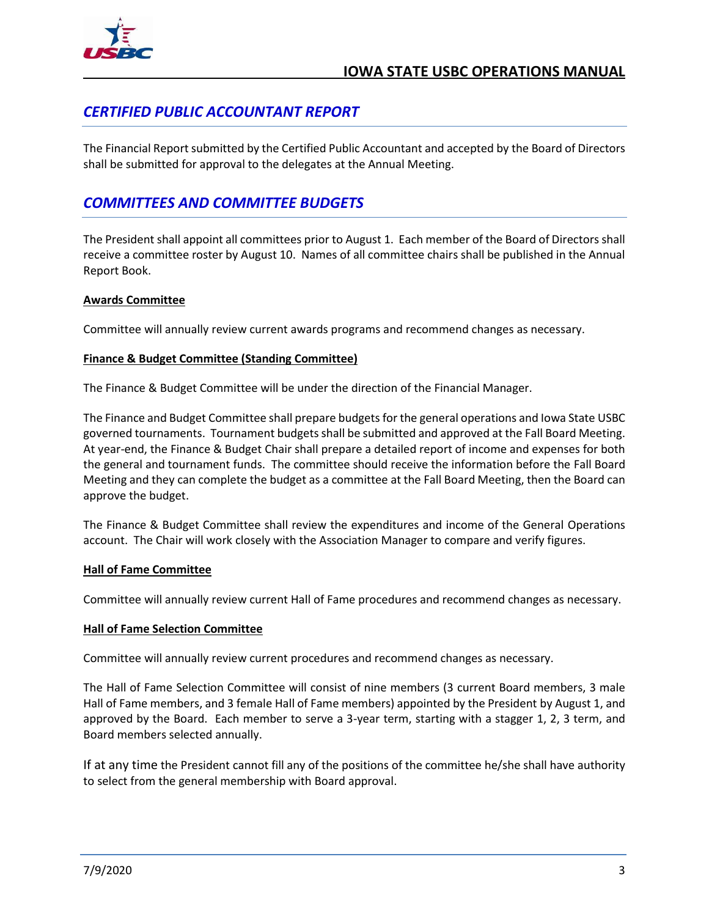

## <span id="page-9-0"></span>*CERTIFIED PUBLIC ACCOUNTANT REPORT*

The Financial Report submitted by the Certified Public Accountant and accepted by the Board of Directors shall be submitted for approval to the delegates at the Annual Meeting.

## <span id="page-9-1"></span>*COMMITTEES AND COMMITTEE BUDGETS*

The President shall appoint all committees prior to August 1. Each member of the Board of Directors shall receive a committee roster by August 10. Names of all committee chairs shall be published in the Annual Report Book.

#### <span id="page-9-2"></span>**Awards Committee**

Committee will annually review current awards programs and recommend changes as necessary.

#### <span id="page-9-3"></span>**Finance & Budget Committee (Standing Committee)**

The Finance & Budget Committee will be under the direction of the Financial Manager.

The Finance and Budget Committee shall prepare budgets for the general operations and Iowa State USBC governed tournaments. Tournament budgets shall be submitted and approved at the Fall Board Meeting. At year-end, the Finance & Budget Chair shall prepare a detailed report of income and expenses for both the general and tournament funds. The committee should receive the information before the Fall Board Meeting and they can complete the budget as a committee at the Fall Board Meeting, then the Board can approve the budget.

The Finance & Budget Committee shall review the expenditures and income of the General Operations account. The Chair will work closely with the Association Manager to compare and verify figures.

#### <span id="page-9-4"></span>**Hall of Fame Committee**

Committee will annually review current Hall of Fame procedures and recommend changes as necessary.

#### <span id="page-9-5"></span>**Hall of Fame Selection Committee**

Committee will annually review current procedures and recommend changes as necessary.

The Hall of Fame Selection Committee will consist of nine members (3 current Board members, 3 male Hall of Fame members, and 3 female Hall of Fame members) appointed by the President by August 1, and approved by the Board. Each member to serve a 3-year term, starting with a stagger 1, 2, 3 term, and Board members selected annually.

If at any time the President cannot fill any of the positions of the committee he/she shall have authority to select from the general membership with Board approval.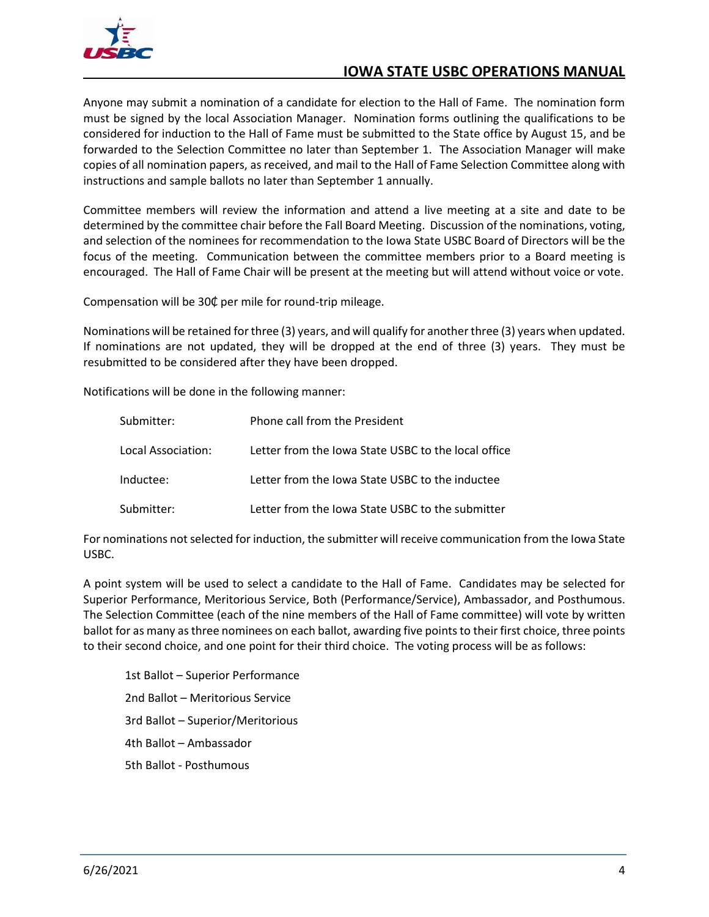

Anyone may submit a nomination of a candidate for election to the Hall of Fame. The nomination form must be signed by the local Association Manager. Nomination forms outlining the qualifications to be considered for induction to the Hall of Fame must be submitted to the State office by August 15, and be forwarded to the Selection Committee no later than September 1. The Association Manager will make copies of all nomination papers, as received, and mail to the Hall of Fame Selection Committee along with instructions and sample ballots no later than September 1 annually.

Committee members will review the information and attend a live meeting at a site and date to be determined by the committee chair before the Fall Board Meeting. Discussion of the nominations, voting, and selection of the nominees for recommendation to the Iowa State USBC Board of Directors will be the focus of the meeting. Communication between the committee members prior to a Board meeting is encouraged. The Hall of Fame Chair will be present at the meeting but will attend without voice or vote.

Compensation will be 30₵ per mile for round-trip mileage.

Nominations will be retained for three (3) years, and will qualify for another three (3) years when updated. If nominations are not updated, they will be dropped at the end of three (3) years. They must be resubmitted to be considered after they have been dropped.

Notifications will be done in the following manner:

| Submitter:         | Phone call from the President                       |
|--------------------|-----------------------------------------------------|
| Local Association: | Letter from the Iowa State USBC to the local office |
| Inductee:          | Letter from the Iowa State USBC to the inductee     |
| Submitter:         | Letter from the Iowa State USBC to the submitter    |

For nominations not selected for induction, the submitter will receive communication from the Iowa State USBC.

A point system will be used to select a candidate to the Hall of Fame. Candidates may be selected for Superior Performance, Meritorious Service, Both (Performance/Service), Ambassador, and Posthumous. The Selection Committee (each of the nine members of the Hall of Fame committee) will vote by written ballot for as many as three nominees on each ballot, awarding five points to their first choice, three points to their second choice, and one point for their third choice. The voting process will be as follows:

1st Ballot – Superior Performance 2nd Ballot – Meritorious Service 3rd Ballot – Superior/Meritorious 4th Ballot – Ambassador 5th Ballot - Posthumous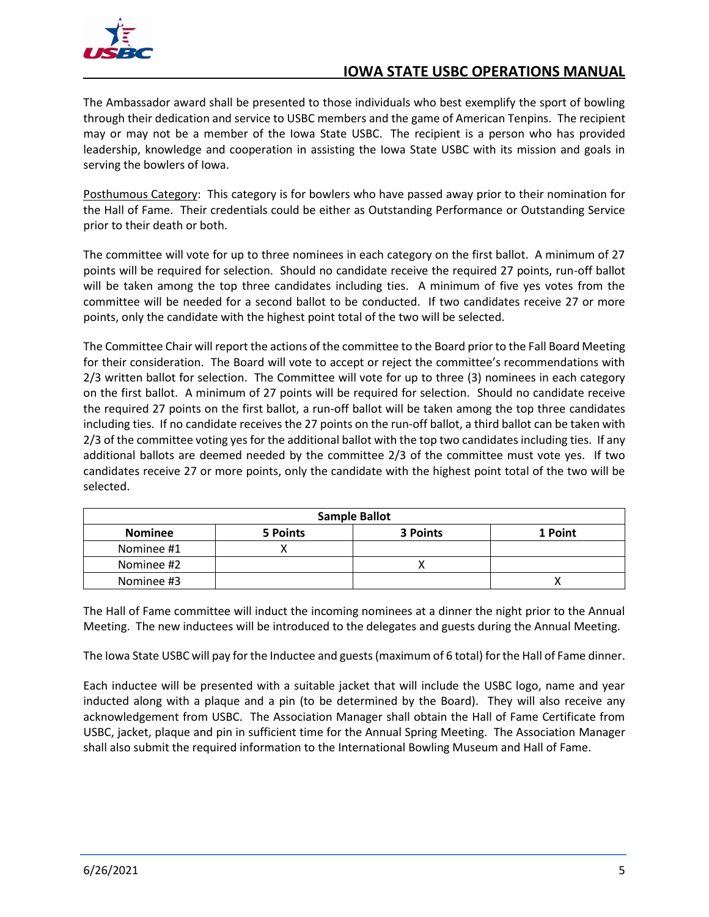

The Ambassador award shall be presented to those individuals who best exemplify the sport of bowling through their dedication and service to USBC members and the game of American Tenpins. The recipient may or may not be a member of the Iowa State USBC. The recipient is a person who has provided leadership, knowledge and cooperation in assisting the Iowa State USBC with its mission and goals in serving the bowlers of Iowa.

Posthumous Category: This category is for bowlers who have passed away prior to their nomination for the Hall of Fame. Their credentials could be either as Outstanding Performance or Outstanding Service prior to their death or both.

The committee will vote for up to three nominees in each category on the first ballot. A minimum of 27 points will be required for selection. Should no candidate receive the required 27 points, run-off ballot will be taken among the top three candidates including ties. A minimum of five yes votes from the committee will be needed for a second ballot to be conducted. If two candidates receive 27 or more points, only the candidate with the highest point total of the two will be selected.

The Committee Chair will report the actions of the committee to the Board prior to the Fall Board Meeting for their consideration. The Board will vote to accept or reject the committee's recommendations with 2/3 written ballot for selection. The Committee will vote for up to three (3) nominees in each category on the first ballot. A minimum of 27 points will be required for selection. Should no candidate receive the required 27 points on the first ballot, a run-off ballot will be taken among the top three candidates including ties. If no candidate receives the 27 points on the run-off ballot, a third ballot can be taken with 2/3 of the committee voting yes for the additional ballot with the top two candidates including ties. If any additional ballots are deemed needed by the committee 2/3 of the committee must vote yes. If two candidates receive 27 or more points, only the candidate with the highest point total of the two will be selected.

| <b>Sample Ballot</b> |          |          |         |
|----------------------|----------|----------|---------|
| <b>Nominee</b>       | 5 Points | 3 Points | 1 Point |
| Nominee #1           |          |          |         |
| Nominee #2           |          |          |         |
| Nominee #3           |          |          |         |

The Hall of Fame committee will induct the incoming nominees at a dinner the night prior to the Annual Meeting. The new inductees will be introduced to the delegates and guests during the Annual Meeting.

The Iowa State USBC will pay for the Inductee and guests (maximum of 6 total) for the Hall of Fame dinner.

Each inductee will be presented with a suitable jacket that will include the USBC logo, name and year inducted along with a plaque and a pin (to be determined by the Board). They will also receive any acknowledgement from USBC. The Association Manager shall obtain the Hall of Fame Certificate from USBC, jacket, plaque and pin in sufficient time for the Annual Spring Meeting. The Association Manager shall also submit the required information to the International Bowling Museum and Hall of Fame.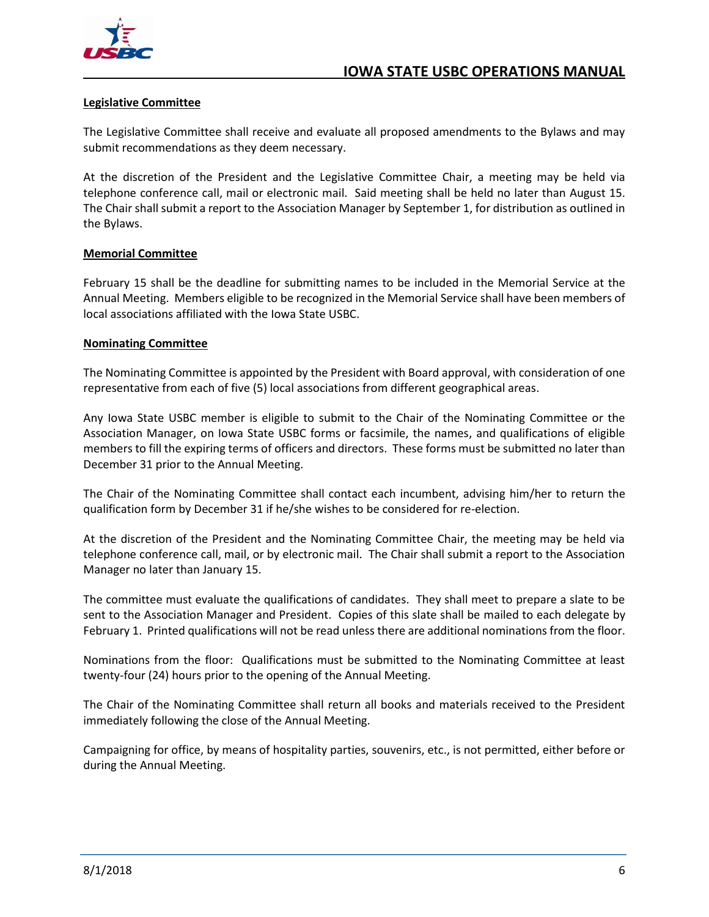

#### <span id="page-12-0"></span>**Legislative Committee**

The Legislative Committee shall receive and evaluate all proposed amendments to the Bylaws and may submit recommendations as they deem necessary.

At the discretion of the President and the Legislative Committee Chair, a meeting may be held via telephone conference call, mail or electronic mail. Said meeting shall be held no later than August 15. The Chair shall submit a report to the Association Manager by September 1, for distribution as outlined in the Bylaws.

#### <span id="page-12-1"></span>**Memorial Committee**

February 15 shall be the deadline for submitting names to be included in the Memorial Service at the Annual Meeting. Members eligible to be recognized in the Memorial Service shall have been members of local associations affiliated with the Iowa State USBC.

#### <span id="page-12-2"></span>**Nominating Committee**

The Nominating Committee is appointed by the President with Board approval, with consideration of one representative from each of five (5) local associations from different geographical areas.

Any Iowa State USBC member is eligible to submit to the Chair of the Nominating Committee or the Association Manager, on Iowa State USBC forms or facsimile, the names, and qualifications of eligible members to fill the expiring terms of officers and directors. These forms must be submitted no later than December 31 prior to the Annual Meeting.

The Chair of the Nominating Committee shall contact each incumbent, advising him/her to return the qualification form by December 31 if he/she wishes to be considered for re-election.

At the discretion of the President and the Nominating Committee Chair, the meeting may be held via telephone conference call, mail, or by electronic mail. The Chair shall submit a report to the Association Manager no later than January 15.

The committee must evaluate the qualifications of candidates. They shall meet to prepare a slate to be sent to the Association Manager and President. Copies of this slate shall be mailed to each delegate by February 1. Printed qualifications will not be read unless there are additional nominations from the floor.

Nominations from the floor: Qualifications must be submitted to the Nominating Committee at least twenty-four (24) hours prior to the opening of the Annual Meeting.

The Chair of the Nominating Committee shall return all books and materials received to the President immediately following the close of the Annual Meeting.

Campaigning for office, by means of hospitality parties, souvenirs, etc., is not permitted, either before or during the Annual Meeting.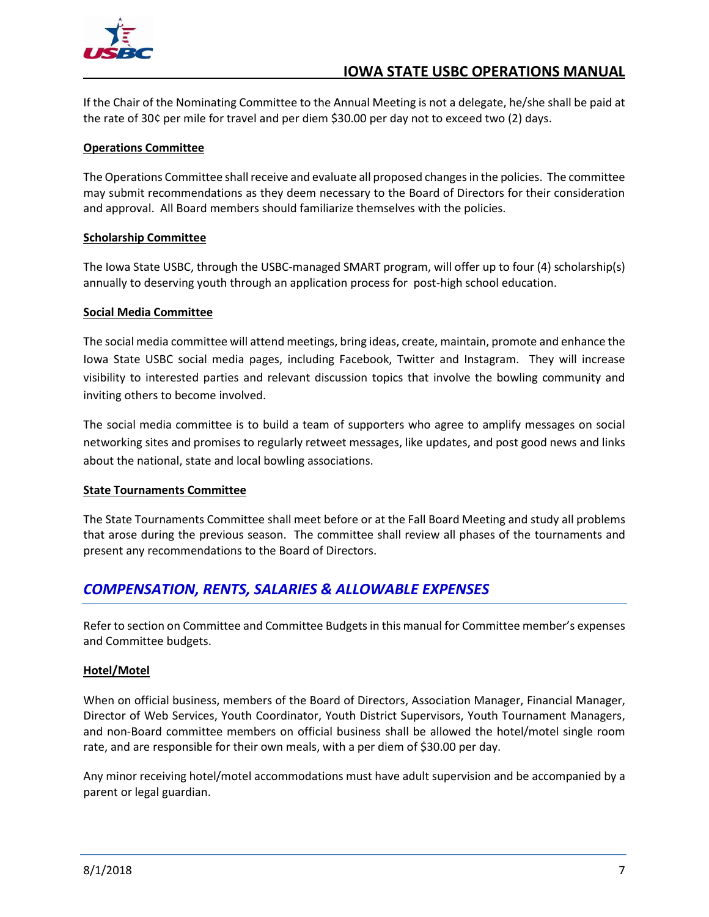

If the Chair of the Nominating Committee to the Annual Meeting is not a delegate, he/she shall be paid at the rate of 30¢ per mile for travel and per diem \$30.00 per day not to exceed two (2) days.

#### <span id="page-13-0"></span>**Operations Committee**

The Operations Committee shall receive and evaluate all proposed changes in the policies. The committee may submit recommendations as they deem necessary to the Board of Directors for their consideration and approval. All Board members should familiarize themselves with the policies.

#### <span id="page-13-1"></span>**Scholarship Committee**

The Iowa State USBC, through the USBC-managed SMART program, will offer up to four (4) scholarship(s) annually to deserving youth through an application process for post-high school education.

#### <span id="page-13-2"></span>**Social Media Committee**

The social media committee will attend meetings, bring ideas, create, maintain, promote and enhance the Iowa State USBC social media pages, including Facebook, Twitter and Instagram. They will increase visibility to interested parties and relevant discussion topics that involve the bowling community and inviting others to become involved.

The social media committee is to build a team of supporters who agree to amplify messages on social networking sites and promises to regularly retweet messages, like updates, and post good news and links about the national, state and local bowling associations.

#### <span id="page-13-3"></span>**State Tournaments Committee**

The State Tournaments Committee shall meet before or at the Fall Board Meeting and study all problems that arose during the previous season. The committee shall review all phases of the tournaments and present any recommendations to the Board of Directors.

## <span id="page-13-4"></span>*COMPENSATION, RENTS, SALARIES & ALLOWABLE EXPENSES*

Refer to section on Committee and Committee Budgets in this manual for Committee member's expenses and Committee budgets.

#### <span id="page-13-5"></span>**Hotel/Motel**

When on official business, members of the Board of Directors, Association Manager, Financial Manager, Director of Web Services, Youth Coordinator, Youth District Supervisors, Youth Tournament Managers, and non-Board committee members on official business shall be allowed the hotel/motel single room rate, and are responsible for their own meals, with a per diem of \$30.00 per day.

Any minor receiving hotel/motel accommodations must have adult supervision and be accompanied by a parent or legal guardian.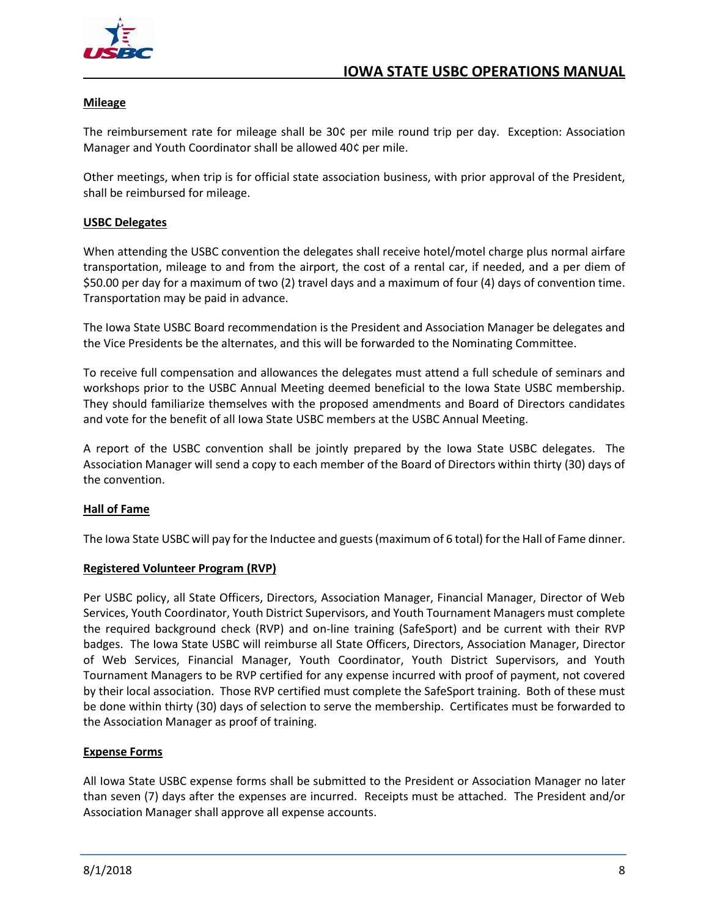

#### <span id="page-14-0"></span>**Mileage**

The reimbursement rate for mileage shall be 30¢ per mile round trip per day. Exception: Association Manager and Youth Coordinator shall be allowed 40¢ per mile.

Other meetings, when trip is for official state association business, with prior approval of the President, shall be reimbursed for mileage.

#### <span id="page-14-1"></span>**USBC Delegates**

When attending the USBC convention the delegates shall receive hotel/motel charge plus normal airfare transportation, mileage to and from the airport, the cost of a rental car, if needed, and a per diem of \$50.00 per day for a maximum of two (2) travel days and a maximum of four (4) days of convention time. Transportation may be paid in advance.

The Iowa State USBC Board recommendation is the President and Association Manager be delegates and the Vice Presidents be the alternates, and this will be forwarded to the Nominating Committee.

To receive full compensation and allowances the delegates must attend a full schedule of seminars and workshops prior to the USBC Annual Meeting deemed beneficial to the Iowa State USBC membership. They should familiarize themselves with the proposed amendments and Board of Directors candidates and vote for the benefit of all Iowa State USBC members at the USBC Annual Meeting.

A report of the USBC convention shall be jointly prepared by the Iowa State USBC delegates. The Association Manager will send a copy to each member of the Board of Directors within thirty (30) days of the convention.

#### <span id="page-14-2"></span>**Hall of Fame**

The Iowa State USBC will pay for the Inductee and guests (maximum of 6 total) forthe Hall of Fame dinner.

#### <span id="page-14-3"></span>**Registered Volunteer Program (RVP)**

Per USBC policy, all State Officers, Directors, Association Manager, Financial Manager, Director of Web Services, Youth Coordinator, Youth District Supervisors, and Youth Tournament Managers must complete the required background check (RVP) and on-line training (SafeSport) and be current with their RVP badges. The Iowa State USBC will reimburse all State Officers, Directors, Association Manager, Director of Web Services, Financial Manager, Youth Coordinator, Youth District Supervisors, and Youth Tournament Managers to be RVP certified for any expense incurred with proof of payment, not covered by their local association. Those RVP certified must complete the SafeSport training. Both of these must be done within thirty (30) days of selection to serve the membership. Certificates must be forwarded to the Association Manager as proof of training.

#### <span id="page-14-4"></span>**Expense Forms**

All Iowa State USBC expense forms shall be submitted to the President or Association Manager no later than seven (7) days after the expenses are incurred. Receipts must be attached. The President and/or Association Manager shall approve all expense accounts.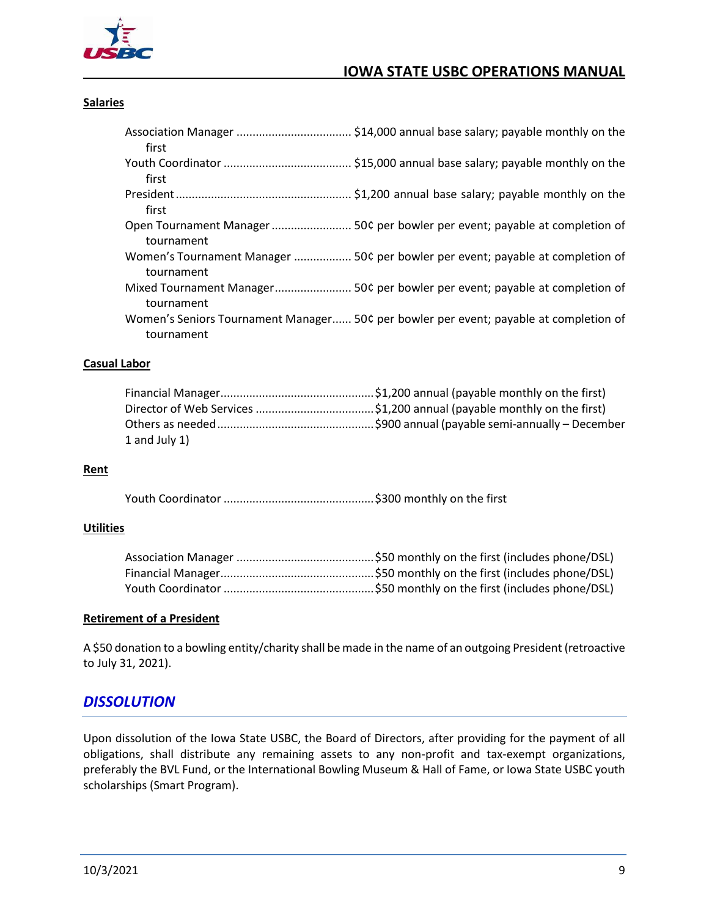

#### <span id="page-15-0"></span>**Salaries**

| first      |                                                                                       |
|------------|---------------------------------------------------------------------------------------|
|            |                                                                                       |
| first      |                                                                                       |
|            |                                                                                       |
| first      |                                                                                       |
| tournament |                                                                                       |
| tournament | Women's Tournament Manager  50¢ per bowler per event; payable at completion of        |
| tournament | Mixed Tournament Manager 50¢ per bowler per event; payable at completion of           |
| tournament | Women's Seniors Tournament Manager 50¢ per bowler per event; payable at completion of |

#### <span id="page-15-1"></span>**Casual Labor**

| 1 and July $1$ ) |  |
|------------------|--|

#### <span id="page-15-2"></span>**Rent**

Youth Coordinator ...............................................\$300 monthly on the first

#### <span id="page-15-3"></span>**Utilities**

#### <span id="page-15-4"></span>**Retirement of a President**

A \$50 donation to a bowling entity/charity shall be made in the name of an outgoing President (retroactive to July 31, 2021).

#### <span id="page-15-5"></span>*DISSOLUTION*

Upon dissolution of the Iowa State USBC, the Board of Directors, after providing for the payment of all obligations, shall distribute any remaining assets to any non-profit and tax-exempt organizations, preferably the BVL Fund, or the International Bowling Museum & Hall of Fame, or Iowa State USBC youth scholarships (Smart Program).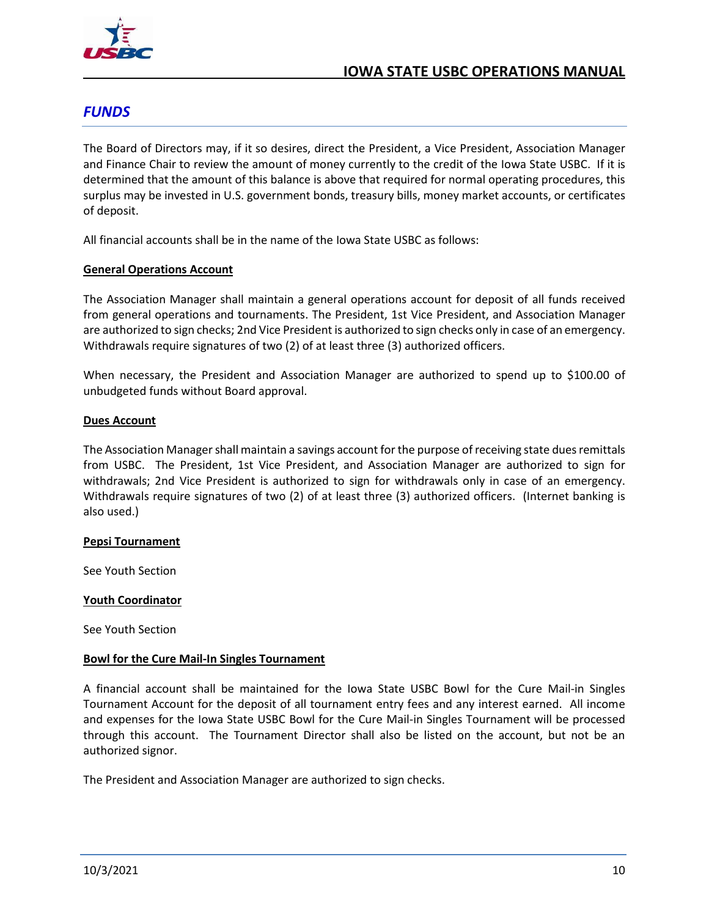

## <span id="page-16-0"></span>*FUNDS*

The Board of Directors may, if it so desires, direct the President, a Vice President, Association Manager and Finance Chair to review the amount of money currently to the credit of the Iowa State USBC. If it is determined that the amount of this balance is above that required for normal operating procedures, this surplus may be invested in U.S. government bonds, treasury bills, money market accounts, or certificates of deposit.

All financial accounts shall be in the name of the Iowa State USBC as follows:

#### <span id="page-16-1"></span>**General Operations Account**

The Association Manager shall maintain a general operations account for deposit of all funds received from general operations and tournaments. The President, 1st Vice President, and Association Manager are authorized to sign checks; 2nd Vice President is authorized to sign checks only in case of an emergency. Withdrawals require signatures of two (2) of at least three (3) authorized officers.

When necessary, the President and Association Manager are authorized to spend up to \$100.00 of unbudgeted funds without Board approval.

#### <span id="page-16-2"></span>**Dues Account**

The Association Manager shall maintain a savings account for the purpose of receiving state dues remittals from USBC. The President, 1st Vice President, and Association Manager are authorized to sign for withdrawals; 2nd Vice President is authorized to sign for withdrawals only in case of an emergency. Withdrawals require signatures of two (2) of at least three (3) authorized officers. (Internet banking is also used.)

#### <span id="page-16-3"></span>**Pepsi Tournament**

See Youth Section

#### <span id="page-16-4"></span>**Youth Coordinator**

See Youth Section

#### <span id="page-16-5"></span>**Bowl for the Cure Mail-In Singles Tournament**

A financial account shall be maintained for the Iowa State USBC Bowl for the Cure Mail-in Singles Tournament Account for the deposit of all tournament entry fees and any interest earned. All income and expenses for the Iowa State USBC Bowl for the Cure Mail-in Singles Tournament will be processed through this account. The Tournament Director shall also be listed on the account, but not be an authorized signor.

The President and Association Manager are authorized to sign checks.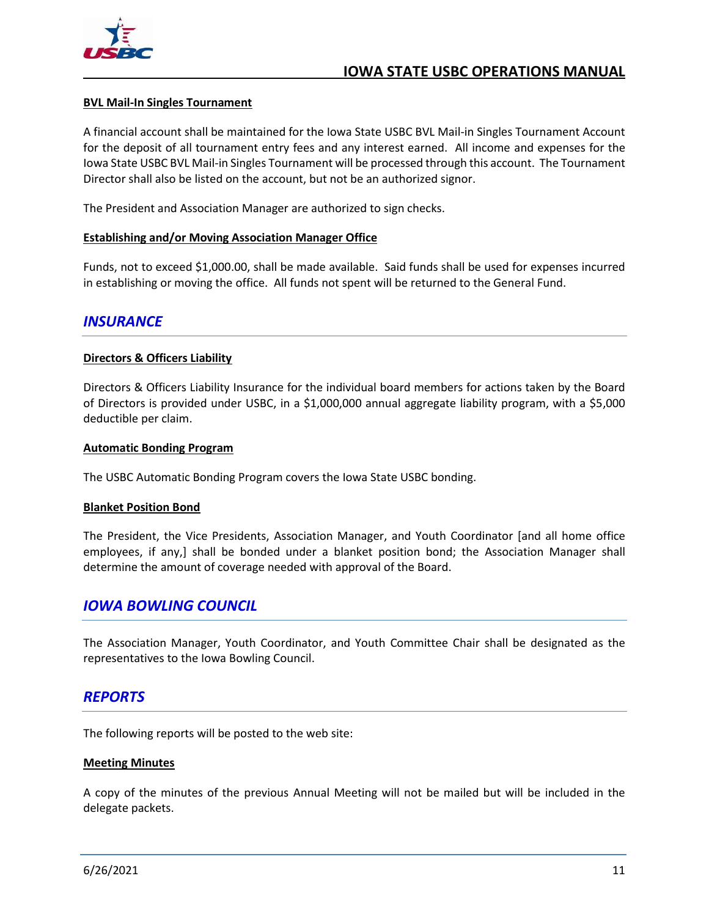

#### <span id="page-17-0"></span>**BVL Mail-In Singles Tournament**

A financial account shall be maintained for the Iowa State USBC BVL Mail-in Singles Tournament Account for the deposit of all tournament entry fees and any interest earned. All income and expenses for the Iowa State USBC BVL Mail-in Singles Tournament will be processed through this account. The Tournament Director shall also be listed on the account, but not be an authorized signor.

The President and Association Manager are authorized to sign checks.

#### <span id="page-17-1"></span>**Establishing and/or Moving Association Manager Office**

Funds, not to exceed \$1,000.00, shall be made available. Said funds shall be used for expenses incurred in establishing or moving the office. All funds not spent will be returned to the General Fund.

#### <span id="page-17-2"></span>*INSURANCE*

#### <span id="page-17-3"></span>**Directors & Officers Liability**

Directors & Officers Liability Insurance for the individual board members for actions taken by the Board of Directors is provided under USBC, in a \$1,000,000 annual aggregate liability program, with a \$5,000 deductible per claim.

#### <span id="page-17-4"></span>**Automatic Bonding Program**

The USBC Automatic Bonding Program covers the Iowa State USBC bonding.

#### <span id="page-17-5"></span>**Blanket Position Bond**

The President, the Vice Presidents, Association Manager, and Youth Coordinator [and all home office employees, if any,] shall be bonded under a blanket position bond; the Association Manager shall determine the amount of coverage needed with approval of the Board.

## <span id="page-17-6"></span>*IOWA BOWLING COUNCIL*

The Association Manager, Youth Coordinator, and Youth Committee Chair shall be designated as the representatives to the Iowa Bowling Council.

#### <span id="page-17-7"></span>*REPORTS*

The following reports will be posted to the web site:

#### <span id="page-17-8"></span>**Meeting Minutes**

A copy of the minutes of the previous Annual Meeting will not be mailed but will be included in the delegate packets.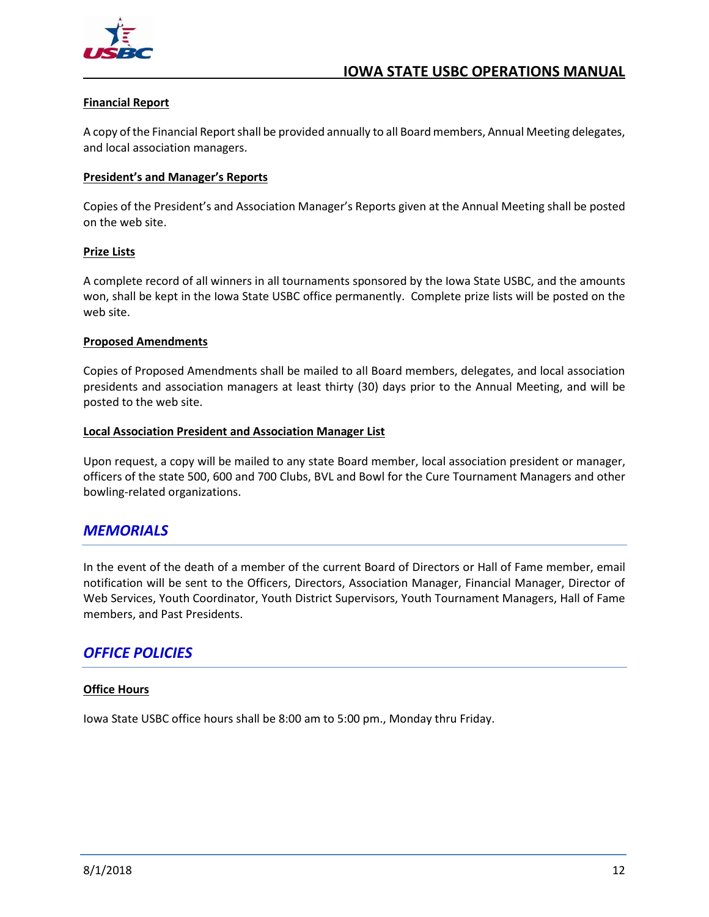

#### <span id="page-18-0"></span>**Financial Report**

A copy of the Financial Report shall be provided annually to all Board members, Annual Meeting delegates, and local association managers.

#### <span id="page-18-1"></span>**President's and Manager's Reports**

Copies of the President's and Association Manager's Reports given at the Annual Meeting shall be posted on the web site.

#### <span id="page-18-2"></span>**Prize Lists**

A complete record of all winners in all tournaments sponsored by the Iowa State USBC, and the amounts won, shall be kept in the Iowa State USBC office permanently. Complete prize lists will be posted on the web site.

#### <span id="page-18-3"></span>**Proposed Amendments**

Copies of Proposed Amendments shall be mailed to all Board members, delegates, and local association presidents and association managers at least thirty (30) days prior to the Annual Meeting, and will be posted to the web site.

#### <span id="page-18-4"></span>**Local Association President and Association Manager List**

Upon request, a copy will be mailed to any state Board member, local association president or manager, officers of the state 500, 600 and 700 Clubs, BVL and Bowl for the Cure Tournament Managers and other bowling-related organizations.

#### <span id="page-18-5"></span>*MEMORIALS*

In the event of the death of a member of the current Board of Directors or Hall of Fame member, email notification will be sent to the Officers, Directors, Association Manager, Financial Manager, Director of Web Services, Youth Coordinator, Youth District Supervisors, Youth Tournament Managers, Hall of Fame members, and Past Presidents.

## <span id="page-18-6"></span>*OFFICE POLICIES*

#### <span id="page-18-7"></span>**Office Hours**

Iowa State USBC office hours shall be 8:00 am to 5:00 pm., Monday thru Friday.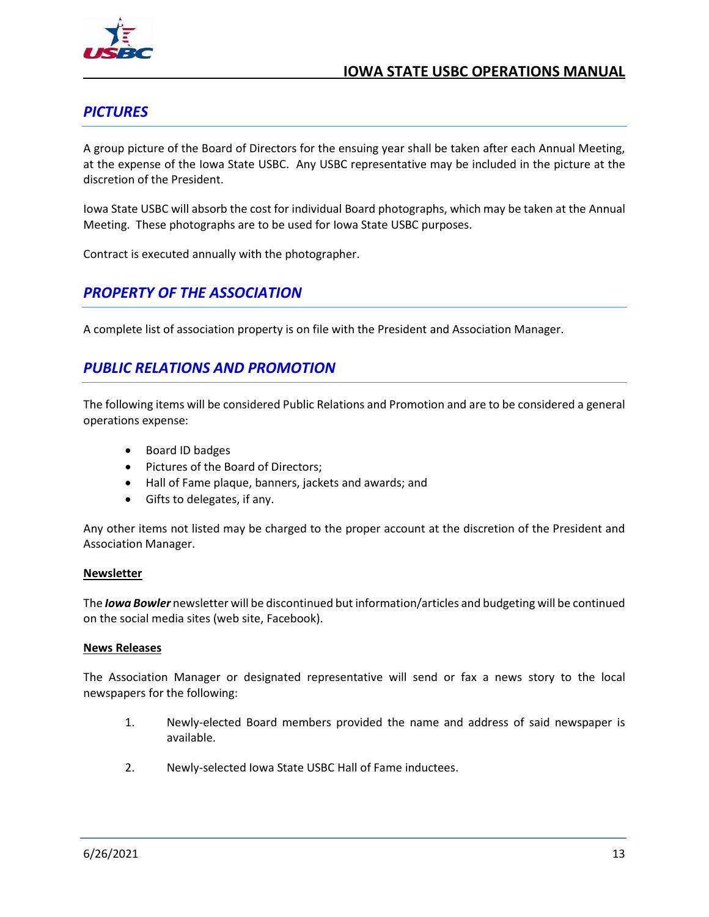

## <span id="page-19-0"></span>*PICTURES*

A group picture of the Board of Directors for the ensuing year shall be taken after each Annual Meeting, at the expense of the Iowa State USBC. Any USBC representative may be included in the picture at the discretion of the President.

Iowa State USBC will absorb the cost for individual Board photographs, which may be taken at the Annual Meeting. These photographs are to be used for Iowa State USBC purposes.

Contract is executed annually with the photographer.

## <span id="page-19-1"></span>*PROPERTY OF THE ASSOCIATION*

A complete list of association property is on file with the President and Association Manager.

## <span id="page-19-2"></span>*PUBLIC RELATIONS AND PROMOTION*

The following items will be considered Public Relations and Promotion and are to be considered a general operations expense:

- Board ID badges
- Pictures of the Board of Directors;
- Hall of Fame plaque, banners, jackets and awards; and
- Gifts to delegates, if any.

Any other items not listed may be charged to the proper account at the discretion of the President and Association Manager.

#### <span id="page-19-3"></span>**Newsletter**

The *Iowa Bowler* newsletter will be discontinued but information/articles and budgeting will be continued on the social media sites (web site, Facebook).

#### <span id="page-19-4"></span>**News Releases**

The Association Manager or designated representative will send or fax a news story to the local newspapers for the following:

- 1. Newly-elected Board members provided the name and address of said newspaper is available.
- 2. Newly-selected Iowa State USBC Hall of Fame inductees.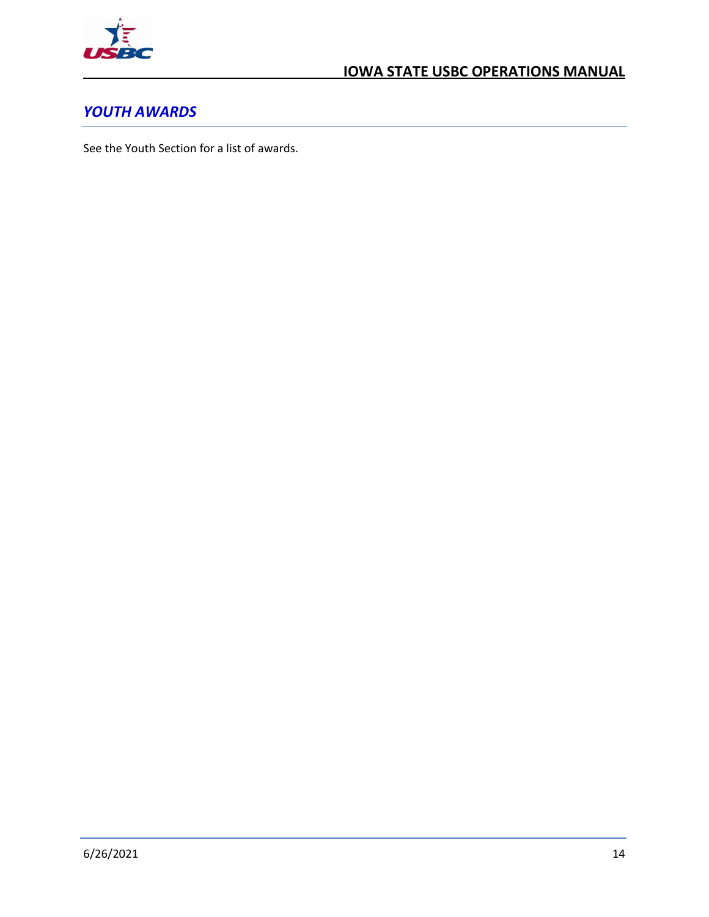

## <span id="page-20-0"></span>*YOUTH AWARDS*

See the Youth Section for a list of awards.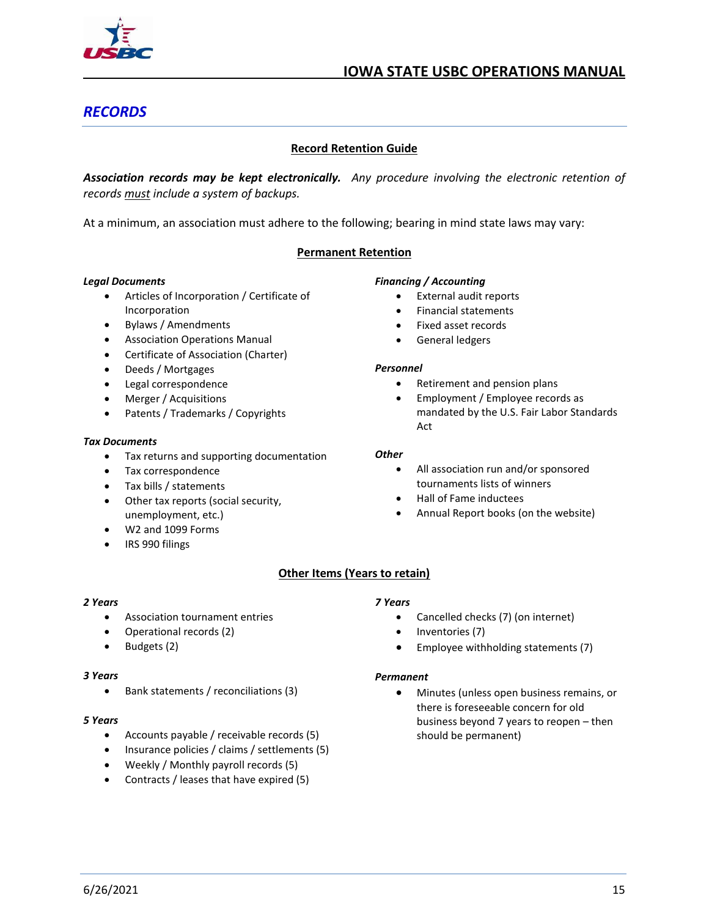

## <span id="page-21-0"></span>*RECORDS*

#### **Record Retention Guide**

<span id="page-21-1"></span>*Association records may be kept electronically. Any procedure involving the electronic retention of records must include a system of backups.*

At a minimum, an association must adhere to the following; bearing in mind state laws may vary:

#### **Permanent Retention**

#### *Legal Documents*

- Articles of Incorporation / Certificate of Incorporation
- Bylaws / Amendments
- Association Operations Manual
- Certificate of Association (Charter)
- Deeds / Mortgages
- Legal correspondence
- Merger / Acquisitions
- Patents / Trademarks / Copyrights

#### *Tax Documents*

- Tax returns and supporting documentation
- Tax correspondence
- Tax bills / statements
- Other tax reports (social security, unemployment, etc.)
- W2 and 1099 Forms
- IRS 990 filings

#### *Financing / Accounting*

- External audit reports
- Financial statements
- Fixed asset records
- General ledgers

#### *Personnel*

- Retirement and pension plans
- Employment / Employee records as mandated by the U.S. Fair Labor Standards Act

#### *Other*

- All association run and/or sponsored tournaments lists of winners
- Hall of Fame inductees
- Annual Report books (on the website)

#### **Other Items (Years to retain)**

#### *2 Years*

- Association tournament entries
- Operational records (2)
- Budgets (2)

#### *3 Years*

• Bank statements / reconciliations (3)

#### *5 Years*

- Accounts payable / receivable records (5)
- Insurance policies / claims / settlements (5)
- Weekly / Monthly payroll records (5)
- Contracts / leases that have expired (5)

#### *7 Years*

- Cancelled checks (7) (on internet)
- Inventories (7)
- Employee withholding statements (7)

#### *Permanent*

• Minutes (unless open business remains, or there is foreseeable concern for old business beyond 7 years to reopen – then should be permanent)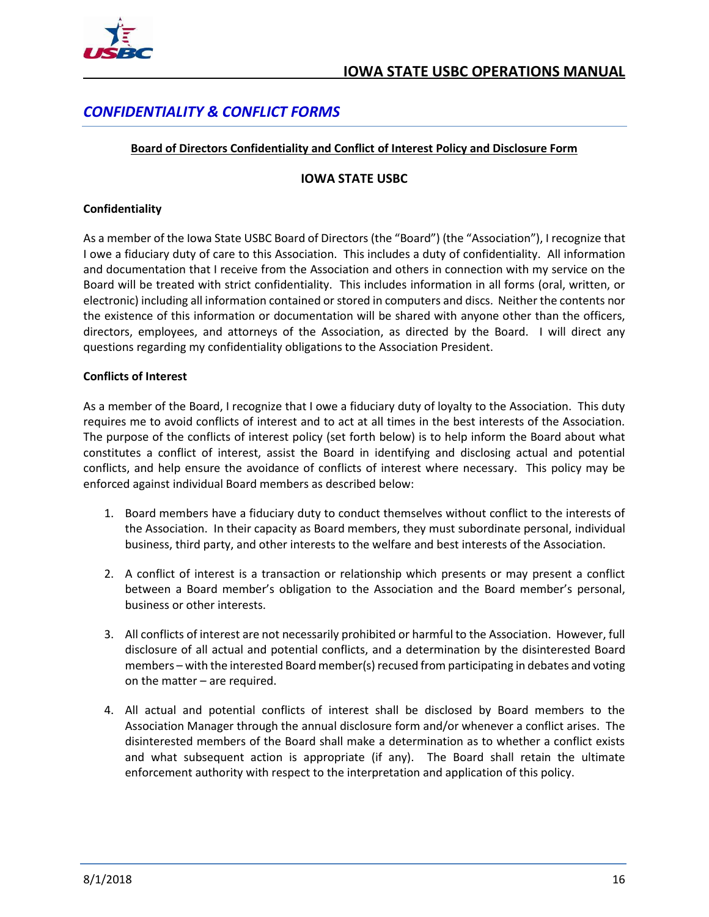

## <span id="page-22-1"></span><span id="page-22-0"></span>*CONFIDENTIALITY & CONFLICT FORMS*

#### **Board of Directors Confidentiality and Conflict of Interest Policy and Disclosure Form**

#### **IOWA STATE USBC**

#### **Confidentiality**

As a member of the Iowa State USBC Board of Directors (the "Board") (the "Association"), I recognize that I owe a fiduciary duty of care to this Association. This includes a duty of confidentiality. All information and documentation that I receive from the Association and others in connection with my service on the Board will be treated with strict confidentiality. This includes information in all forms (oral, written, or electronic) including all information contained or stored in computers and discs. Neither the contents nor the existence of this information or documentation will be shared with anyone other than the officers, directors, employees, and attorneys of the Association, as directed by the Board. I will direct any questions regarding my confidentiality obligations to the Association President.

#### **Conflicts of Interest**

As a member of the Board, I recognize that I owe a fiduciary duty of loyalty to the Association. This duty requires me to avoid conflicts of interest and to act at all times in the best interests of the Association. The purpose of the conflicts of interest policy (set forth below) is to help inform the Board about what constitutes a conflict of interest, assist the Board in identifying and disclosing actual and potential conflicts, and help ensure the avoidance of conflicts of interest where necessary. This policy may be enforced against individual Board members as described below:

- 1. Board members have a fiduciary duty to conduct themselves without conflict to the interests of the Association. In their capacity as Board members, they must subordinate personal, individual business, third party, and other interests to the welfare and best interests of the Association.
- 2. A conflict of interest is a transaction or relationship which presents or may present a conflict between a Board member's obligation to the Association and the Board member's personal, business or other interests.
- 3. All conflicts of interest are not necessarily prohibited or harmful to the Association. However, full disclosure of all actual and potential conflicts, and a determination by the disinterested Board members – with the interested Board member(s) recused from participating in debates and voting on the matter – are required.
- 4. All actual and potential conflicts of interest shall be disclosed by Board members to the Association Manager through the annual disclosure form and/or whenever a conflict arises. The disinterested members of the Board shall make a determination as to whether a conflict exists and what subsequent action is appropriate (if any). The Board shall retain the ultimate enforcement authority with respect to the interpretation and application of this policy.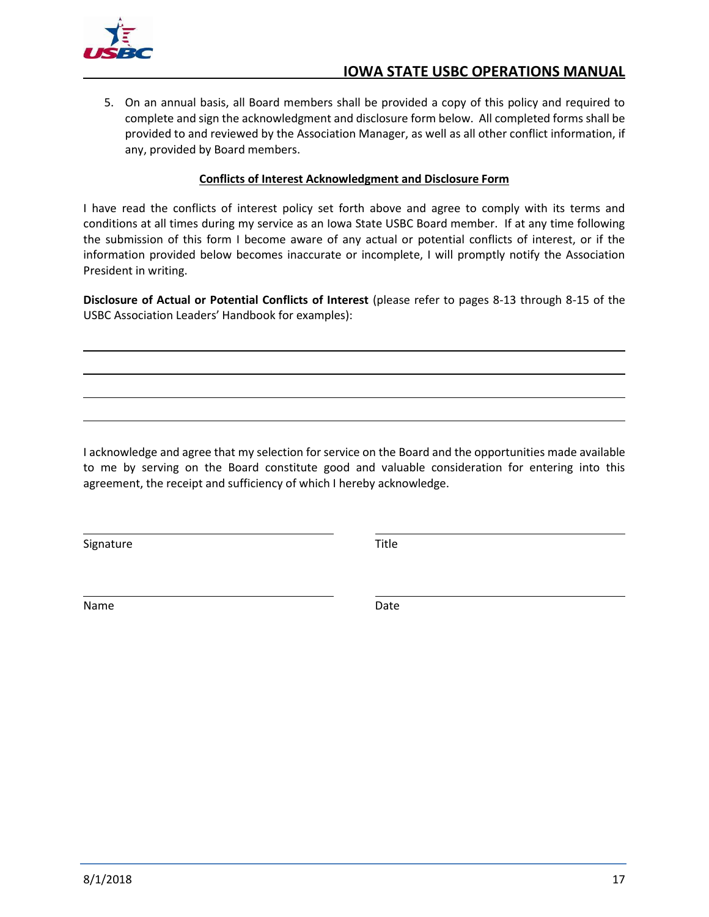

5. On an annual basis, all Board members shall be provided a copy of this policy and required to complete and sign the acknowledgment and disclosure form below. All completed forms shall be provided to and reviewed by the Association Manager, as well as all other conflict information, if any, provided by Board members.

#### **Conflicts of Interest Acknowledgment and Disclosure Form**

<span id="page-23-0"></span>I have read the conflicts of interest policy set forth above and agree to comply with its terms and conditions at all times during my service as an Iowa State USBC Board member. If at any time following the submission of this form I become aware of any actual or potential conflicts of interest, or if the information provided below becomes inaccurate or incomplete, I will promptly notify the Association President in writing.

**Disclosure of Actual or Potential Conflicts of Interest** (please refer to pages 8-13 through 8-15 of the USBC Association Leaders' Handbook for examples):

I acknowledge and agree that my selection for service on the Board and the opportunities made available to me by serving on the Board constitute good and valuable consideration for entering into this agreement, the receipt and sufficiency of which I hereby acknowledge.

Signature Title

Name Date and Date and Date Date of the Date of the Date of the Date of the Date of the Date of the Date of the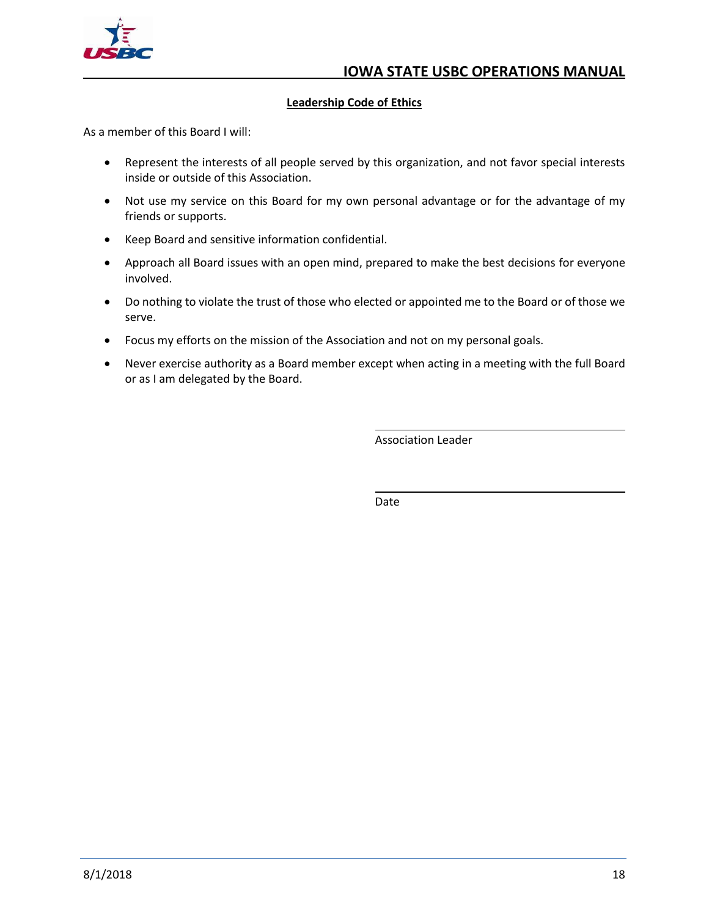

#### **Leadership Code of Ethics**

<span id="page-24-0"></span>As a member of this Board I will:

- Represent the interests of all people served by this organization, and not favor special interests inside or outside of this Association.
- Not use my service on this Board for my own personal advantage or for the advantage of my friends or supports.
- Keep Board and sensitive information confidential.
- Approach all Board issues with an open mind, prepared to make the best decisions for everyone involved.
- Do nothing to violate the trust of those who elected or appointed me to the Board or of those we serve.
- Focus my efforts on the mission of the Association and not on my personal goals.
- Never exercise authority as a Board member except when acting in a meeting with the full Board or as I am delegated by the Board.

Association Leader

Date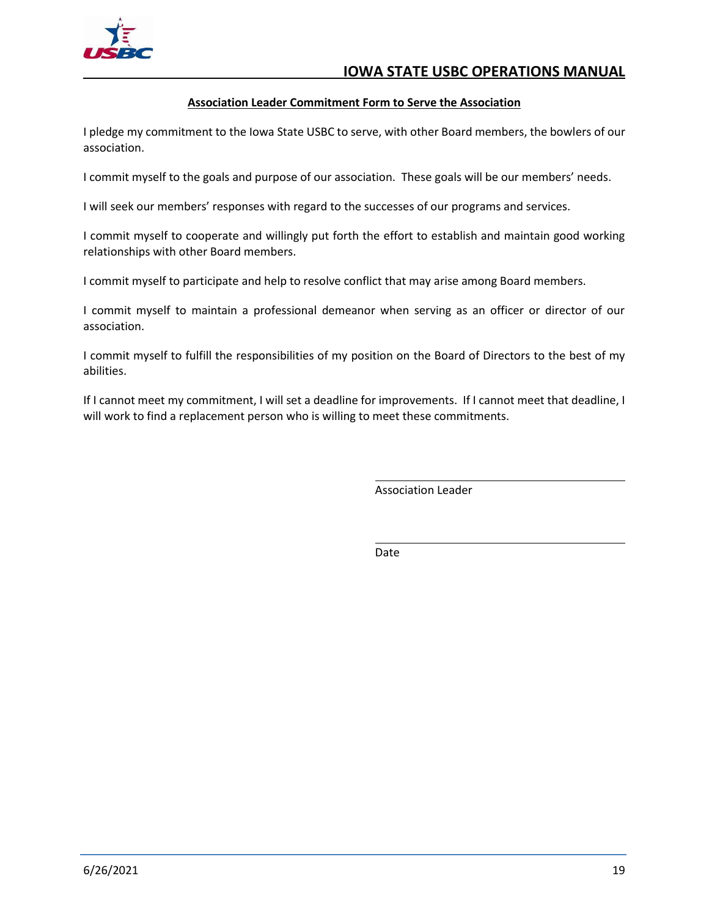

#### **Association Leader Commitment Form to Serve the Association**

<span id="page-25-0"></span>I pledge my commitment to the Iowa State USBC to serve, with other Board members, the bowlers of our association.

I commit myself to the goals and purpose of our association. These goals will be our members' needs.

I will seek our members' responses with regard to the successes of our programs and services.

I commit myself to cooperate and willingly put forth the effort to establish and maintain good working relationships with other Board members.

I commit myself to participate and help to resolve conflict that may arise among Board members.

I commit myself to maintain a professional demeanor when serving as an officer or director of our association.

I commit myself to fulfill the responsibilities of my position on the Board of Directors to the best of my abilities.

If I cannot meet my commitment, I will set a deadline for improvements. If I cannot meet that deadline, I will work to find a replacement person who is willing to meet these commitments.

Association Leader

Date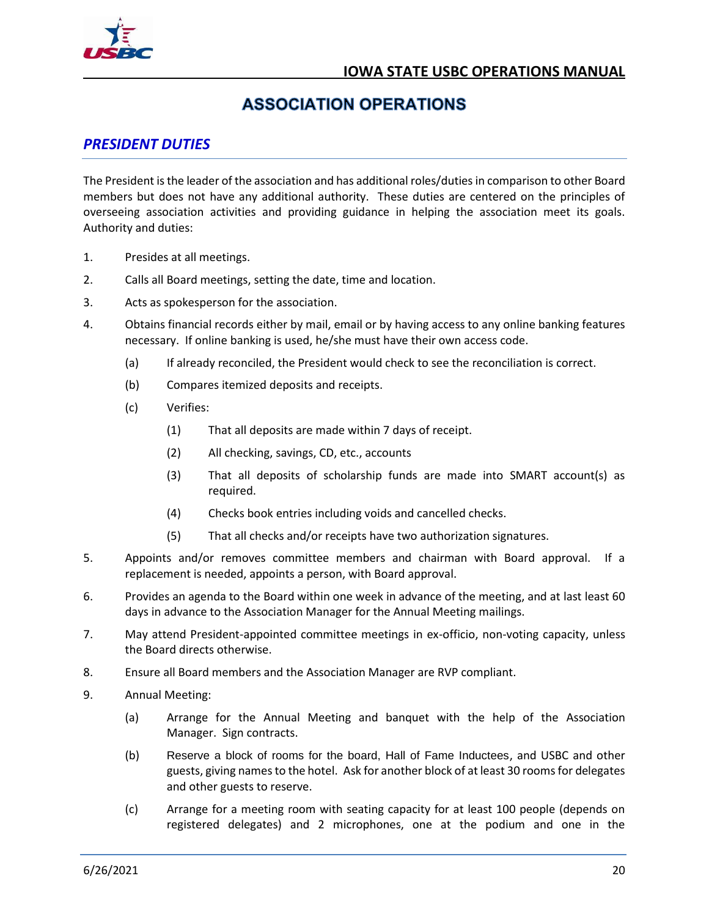

## **ASSOCIATION OPERATIONS**

## <span id="page-26-1"></span><span id="page-26-0"></span>*PRESIDENT DUTIES*

The President is the leader of the association and has additional roles/duties in comparison to other Board members but does not have any additional authority. These duties are centered on the principles of overseeing association activities and providing guidance in helping the association meet its goals. Authority and duties:

- 1. Presides at all meetings.
- 2. Calls all Board meetings, setting the date, time and location.
- 3. Acts as spokesperson for the association.
- 4. Obtains financial records either by mail, email or by having access to any online banking features necessary. If online banking is used, he/she must have their own access code.
	- (a) If already reconciled, the President would check to see the reconciliation is correct.
	- (b) Compares itemized deposits and receipts.
	- (c) Verifies:
		- (1) That all deposits are made within 7 days of receipt.
		- (2) All checking, savings, CD, etc., accounts
		- (3) That all deposits of scholarship funds are made into SMART account(s) as required.
		- (4) Checks book entries including voids and cancelled checks.
		- (5) That all checks and/or receipts have two authorization signatures.
- 5. Appoints and/or removes committee members and chairman with Board approval. If a replacement is needed, appoints a person, with Board approval.
- 6. Provides an agenda to the Board within one week in advance of the meeting, and at last least 60 days in advance to the Association Manager for the Annual Meeting mailings.
- 7. May attend President-appointed committee meetings in ex-officio, non-voting capacity, unless the Board directs otherwise.
- 8. Ensure all Board members and the Association Manager are RVP compliant.
- 9. Annual Meeting:
	- (a) Arrange for the Annual Meeting and banquet with the help of the Association Manager. Sign contracts.
	- (b) Reserve a block of rooms for the board, Hall of Fame Inductees, and USBC and other guests, giving names to the hotel. Ask for another block of at least 30 rooms for delegates and other guests to reserve.
	- (c) Arrange for a meeting room with seating capacity for at least 100 people (depends on registered delegates) and 2 microphones, one at the podium and one in the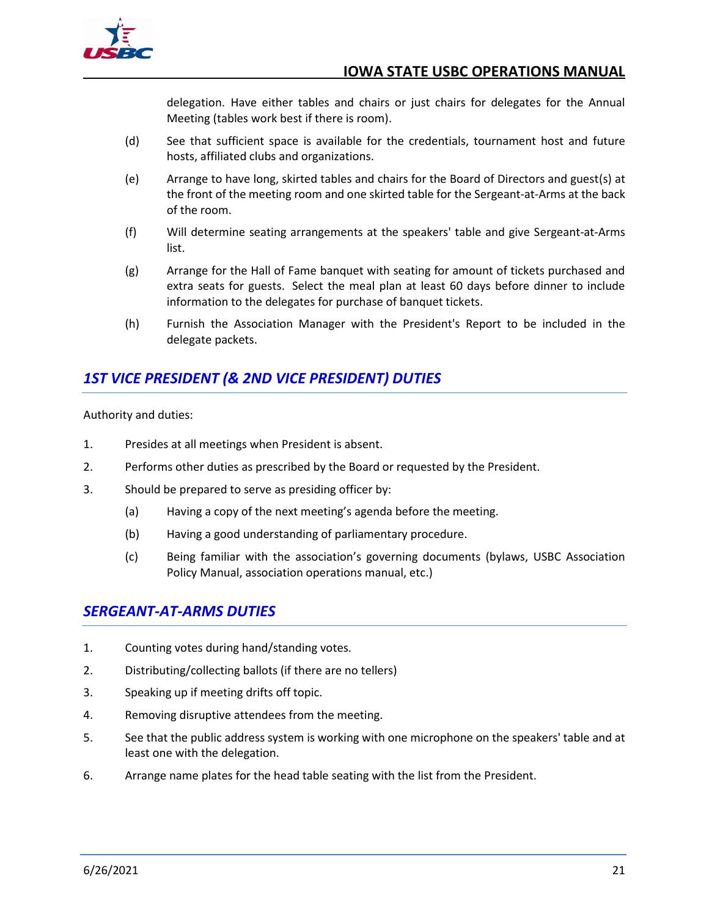

delegation. Have either tables and chairs or just chairs for delegates for the Annual Meeting (tables work best if there is room).

- (d) See that sufficient space is available for the credentials, tournament host and future hosts, affiliated clubs and organizations.
- (e) Arrange to have long, skirted tables and chairs for the Board of Directors and guest(s) at the front of the meeting room and one skirted table for the Sergeant-at-Arms at the back of the room.
- (f) Will determine seating arrangements at the speakers' table and give Sergeant-at-Arms list.
- (g) Arrange for the Hall of Fame banquet with seating for amount of tickets purchased and extra seats for guests. Select the meal plan at least 60 days before dinner to include information to the delegates for purchase of banquet tickets.
- (h) Furnish the Association Manager with the President's Report to be included in the delegate packets.

## <span id="page-27-0"></span>*1ST VICE PRESIDENT (& 2ND VICE PRESIDENT) DUTIES*

Authority and duties:

- 1. Presides at all meetings when President is absent.
- 2. Performs other duties as prescribed by the Board or requested by the President.
- 3. Should be prepared to serve as presiding officer by:
	- (a) Having a copy of the next meeting's agenda before the meeting.
	- (b) Having a good understanding of parliamentary procedure.
	- (c) Being familiar with the association's governing documents (bylaws, USBC Association Policy Manual, association operations manual, etc.)

## <span id="page-27-1"></span>*SERGEANT-AT-ARMS DUTIES*

- 1. Counting votes during hand/standing votes.
- 2. Distributing/collecting ballots (if there are no tellers)
- 3. Speaking up if meeting drifts off topic.
- 4. Removing disruptive attendees from the meeting.
- 5. See that the public address system is working with one microphone on the speakers' table and at least one with the delegation.
- 6. Arrange name plates for the head table seating with the list from the President.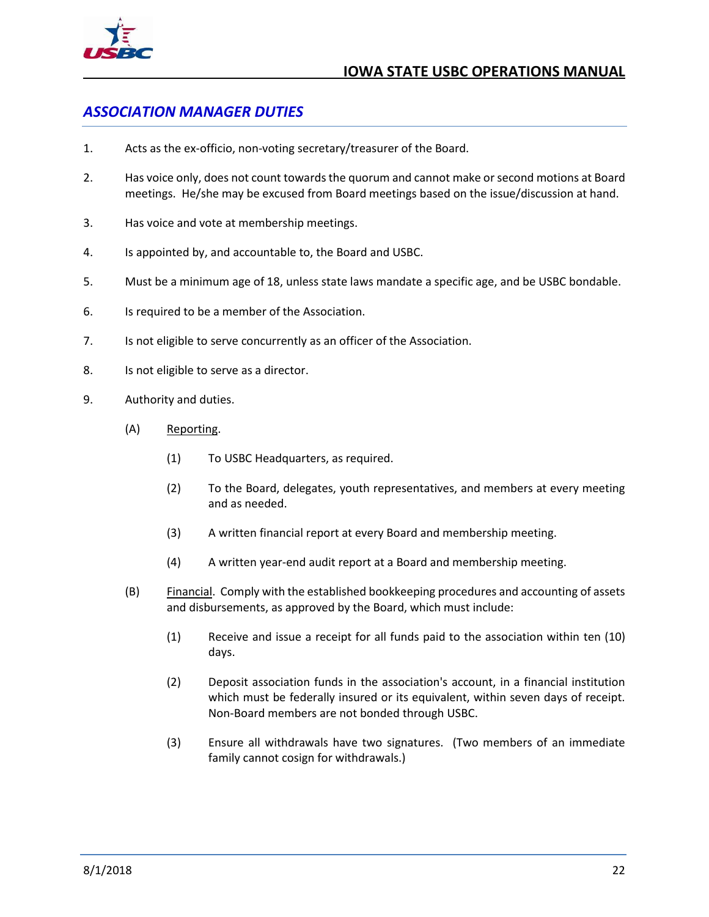

## <span id="page-28-0"></span>*ASSOCIATION MANAGER DUTIES*

- 1. Acts as the ex-officio, non-voting secretary/treasurer of the Board.
- 2. Has voice only, does not count towards the quorum and cannot make or second motions at Board meetings. He/she may be excused from Board meetings based on the issue/discussion at hand.
- 3. Has voice and vote at membership meetings.
- 4. Is appointed by, and accountable to, the Board and USBC.
- 5. Must be a minimum age of 18, unless state laws mandate a specific age, and be USBC bondable.
- 6. Is required to be a member of the Association.
- 7. Is not eligible to serve concurrently as an officer of the Association.
- 8. Is not eligible to serve as a director.
- 9. Authority and duties.
	- (A) Reporting.
		- (1) To USBC Headquarters, as required.
		- (2) To the Board, delegates, youth representatives, and members at every meeting and as needed.
		- (3) A written financial report at every Board and membership meeting.
		- (4) A written year-end audit report at a Board and membership meeting.
	- (B) Financial. Comply with the established bookkeeping procedures and accounting of assets and disbursements, as approved by the Board, which must include:
		- (1) Receive and issue a receipt for all funds paid to the association within ten (10) days.
		- (2) Deposit association funds in the association's account, in a financial institution which must be federally insured or its equivalent, within seven days of receipt. Non-Board members are not bonded through USBC.
		- (3) Ensure all withdrawals have two signatures. (Two members of an immediate family cannot cosign for withdrawals.)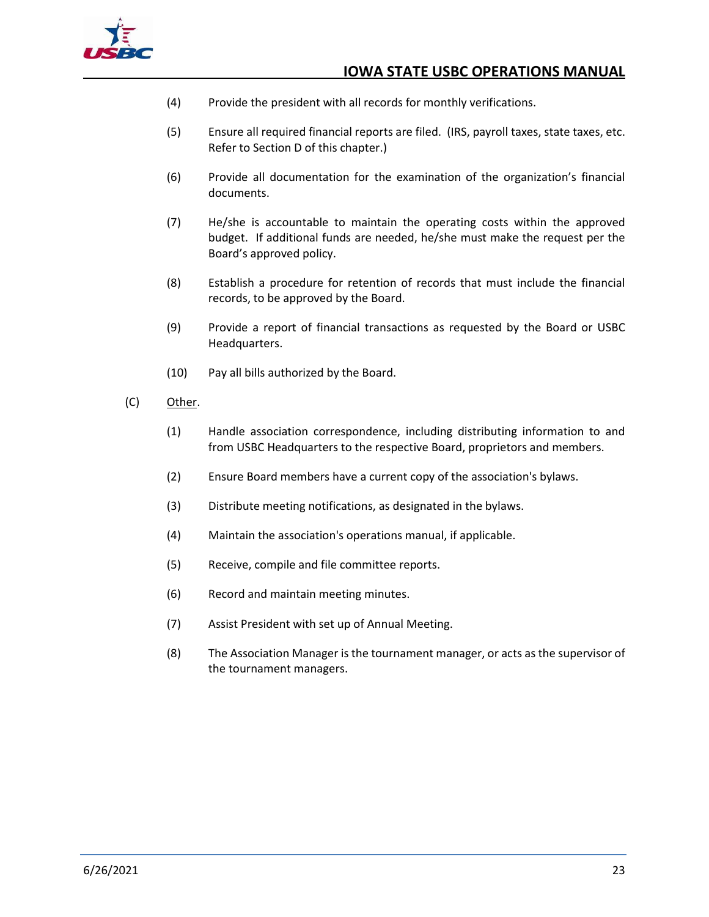

- (4) Provide the president with all records for monthly verifications.
- (5) Ensure all required financial reports are filed. (IRS, payroll taxes, state taxes, etc. Refer to Section D of this chapter.)
- (6) Provide all documentation for the examination of the organization's financial documents.
- (7) He/she is accountable to maintain the operating costs within the approved budget. If additional funds are needed, he/she must make the request per the Board's approved policy.
- (8) Establish a procedure for retention of records that must include the financial records, to be approved by the Board.
- (9) Provide a report of financial transactions as requested by the Board or USBC Headquarters.
- (10) Pay all bills authorized by the Board.
- (C) Other.
	- (1) Handle association correspondence, including distributing information to and from USBC Headquarters to the respective Board, proprietors and members.
	- (2) Ensure Board members have a current copy of the association's bylaws.
	- (3) Distribute meeting notifications, as designated in the bylaws.
	- (4) Maintain the association's operations manual, if applicable.
	- (5) Receive, compile and file committee reports.
	- (6) Record and maintain meeting minutes.
	- (7) Assist President with set up of Annual Meeting.
	- (8) The Association Manager is the tournament manager, or acts as the supervisor of the tournament managers.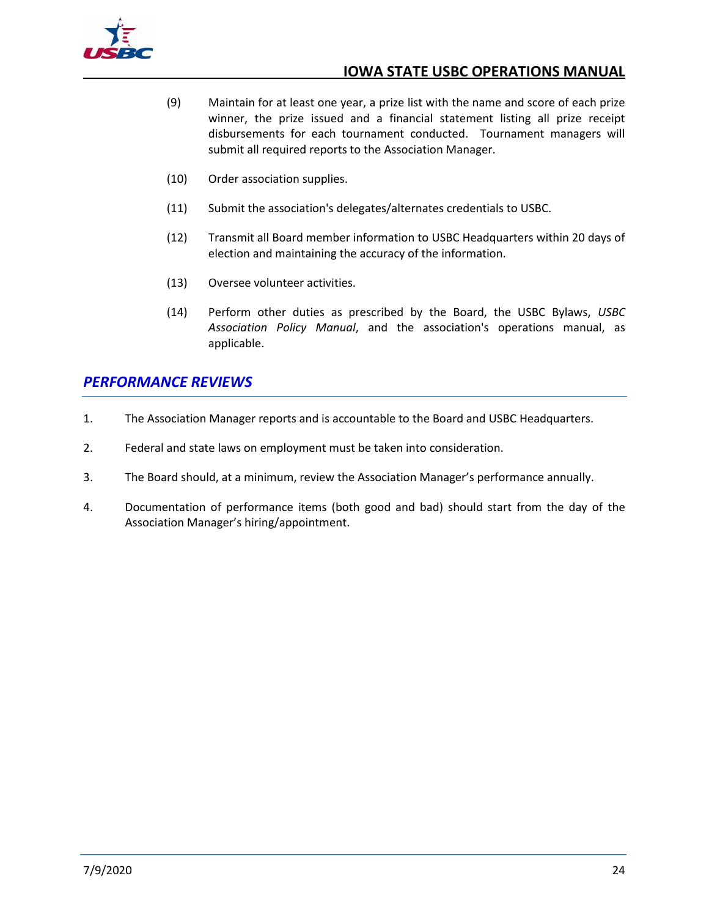

- (9) Maintain for at least one year, a prize list with the name and score of each prize winner, the prize issued and a financial statement listing all prize receipt disbursements for each tournament conducted. Tournament managers will submit all required reports to the Association Manager.
- (10) Order association supplies.
- (11) Submit the association's delegates/alternates credentials to USBC.
- (12) Transmit all Board member information to USBC Headquarters within 20 days of election and maintaining the accuracy of the information.
- (13) Oversee volunteer activities.
- (14) Perform other duties as prescribed by the Board, the USBC Bylaws, *USBC Association Policy Manual*, and the association's operations manual, as applicable.

## <span id="page-30-0"></span>*PERFORMANCE REVIEWS*

- 1. The Association Manager reports and is accountable to the Board and USBC Headquarters.
- 2. Federal and state laws on employment must be taken into consideration.
- 3. The Board should, at a minimum, review the Association Manager's performance annually.
- 4. Documentation of performance items (both good and bad) should start from the day of the Association Manager's hiring/appointment.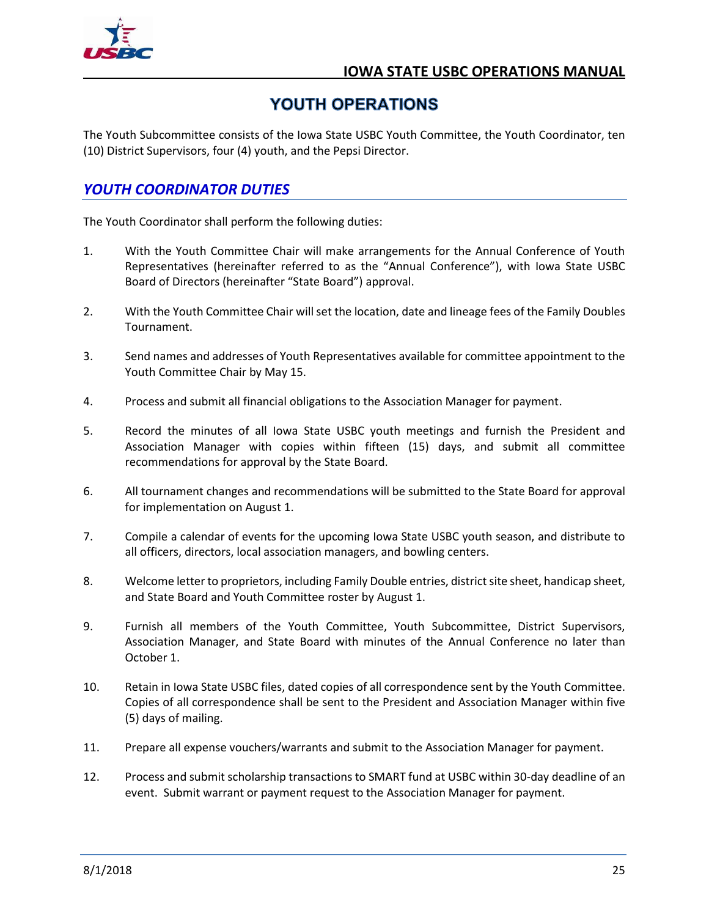

## YOUTH OPERATIONS

<span id="page-31-0"></span>The Youth Subcommittee consists of the Iowa State USBC Youth Committee, the Youth Coordinator, ten (10) District Supervisors, four (4) youth, and the Pepsi Director.

## <span id="page-31-1"></span>*YOUTH COORDINATOR DUTIES*

The Youth Coordinator shall perform the following duties:

- 1. With the Youth Committee Chair will make arrangements for the Annual Conference of Youth Representatives (hereinafter referred to as the "Annual Conference"), with Iowa State USBC Board of Directors (hereinafter "State Board") approval.
- 2. With the Youth Committee Chair will set the location, date and lineage fees of the Family Doubles Tournament.
- 3. Send names and addresses of Youth Representatives available for committee appointment to the Youth Committee Chair by May 15.
- 4. Process and submit all financial obligations to the Association Manager for payment.
- 5. Record the minutes of all Iowa State USBC youth meetings and furnish the President and Association Manager with copies within fifteen (15) days, and submit all committee recommendations for approval by the State Board.
- 6. All tournament changes and recommendations will be submitted to the State Board for approval for implementation on August 1.
- 7. Compile a calendar of events for the upcoming Iowa State USBC youth season, and distribute to all officers, directors, local association managers, and bowling centers.
- 8. Welcome letter to proprietors, including Family Double entries, district site sheet, handicap sheet, and State Board and Youth Committee roster by August 1.
- 9. Furnish all members of the Youth Committee, Youth Subcommittee, District Supervisors, Association Manager, and State Board with minutes of the Annual Conference no later than October 1.
- 10. Retain in Iowa State USBC files, dated copies of all correspondence sent by the Youth Committee. Copies of all correspondence shall be sent to the President and Association Manager within five (5) days of mailing.
- 11. Prepare all expense vouchers/warrants and submit to the Association Manager for payment.
- 12. Process and submit scholarship transactions to SMART fund at USBC within 30-day deadline of an event. Submit warrant or payment request to the Association Manager for payment.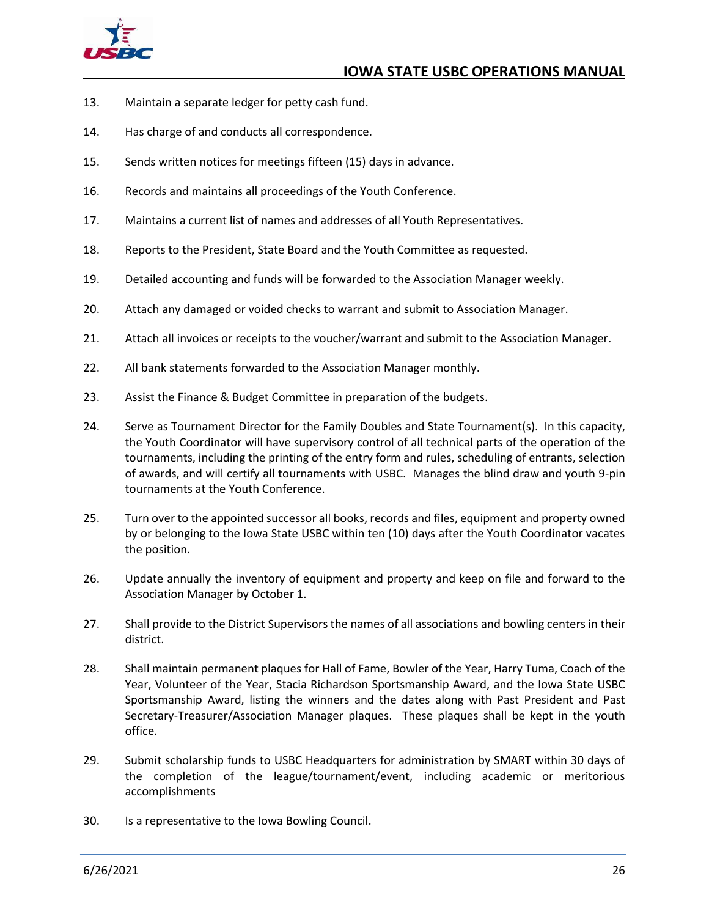

- 13. Maintain a separate ledger for petty cash fund.
- 14. Has charge of and conducts all correspondence.
- 15. Sends written notices for meetings fifteen (15) days in advance.
- 16. Records and maintains all proceedings of the Youth Conference.
- 17. Maintains a current list of names and addresses of all Youth Representatives.
- 18. Reports to the President, State Board and the Youth Committee as requested.
- 19. Detailed accounting and funds will be forwarded to the Association Manager weekly.
- 20. Attach any damaged or voided checks to warrant and submit to Association Manager.
- 21. Attach all invoices or receipts to the voucher/warrant and submit to the Association Manager.
- 22. All bank statements forwarded to the Association Manager monthly.
- 23. Assist the Finance & Budget Committee in preparation of the budgets.
- 24. Serve as Tournament Director for the Family Doubles and State Tournament(s). In this capacity, the Youth Coordinator will have supervisory control of all technical parts of the operation of the tournaments, including the printing of the entry form and rules, scheduling of entrants, selection of awards, and will certify all tournaments with USBC. Manages the blind draw and youth 9-pin tournaments at the Youth Conference.
- 25. Turn over to the appointed successor all books, records and files, equipment and property owned by or belonging to the Iowa State USBC within ten (10) days after the Youth Coordinator vacates the position.
- 26. Update annually the inventory of equipment and property and keep on file and forward to the Association Manager by October 1.
- 27. Shall provide to the District Supervisors the names of all associations and bowling centers in their district.
- 28. Shall maintain permanent plaques for Hall of Fame, Bowler of the Year, Harry Tuma, Coach of the Year, Volunteer of the Year, Stacia Richardson Sportsmanship Award, and the Iowa State USBC Sportsmanship Award, listing the winners and the dates along with Past President and Past Secretary-Treasurer/Association Manager plaques. These plaques shall be kept in the youth office.
- 29. Submit scholarship funds to USBC Headquarters for administration by SMART within 30 days of the completion of the league/tournament/event, including academic or meritorious accomplishments
- 30. Is a representative to the Iowa Bowling Council.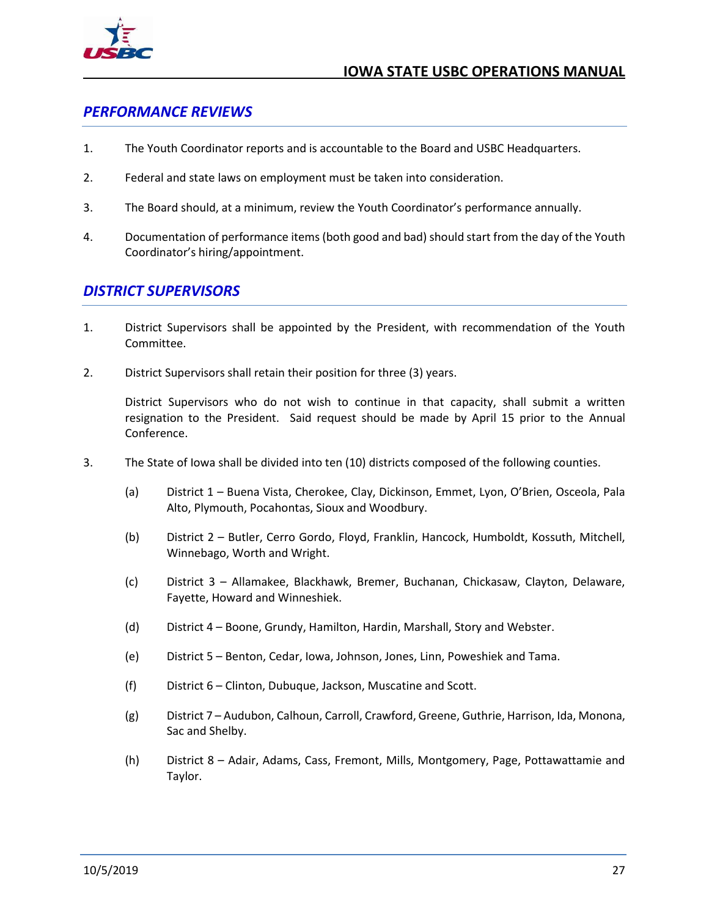

## <span id="page-33-0"></span>*PERFORMANCE REVIEWS*

- 1. The Youth Coordinator reports and is accountable to the Board and USBC Headquarters.
- 2. Federal and state laws on employment must be taken into consideration.
- 3. The Board should, at a minimum, review the Youth Coordinator's performance annually.
- 4. Documentation of performance items (both good and bad) should start from the day of the Youth Coordinator's hiring/appointment.

## <span id="page-33-1"></span>*DISTRICT SUPERVISORS*

- 1. District Supervisors shall be appointed by the President, with recommendation of the Youth Committee.
- 2. District Supervisors shall retain their position for three (3) years.

District Supervisors who do not wish to continue in that capacity, shall submit a written resignation to the President. Said request should be made by April 15 prior to the Annual Conference.

- 3. The State of Iowa shall be divided into ten (10) districts composed of the following counties.
	- (a) District 1 Buena Vista, Cherokee, Clay, Dickinson, Emmet, Lyon, O'Brien, Osceola, Pala Alto, Plymouth, Pocahontas, Sioux and Woodbury.
	- (b) District 2 Butler, Cerro Gordo, Floyd, Franklin, Hancock, Humboldt, Kossuth, Mitchell, Winnebago, Worth and Wright.
	- (c) District 3 Allamakee, Blackhawk, Bremer, Buchanan, Chickasaw, Clayton, Delaware, Fayette, Howard and Winneshiek.
	- (d) District 4 Boone, Grundy, Hamilton, Hardin, Marshall, Story and Webster.
	- (e) District 5 Benton, Cedar, Iowa, Johnson, Jones, Linn, Poweshiek and Tama.
	- (f) District 6 Clinton, Dubuque, Jackson, Muscatine and Scott.
	- (g) District 7 Audubon, Calhoun, Carroll, Crawford, Greene, Guthrie, Harrison, Ida, Monona, Sac and Shelby.
	- (h) District 8 Adair, Adams, Cass, Fremont, Mills, Montgomery, Page, Pottawattamie and Taylor.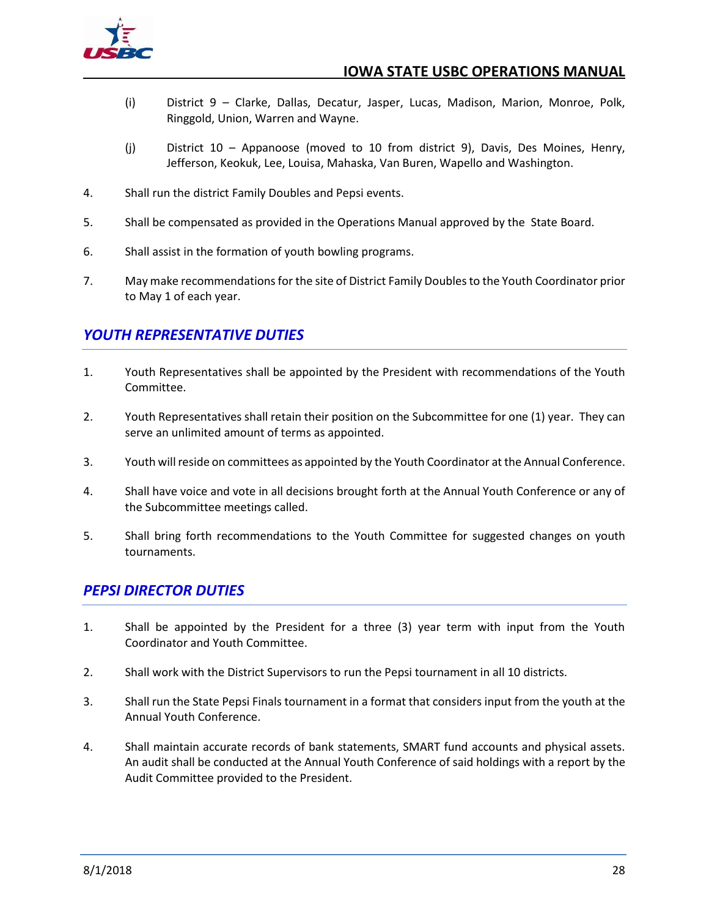

- (i) District 9 Clarke, Dallas, Decatur, Jasper, Lucas, Madison, Marion, Monroe, Polk, Ringgold, Union, Warren and Wayne.
- (j) District 10 Appanoose (moved to 10 from district 9), Davis, Des Moines, Henry, Jefferson, Keokuk, Lee, Louisa, Mahaska, Van Buren, Wapello and Washington.
- 4. Shall run the district Family Doubles and Pepsi events.
- 5. Shall be compensated as provided in the Operations Manual approved by the State Board.
- 6. Shall assist in the formation of youth bowling programs.
- 7. May make recommendations for the site of District Family Doubles to the Youth Coordinator prior to May 1 of each year.

## <span id="page-34-0"></span>*YOUTH REPRESENTATIVE DUTIES*

- 1. Youth Representatives shall be appointed by the President with recommendations of the Youth Committee.
- 2. Youth Representatives shall retain their position on the Subcommittee for one (1) year. They can serve an unlimited amount of terms as appointed.
- 3. Youth will reside on committees as appointed by the Youth Coordinator at the Annual Conference.
- 4. Shall have voice and vote in all decisions brought forth at the Annual Youth Conference or any of the Subcommittee meetings called.
- 5. Shall bring forth recommendations to the Youth Committee for suggested changes on youth tournaments.

## <span id="page-34-1"></span>*PEPSI DIRECTOR DUTIES*

- 1. Shall be appointed by the President for a three (3) year term with input from the Youth Coordinator and Youth Committee.
- 2. Shall work with the District Supervisors to run the Pepsi tournament in all 10 districts.
- 3. Shall run the State Pepsi Finals tournament in a format that considers input from the youth at the Annual Youth Conference.
- 4. Shall maintain accurate records of bank statements, SMART fund accounts and physical assets. An audit shall be conducted at the Annual Youth Conference of said holdings with a report by the Audit Committee provided to the President.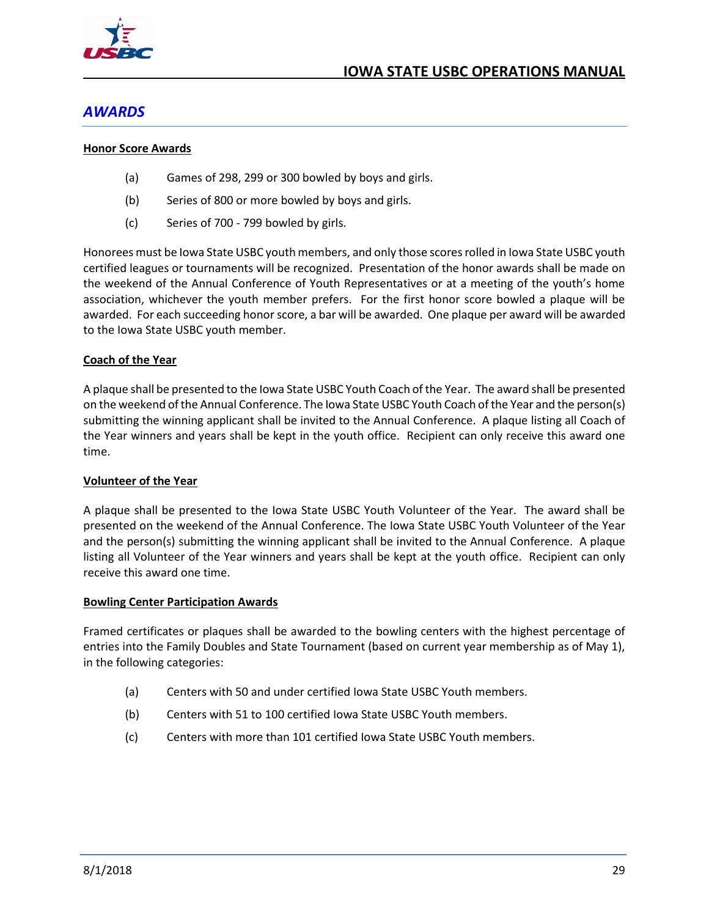

## <span id="page-35-0"></span>*AWARDS*

#### <span id="page-35-1"></span>**Honor Score Awards**

- (a) Games of 298, 299 or 300 bowled by boys and girls.
- (b) Series of 800 or more bowled by boys and girls.
- (c) Series of 700 799 bowled by girls.

Honorees must be Iowa State USBC youth members, and only those scores rolled in Iowa State USBC youth certified leagues or tournaments will be recognized. Presentation of the honor awards shall be made on the weekend of the Annual Conference of Youth Representatives or at a meeting of the youth's home association, whichever the youth member prefers. For the first honor score bowled a plaque will be awarded. For each succeeding honor score, a bar will be awarded. One plaque per award will be awarded to the Iowa State USBC youth member.

#### <span id="page-35-2"></span>**Coach of the Year**

A plaque shall be presented to the Iowa State USBC Youth Coach of the Year. The award shall be presented on the weekend of the Annual Conference. The Iowa State USBC Youth Coach of the Year and the person(s) submitting the winning applicant shall be invited to the Annual Conference. A plaque listing all Coach of the Year winners and years shall be kept in the youth office. Recipient can only receive this award one time.

#### <span id="page-35-3"></span>**Volunteer of the Year**

A plaque shall be presented to the Iowa State USBC Youth Volunteer of the Year. The award shall be presented on the weekend of the Annual Conference. The Iowa State USBC Youth Volunteer of the Year and the person(s) submitting the winning applicant shall be invited to the Annual Conference. A plaque listing all Volunteer of the Year winners and years shall be kept at the youth office. Recipient can only receive this award one time.

#### <span id="page-35-4"></span>**Bowling Center Participation Awards**

Framed certificates or plaques shall be awarded to the bowling centers with the highest percentage of entries into the Family Doubles and State Tournament (based on current year membership as of May 1), in the following categories:

- (a) Centers with 50 and under certified Iowa State USBC Youth members.
- (b) Centers with 51 to 100 certified Iowa State USBC Youth members.
- (c) Centers with more than 101 certified Iowa State USBC Youth members.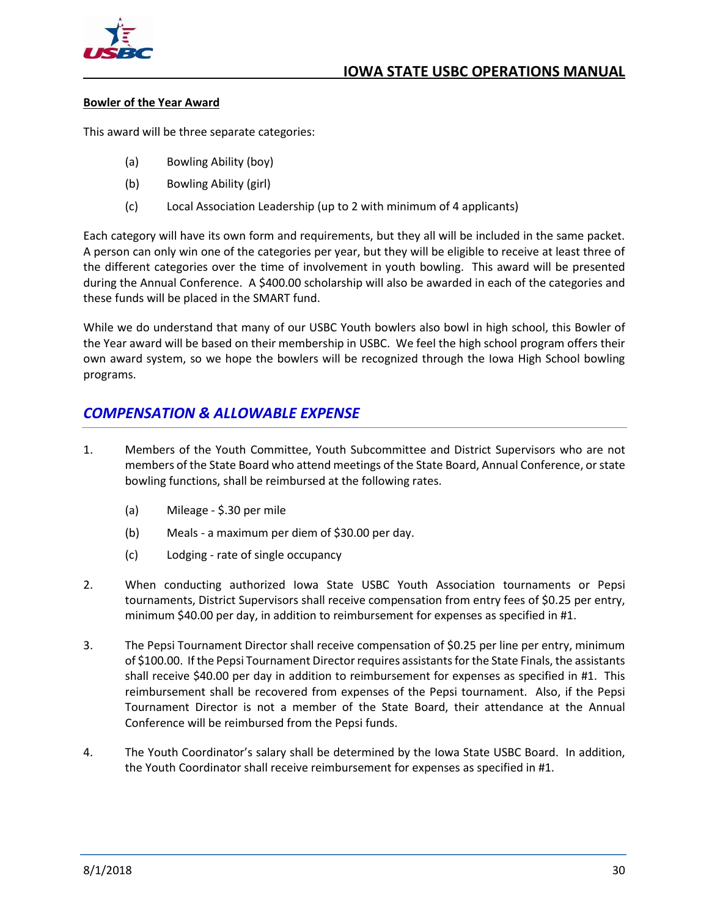

#### <span id="page-36-0"></span>**Bowler of the Year Award**

This award will be three separate categories:

- (a) Bowling Ability (boy)
- (b) Bowling Ability (girl)
- (c) Local Association Leadership (up to 2 with minimum of 4 applicants)

Each category will have its own form and requirements, but they all will be included in the same packet. A person can only win one of the categories per year, but they will be eligible to receive at least three of the different categories over the time of involvement in youth bowling. This award will be presented during the Annual Conference. A \$400.00 scholarship will also be awarded in each of the categories and these funds will be placed in the SMART fund.

While we do understand that many of our USBC Youth bowlers also bowl in high school, this Bowler of the Year award will be based on their membership in USBC. We feel the high school program offers their own award system, so we hope the bowlers will be recognized through the Iowa High School bowling programs.

## <span id="page-36-1"></span>*COMPENSATION & ALLOWABLE EXPENSE*

- 1. Members of the Youth Committee, Youth Subcommittee and District Supervisors who are not members of the State Board who attend meetings of the State Board, Annual Conference, or state bowling functions, shall be reimbursed at the following rates.
	- (a) Mileage \$.30 per mile
	- (b) Meals a maximum per diem of \$30.00 per day.
	- (c) Lodging rate of single occupancy
- 2. When conducting authorized Iowa State USBC Youth Association tournaments or Pepsi tournaments, District Supervisors shall receive compensation from entry fees of \$0.25 per entry, minimum \$40.00 per day, in addition to reimbursement for expenses as specified in #1.
- 3. The Pepsi Tournament Director shall receive compensation of \$0.25 per line per entry, minimum of \$100.00. If the Pepsi Tournament Director requires assistants for the State Finals, the assistants shall receive \$40.00 per day in addition to reimbursement for expenses as specified in #1. This reimbursement shall be recovered from expenses of the Pepsi tournament. Also, if the Pepsi Tournament Director is not a member of the State Board, their attendance at the Annual Conference will be reimbursed from the Pepsi funds.
- 4. The Youth Coordinator's salary shall be determined by the Iowa State USBC Board. In addition, the Youth Coordinator shall receive reimbursement for expenses as specified in #1.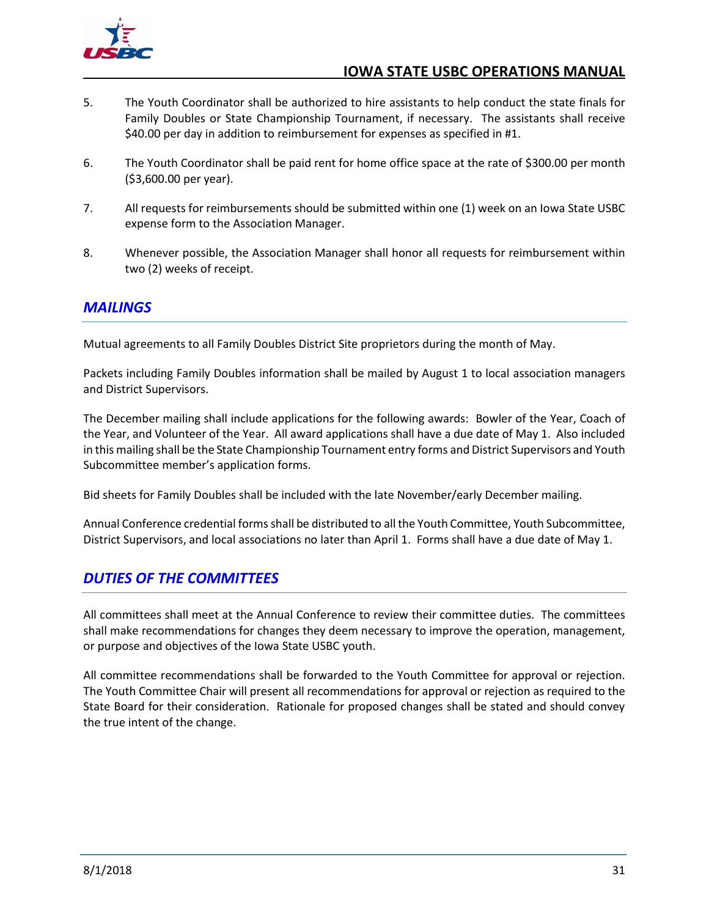

- 5. The Youth Coordinator shall be authorized to hire assistants to help conduct the state finals for Family Doubles or State Championship Tournament, if necessary. The assistants shall receive \$40.00 per day in addition to reimbursement for expenses as specified in #1.
- 6. The Youth Coordinator shall be paid rent for home office space at the rate of \$300.00 per month (\$3,600.00 per year).
- 7. All requests for reimbursements should be submitted within one (1) week on an Iowa State USBC expense form to the Association Manager.
- 8. Whenever possible, the Association Manager shall honor all requests for reimbursement within two (2) weeks of receipt.

## <span id="page-37-0"></span>*MAILINGS*

Mutual agreements to all Family Doubles District Site proprietors during the month of May.

Packets including Family Doubles information shall be mailed by August 1 to local association managers and District Supervisors.

The December mailing shall include applications for the following awards: Bowler of the Year, Coach of the Year, and Volunteer of the Year. All award applications shall have a due date of May 1. Also included in this mailing shall be the State Championship Tournament entry forms and District Supervisors and Youth Subcommittee member's application forms.

Bid sheets for Family Doubles shall be included with the late November/early December mailing.

Annual Conference credential forms shall be distributed to all the Youth Committee, Youth Subcommittee, District Supervisors, and local associations no later than April 1. Forms shall have a due date of May 1.

## <span id="page-37-1"></span>*DUTIES OF THE COMMITTEES*

All committees shall meet at the Annual Conference to review their committee duties. The committees shall make recommendations for changes they deem necessary to improve the operation, management, or purpose and objectives of the Iowa State USBC youth.

All committee recommendations shall be forwarded to the Youth Committee for approval or rejection. The Youth Committee Chair will present all recommendations for approval or rejection as required to the State Board for their consideration. Rationale for proposed changes shall be stated and should convey the true intent of the change.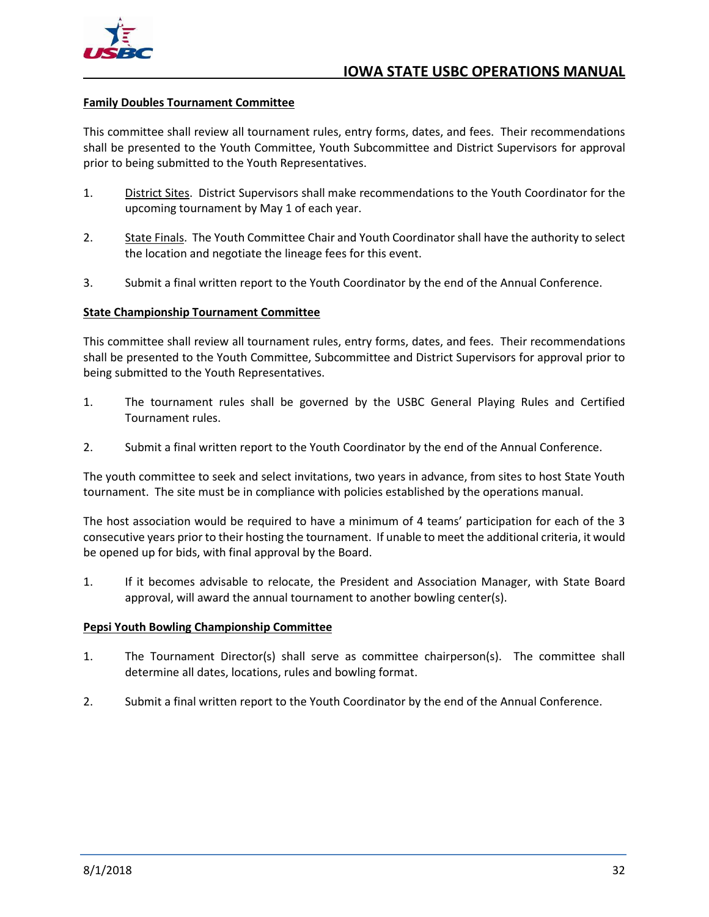

#### <span id="page-38-0"></span>**Family Doubles Tournament Committee**

This committee shall review all tournament rules, entry forms, dates, and fees. Their recommendations shall be presented to the Youth Committee, Youth Subcommittee and District Supervisors for approval prior to being submitted to the Youth Representatives.

- 1. District Sites. District Supervisors shall make recommendations to the Youth Coordinator for the upcoming tournament by May 1 of each year.
- 2. State Finals. The Youth Committee Chair and Youth Coordinator shall have the authority to select the location and negotiate the lineage fees for this event.
- 3. Submit a final written report to the Youth Coordinator by the end of the Annual Conference.

#### <span id="page-38-1"></span>**State Championship Tournament Committee**

This committee shall review all tournament rules, entry forms, dates, and fees. Their recommendations shall be presented to the Youth Committee, Subcommittee and District Supervisors for approval prior to being submitted to the Youth Representatives.

- 1. The tournament rules shall be governed by the USBC General Playing Rules and Certified Tournament rules.
- 2. Submit a final written report to the Youth Coordinator by the end of the Annual Conference.

The youth committee to seek and select invitations, two years in advance, from sites to host State Youth tournament. The site must be in compliance with policies established by the operations manual.

The host association would be required to have a minimum of 4 teams' participation for each of the 3 consecutive years prior to their hosting the tournament. If unable to meet the additional criteria, it would be opened up for bids, with final approval by the Board.

1. If it becomes advisable to relocate, the President and Association Manager, with State Board approval, will award the annual tournament to another bowling center(s).

#### <span id="page-38-2"></span>**Pepsi Youth Bowling Championship Committee**

- 1. The Tournament Director(s) shall serve as committee chairperson(s). The committee shall determine all dates, locations, rules and bowling format.
- 2. Submit a final written report to the Youth Coordinator by the end of the Annual Conference.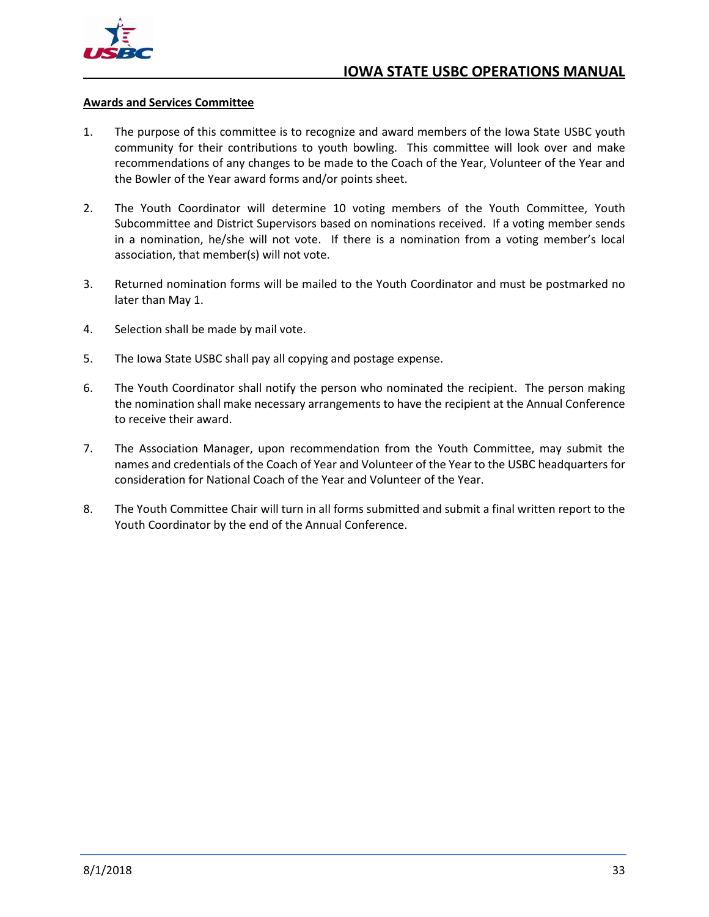

#### <span id="page-39-0"></span>**Awards and Services Committee**

- 1. The purpose of this committee is to recognize and award members of the Iowa State USBC youth community for their contributions to youth bowling. This committee will look over and make recommendations of any changes to be made to the Coach of the Year, Volunteer of the Year and the Bowler of the Year award forms and/or points sheet.
- 2. The Youth Coordinator will determine 10 voting members of the Youth Committee, Youth Subcommittee and District Supervisors based on nominations received. If a voting member sends in a nomination, he/she will not vote. If there is a nomination from a voting member's local association, that member(s) will not vote.
- 3. Returned nomination forms will be mailed to the Youth Coordinator and must be postmarked no later than May 1.
- 4. Selection shall be made by mail vote.
- 5. The Iowa State USBC shall pay all copying and postage expense.
- 6. The Youth Coordinator shall notify the person who nominated the recipient. The person making the nomination shall make necessary arrangements to have the recipient at the Annual Conference to receive their award.
- 7. The Association Manager, upon recommendation from the Youth Committee, may submit the names and credentials of the Coach of Year and Volunteer of the Year to the USBC headquarters for consideration for National Coach of the Year and Volunteer of the Year.
- 8. The Youth Committee Chair will turn in all forms submitted and submit a final written report to the Youth Coordinator by the end of the Annual Conference.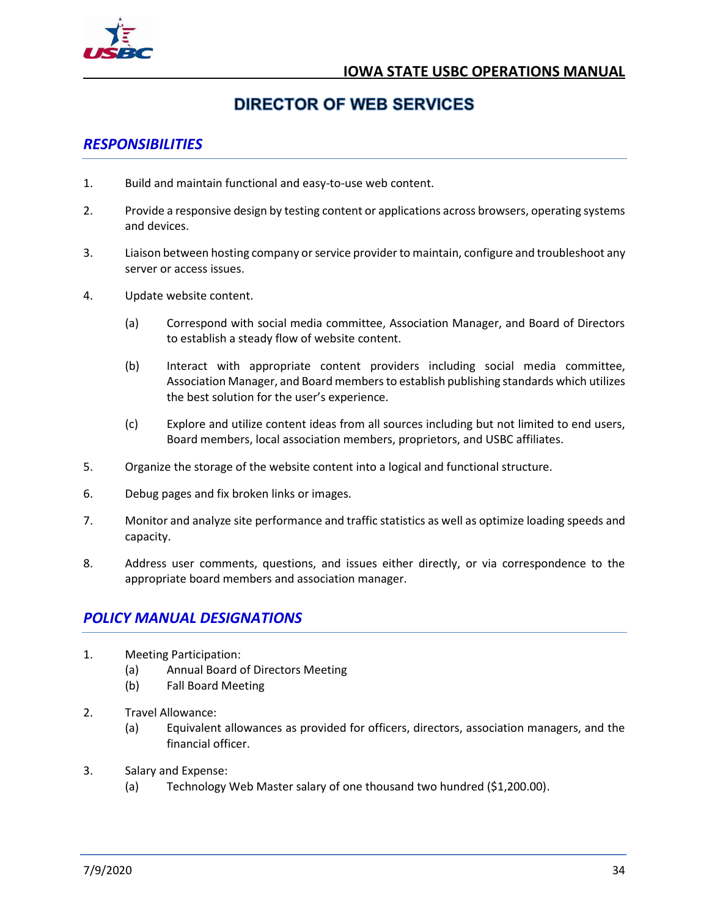

## **DIRECTOR OF WEB SERVICES**

## <span id="page-40-1"></span><span id="page-40-0"></span>*RESPONSIBILITIES*

- 1. Build and maintain functional and easy-to-use web content.
- 2. Provide a responsive design by testing content or applications across browsers, operating systems and devices.
- 3. Liaison between hosting company or service provider to maintain, configure and troubleshoot any server or access issues.
- 4. Update website content.
	- (a) Correspond with social media committee, Association Manager, and Board of Directors to establish a steady flow of website content.
	- (b) Interact with appropriate content providers including social media committee, Association Manager, and Board members to establish publishing standards which utilizes the best solution for the user's experience.
	- (c) Explore and utilize content ideas from all sources including but not limited to end users, Board members, local association members, proprietors, and USBC affiliates.
- 5. Organize the storage of the website content into a logical and functional structure.
- 6. Debug pages and fix broken links or images.
- 7. Monitor and analyze site performance and traffic statistics as well as optimize loading speeds and capacity.
- 8. Address user comments, questions, and issues either directly, or via correspondence to the appropriate board members and association manager.

## <span id="page-40-2"></span>*POLICY MANUAL DESIGNATIONS*

- 1. Meeting Participation:
	- (a) Annual Board of Directors Meeting
	- (b) Fall Board Meeting
- 2. Travel Allowance:
	- (a) Equivalent allowances as provided for officers, directors, association managers, and the financial officer.
- 3. Salary and Expense:
	- (a) Technology Web Master salary of one thousand two hundred (\$1,200.00).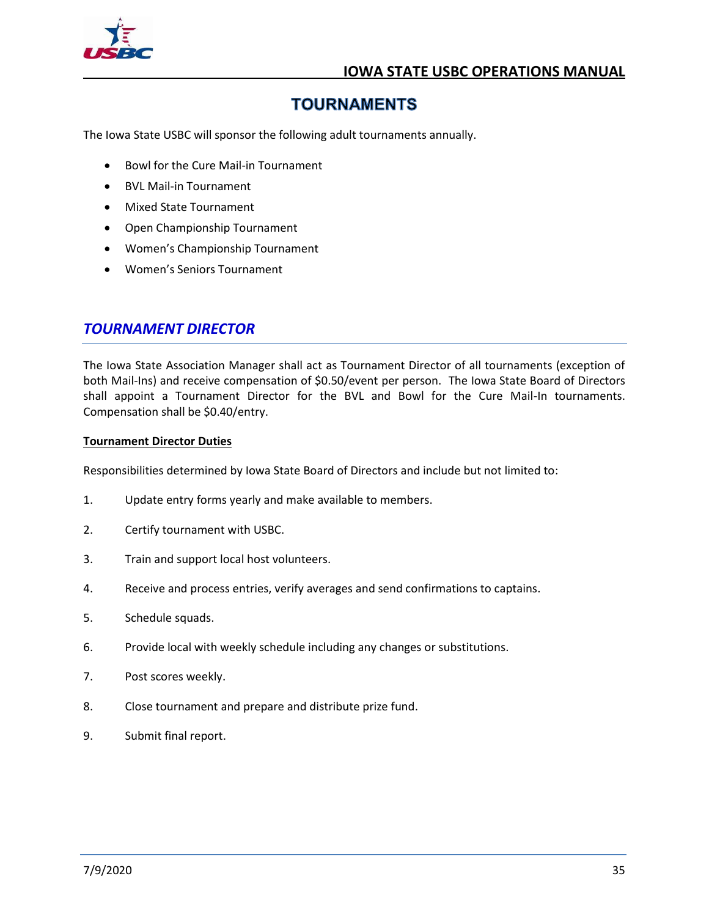

## **TOURNAMENTS**

<span id="page-41-0"></span>The Iowa State USBC will sponsor the following adult tournaments annually.

- Bowl for the Cure Mail-in Tournament
- BVL Mail-in Tournament
- Mixed State Tournament
- Open Championship Tournament
- Women's Championship Tournament
- Women's Seniors Tournament

## <span id="page-41-1"></span>*TOURNAMENT DIRECTOR*

The Iowa State Association Manager shall act as Tournament Director of all tournaments (exception of both Mail-Ins) and receive compensation of \$0.50/event per person. The Iowa State Board of Directors shall appoint a Tournament Director for the BVL and Bowl for the Cure Mail-In tournaments. Compensation shall be \$0.40/entry.

#### <span id="page-41-2"></span>**Tournament Director Duties**

Responsibilities determined by Iowa State Board of Directors and include but not limited to:

- 1. Update entry forms yearly and make available to members.
- 2. Certify tournament with USBC.
- 3. Train and support local host volunteers.
- 4. Receive and process entries, verify averages and send confirmations to captains.
- 5. Schedule squads.
- 6. Provide local with weekly schedule including any changes or substitutions.
- 7. Post scores weekly.
- 8. Close tournament and prepare and distribute prize fund.
- 9. Submit final report.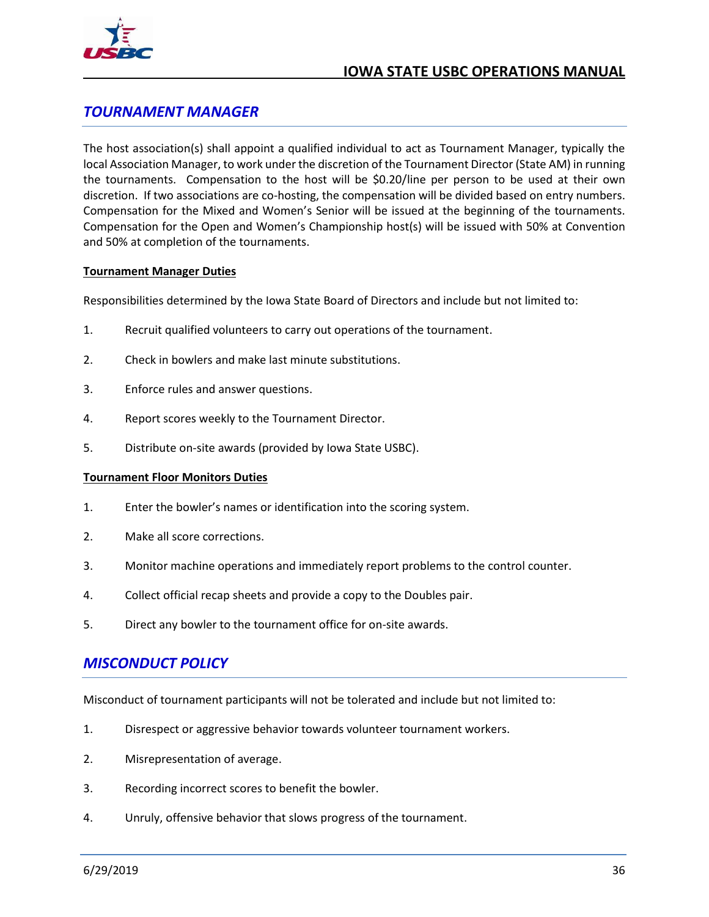

## <span id="page-42-0"></span>*TOURNAMENT MANAGER*

The host association(s) shall appoint a qualified individual to act as Tournament Manager, typically the local Association Manager, to work under the discretion of the Tournament Director (State AM) in running the tournaments. Compensation to the host will be \$0.20/line per person to be used at their own discretion. If two associations are co-hosting, the compensation will be divided based on entry numbers. Compensation for the Mixed and Women's Senior will be issued at the beginning of the tournaments. Compensation for the Open and Women's Championship host(s) will be issued with 50% at Convention and 50% at completion of the tournaments.

#### <span id="page-42-1"></span>**Tournament Manager Duties**

Responsibilities determined by the Iowa State Board of Directors and include but not limited to:

- 1. Recruit qualified volunteers to carry out operations of the tournament.
- 2. Check in bowlers and make last minute substitutions.
- 3. Enforce rules and answer questions.
- 4. Report scores weekly to the Tournament Director.
- 5. Distribute on-site awards (provided by Iowa State USBC).

#### <span id="page-42-2"></span>**Tournament Floor Monitors Duties**

- 1. Enter the bowler's names or identification into the scoring system.
- 2. Make all score corrections.
- 3. Monitor machine operations and immediately report problems to the control counter.
- 4. Collect official recap sheets and provide a copy to the Doubles pair.
- 5. Direct any bowler to the tournament office for on-site awards.

## <span id="page-42-3"></span>*MISCONDUCT POLICY*

Misconduct of tournament participants will not be tolerated and include but not limited to:

- 1. Disrespect or aggressive behavior towards volunteer tournament workers.
- 2. Misrepresentation of average.
- 3. Recording incorrect scores to benefit the bowler.
- 4. Unruly, offensive behavior that slows progress of the tournament.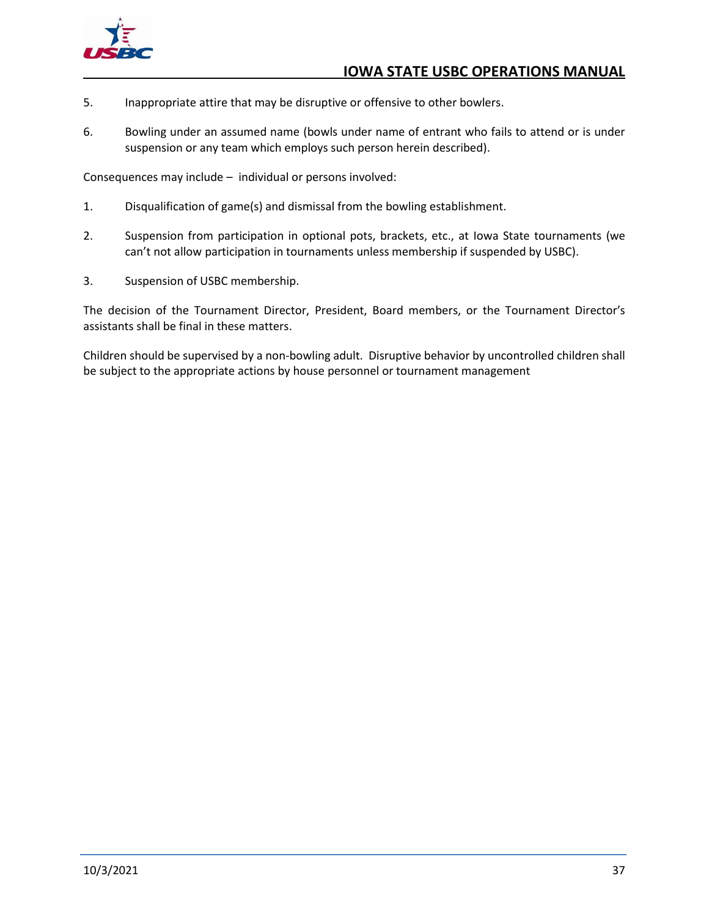

- 5. Inappropriate attire that may be disruptive or offensive to other bowlers.
- 6. Bowling under an assumed name (bowls under name of entrant who fails to attend or is under suspension or any team which employs such person herein described).

Consequences may include – individual or persons involved:

- 1. Disqualification of game(s) and dismissal from the bowling establishment.
- 2. Suspension from participation in optional pots, brackets, etc., at Iowa State tournaments (we can't not allow participation in tournaments unless membership if suspended by USBC).
- 3. Suspension of USBC membership.

The decision of the Tournament Director, President, Board members, or the Tournament Director's assistants shall be final in these matters.

Children should be supervised by a non-bowling adult. Disruptive behavior by uncontrolled children shall be subject to the appropriate actions by house personnel or tournament management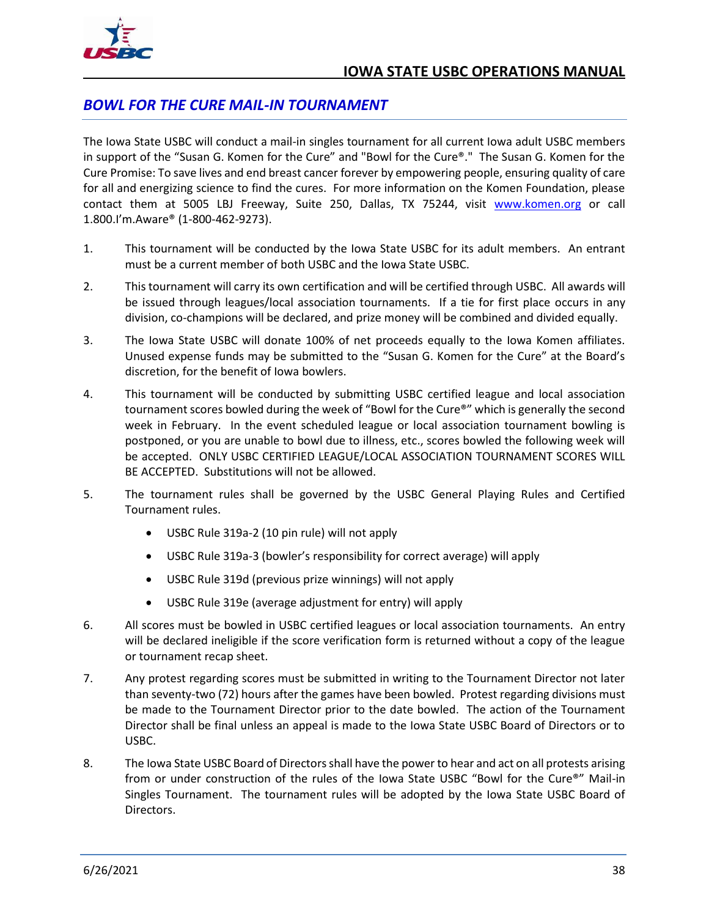## <span id="page-44-0"></span>*BOWL FOR THE CURE MAIL-IN TOURNAMENT*

The Iowa State USBC will conduct a mail-in singles tournament for all current Iowa adult USBC members in support of the "Susan G. Komen for the Cure" and "Bowl for the Cure®." The Susan G. Komen for the Cure Promise: To save lives and end breast cancer forever by empowering people, ensuring quality of care for all and energizing science to find the cures. For more information on the Komen Foundation, please contact them at 5005 LBJ Freeway, Suite 250, Dallas, TX 75244, visit [www.komen.org](http://www.komen.org/) or call 1.800.I'm.Aware® (1-800-462-9273).

- 1. This tournament will be conducted by the Iowa State USBC for its adult members. An entrant must be a current member of both USBC and the Iowa State USBC.
- 2. This tournament will carry its own certification and will be certified through USBC. All awards will be issued through leagues/local association tournaments. If a tie for first place occurs in any division, co-champions will be declared, and prize money will be combined and divided equally.
- 3. The Iowa State USBC will donate 100% of net proceeds equally to the Iowa Komen affiliates. Unused expense funds may be submitted to the "Susan G. Komen for the Cure" at the Board's discretion, for the benefit of Iowa bowlers.
- 4. This tournament will be conducted by submitting USBC certified league and local association tournament scores bowled during the week of "Bowl for the Cure®" which is generally the second week in February. In the event scheduled league or local association tournament bowling is postponed, or you are unable to bowl due to illness, etc., scores bowled the following week will be accepted. ONLY USBC CERTIFIED LEAGUE/LOCAL ASSOCIATION TOURNAMENT SCORES WILL BE ACCEPTED. Substitutions will not be allowed.
- 5. The tournament rules shall be governed by the USBC General Playing Rules and Certified Tournament rules.
	- USBC Rule 319a-2 (10 pin rule) will not apply
	- USBC Rule 319a-3 (bowler's responsibility for correct average) will apply
	- USBC Rule 319d (previous prize winnings) will not apply
	- USBC Rule 319e (average adjustment for entry) will apply
- 6. All scores must be bowled in USBC certified leagues or local association tournaments. An entry will be declared ineligible if the score verification form is returned without a copy of the league or tournament recap sheet.
- 7. Any protest regarding scores must be submitted in writing to the Tournament Director not later than seventy-two (72) hours after the games have been bowled. Protest regarding divisions must be made to the Tournament Director prior to the date bowled. The action of the Tournament Director shall be final unless an appeal is made to the Iowa State USBC Board of Directors or to USBC.
- 8. The Iowa State USBC Board of Directors shall have the power to hear and act on all protests arising from or under construction of the rules of the Iowa State USBC "Bowl for the Cure®" Mail-in Singles Tournament. The tournament rules will be adopted by the Iowa State USBC Board of Directors.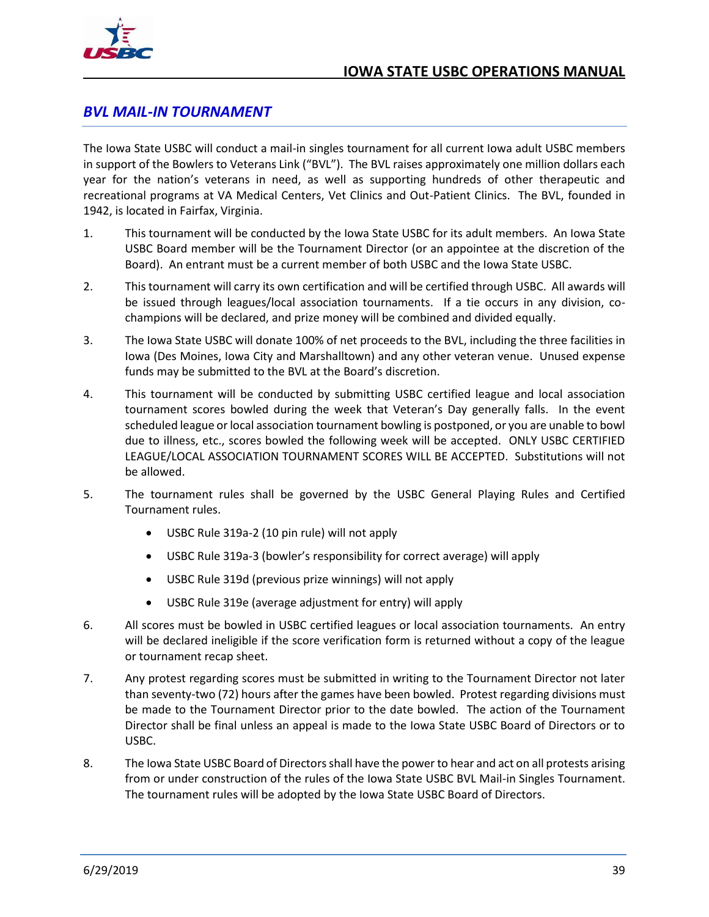

## <span id="page-45-0"></span>*BVL MAIL-IN TOURNAMENT*

The Iowa State USBC will conduct a mail-in singles tournament for all current Iowa adult USBC members in support of the Bowlers to Veterans Link ("BVL"). The BVL raises approximately one million dollars each year for the nation's veterans in need, as well as supporting hundreds of other therapeutic and recreational programs at VA Medical Centers, Vet Clinics and Out-Patient Clinics. The BVL, founded in 1942, is located in Fairfax, Virginia.

- 1. This tournament will be conducted by the Iowa State USBC for its adult members. An Iowa State USBC Board member will be the Tournament Director (or an appointee at the discretion of the Board). An entrant must be a current member of both USBC and the Iowa State USBC.
- 2. This tournament will carry its own certification and will be certified through USBC. All awards will be issued through leagues/local association tournaments. If a tie occurs in any division, cochampions will be declared, and prize money will be combined and divided equally.
- 3. The Iowa State USBC will donate 100% of net proceeds to the BVL, including the three facilities in Iowa (Des Moines, Iowa City and Marshalltown) and any other veteran venue. Unused expense funds may be submitted to the BVL at the Board's discretion.
- 4. This tournament will be conducted by submitting USBC certified league and local association tournament scores bowled during the week that Veteran's Day generally falls. In the event scheduled league or local association tournament bowling is postponed, or you are unable to bowl due to illness, etc., scores bowled the following week will be accepted. ONLY USBC CERTIFIED LEAGUE/LOCAL ASSOCIATION TOURNAMENT SCORES WILL BE ACCEPTED. Substitutions will not be allowed.
- 5. The tournament rules shall be governed by the USBC General Playing Rules and Certified Tournament rules.
	- USBC Rule 319a-2 (10 pin rule) will not apply
	- USBC Rule 319a-3 (bowler's responsibility for correct average) will apply
	- USBC Rule 319d (previous prize winnings) will not apply
	- USBC Rule 319e (average adjustment for entry) will apply
- 6. All scores must be bowled in USBC certified leagues or local association tournaments. An entry will be declared ineligible if the score verification form is returned without a copy of the league or tournament recap sheet.
- 7. Any protest regarding scores must be submitted in writing to the Tournament Director not later than seventy-two (72) hours after the games have been bowled. Protest regarding divisions must be made to the Tournament Director prior to the date bowled. The action of the Tournament Director shall be final unless an appeal is made to the Iowa State USBC Board of Directors or to USBC.
- 8. The Iowa State USBC Board of Directors shall have the power to hear and act on all protests arising from or under construction of the rules of the Iowa State USBC BVL Mail-in Singles Tournament. The tournament rules will be adopted by the Iowa State USBC Board of Directors.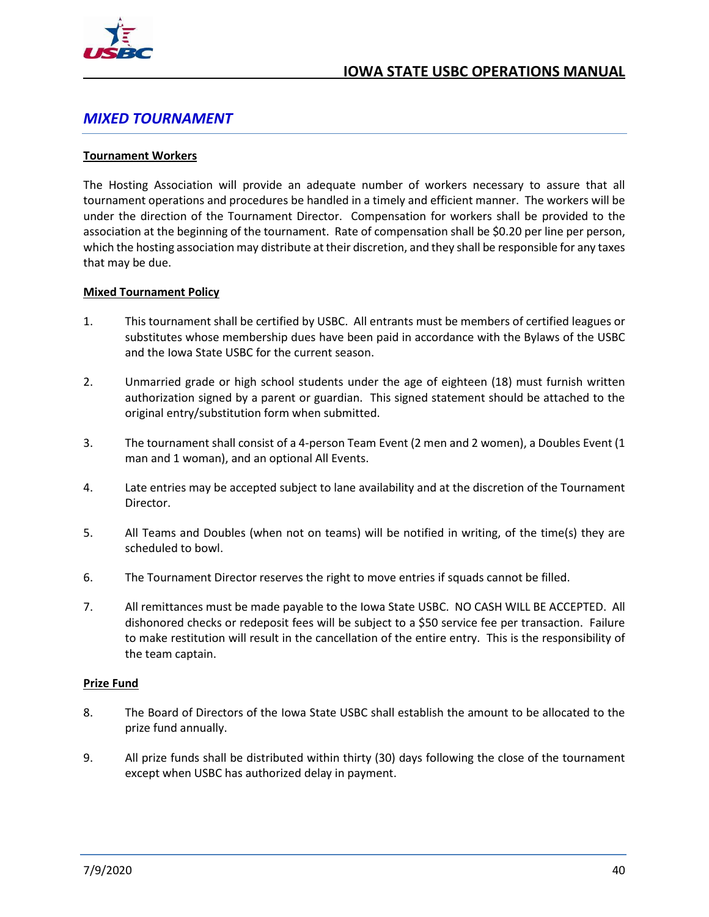

## <span id="page-46-0"></span>*MIXED TOURNAMENT*

#### <span id="page-46-1"></span>**Tournament Workers**

The Hosting Association will provide an adequate number of workers necessary to assure that all tournament operations and procedures be handled in a timely and efficient manner. The workers will be under the direction of the Tournament Director. Compensation for workers shall be provided to the association at the beginning of the tournament. Rate of compensation shall be \$0.20 per line per person, which the hosting association may distribute at their discretion, and they shall be responsible for any taxes that may be due.

#### <span id="page-46-2"></span>**Mixed Tournament Policy**

- 1. This tournament shall be certified by USBC. All entrants must be members of certified leagues or substitutes whose membership dues have been paid in accordance with the Bylaws of the USBC and the Iowa State USBC for the current season.
- 2. Unmarried grade or high school students under the age of eighteen (18) must furnish written authorization signed by a parent or guardian. This signed statement should be attached to the original entry/substitution form when submitted.
- 3. The tournament shall consist of a 4-person Team Event (2 men and 2 women), a Doubles Event (1 man and 1 woman), and an optional All Events.
- 4. Late entries may be accepted subject to lane availability and at the discretion of the Tournament Director.
- 5. All Teams and Doubles (when not on teams) will be notified in writing, of the time(s) they are scheduled to bowl.
- 6. The Tournament Director reserves the right to move entries if squads cannot be filled.
- 7. All remittances must be made payable to the Iowa State USBC. NO CASH WILL BE ACCEPTED. All dishonored checks or redeposit fees will be subject to a \$50 service fee per transaction. Failure to make restitution will result in the cancellation of the entire entry. This is the responsibility of the team captain.

#### <span id="page-46-3"></span>**Prize Fund**

- 8. The Board of Directors of the Iowa State USBC shall establish the amount to be allocated to the prize fund annually.
- 9. All prize funds shall be distributed within thirty (30) days following the close of the tournament except when USBC has authorized delay in payment.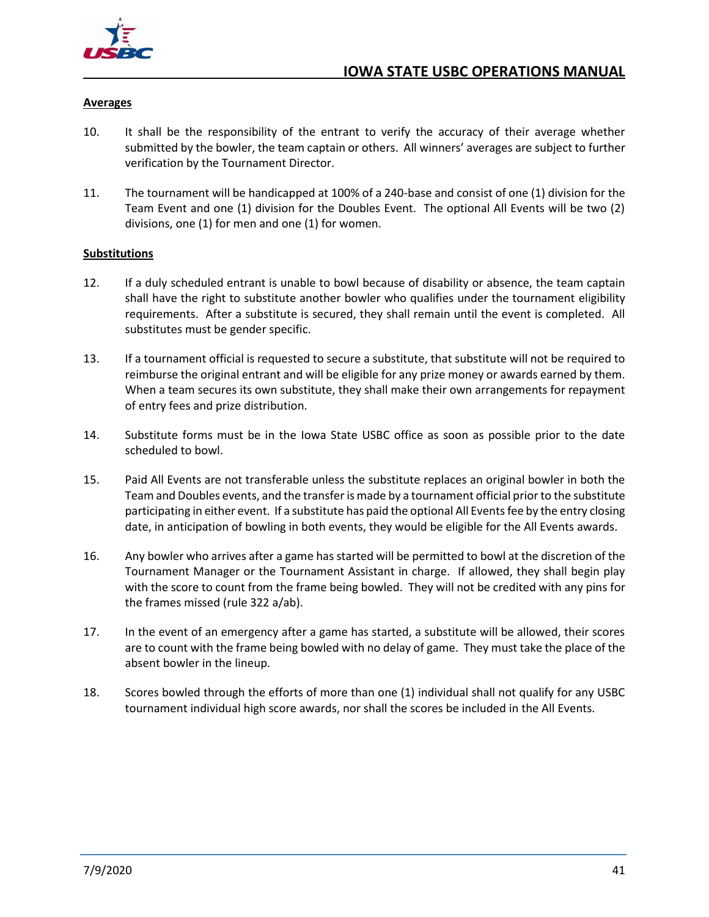

#### <span id="page-47-0"></span>**Averages**

- 10. It shall be the responsibility of the entrant to verify the accuracy of their average whether submitted by the bowler, the team captain or others. All winners' averages are subject to further verification by the Tournament Director.
- 11. The tournament will be handicapped at 100% of a 240-base and consist of one (1) division for the Team Event and one (1) division for the Doubles Event. The optional All Events will be two (2) divisions, one (1) for men and one (1) for women.

#### <span id="page-47-1"></span>**Substitutions**

- 12. If a duly scheduled entrant is unable to bowl because of disability or absence, the team captain shall have the right to substitute another bowler who qualifies under the tournament eligibility requirements. After a substitute is secured, they shall remain until the event is completed. All substitutes must be gender specific.
- 13. If a tournament official is requested to secure a substitute, that substitute will not be required to reimburse the original entrant and will be eligible for any prize money or awards earned by them. When a team secures its own substitute, they shall make their own arrangements for repayment of entry fees and prize distribution.
- 14. Substitute forms must be in the Iowa State USBC office as soon as possible prior to the date scheduled to bowl.
- 15. Paid All Events are not transferable unless the substitute replaces an original bowler in both the Team and Doubles events, and the transfer is made by a tournament official prior to the substitute participating in either event. If a substitute has paid the optional All Events fee by the entry closing date, in anticipation of bowling in both events, they would be eligible for the All Events awards.
- 16. Any bowler who arrives after a game has started will be permitted to bowl at the discretion of the Tournament Manager or the Tournament Assistant in charge. If allowed, they shall begin play with the score to count from the frame being bowled. They will not be credited with any pins for the frames missed (rule 322 a/ab).
- 17. In the event of an emergency after a game has started, a substitute will be allowed, their scores are to count with the frame being bowled with no delay of game. They must take the place of the absent bowler in the lineup.
- 18. Scores bowled through the efforts of more than one (1) individual shall not qualify for any USBC tournament individual high score awards, nor shall the scores be included in the All Events.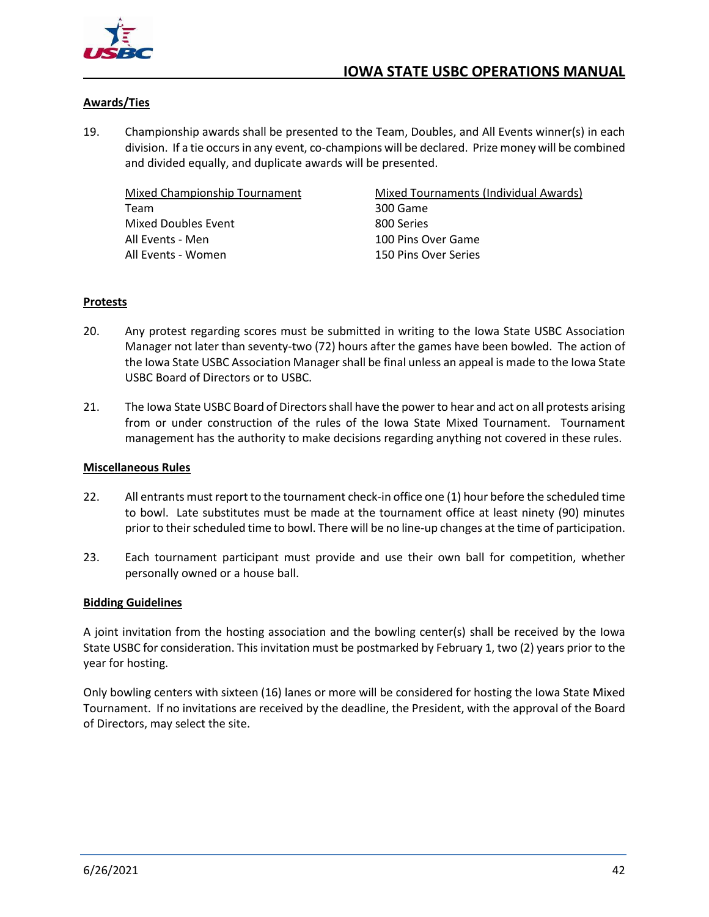

#### <span id="page-48-0"></span>**Awards/Ties**

19. Championship awards shall be presented to the Team, Doubles, and All Events winner(s) in each division. If a tie occurs in any event, co-champions will be declared. Prize money will be combined and divided equally, and duplicate awards will be presented.

<span id="page-48-1"></span>Mixed Championship Tournament Team Mixed Doubles Event All Events - Men All Events - Women

<span id="page-48-2"></span>Mixed Tournaments (Individual Awards) 300 Game 800 Series 100 Pins Over Game 150 Pins Over Series

#### <span id="page-48-3"></span>**Protests**

- 20. Any protest regarding scores must be submitted in writing to the Iowa State USBC Association Manager not later than seventy-two (72) hours after the games have been bowled. The action of the Iowa State USBC Association Manager shall be final unless an appeal is made to the Iowa State USBC Board of Directors or to USBC.
- 21. The Iowa State USBC Board of Directors shall have the power to hear and act on all protests arising from or under construction of the rules of the Iowa State Mixed Tournament. Tournament management has the authority to make decisions regarding anything not covered in these rules.

#### <span id="page-48-4"></span>**Miscellaneous Rules**

- 22. All entrants must report to the tournament check-in office one (1) hour before the scheduled time to bowl. Late substitutes must be made at the tournament office at least ninety (90) minutes prior to their scheduled time to bowl. There will be no line-up changes at the time of participation.
- 23. Each tournament participant must provide and use their own ball for competition, whether personally owned or a house ball.

#### <span id="page-48-5"></span>**Bidding Guidelines**

A joint invitation from the hosting association and the bowling center(s) shall be received by the Iowa State USBC for consideration. This invitation must be postmarked by February 1, two (2) years prior to the year for hosting.

Only bowling centers with sixteen (16) lanes or more will be considered for hosting the Iowa State Mixed Tournament. If no invitations are received by the deadline, the President, with the approval of the Board of Directors, may select the site.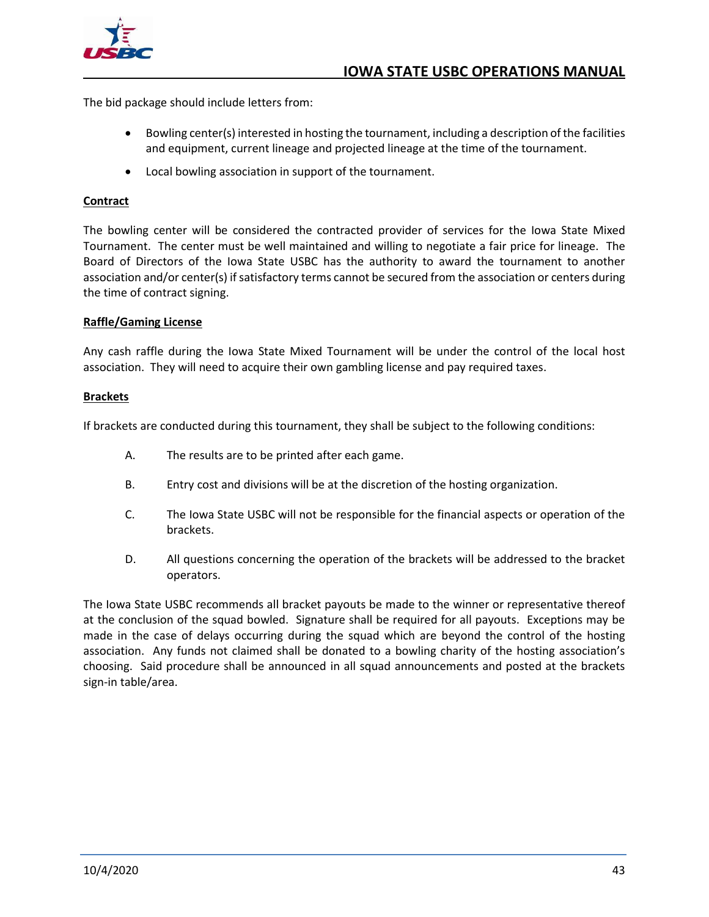

The bid package should include letters from:

- Bowling center(s) interested in hosting the tournament, including a description of the facilities and equipment, current lineage and projected lineage at the time of the tournament.
- Local bowling association in support of the tournament.

#### <span id="page-49-0"></span>**Contract**

The bowling center will be considered the contracted provider of services for the Iowa State Mixed Tournament. The center must be well maintained and willing to negotiate a fair price for lineage. The Board of Directors of the Iowa State USBC has the authority to award the tournament to another association and/or center(s) if satisfactory terms cannot be secured from the association or centers during the time of contract signing.

#### <span id="page-49-1"></span>**Raffle/Gaming License**

Any cash raffle during the Iowa State Mixed Tournament will be under the control of the local host association. They will need to acquire their own gambling license and pay required taxes.

#### <span id="page-49-2"></span>**Brackets**

If brackets are conducted during this tournament, they shall be subject to the following conditions:

- A. The results are to be printed after each game.
- B. Entry cost and divisions will be at the discretion of the hosting organization.
- C. The Iowa State USBC will not be responsible for the financial aspects or operation of the brackets.
- D. All questions concerning the operation of the brackets will be addressed to the bracket operators.

The Iowa State USBC recommends all bracket payouts be made to the winner or representative thereof at the conclusion of the squad bowled. Signature shall be required for all payouts. Exceptions may be made in the case of delays occurring during the squad which are beyond the control of the hosting association. Any funds not claimed shall be donated to a bowling charity of the hosting association's choosing. Said procedure shall be announced in all squad announcements and posted at the brackets sign-in table/area.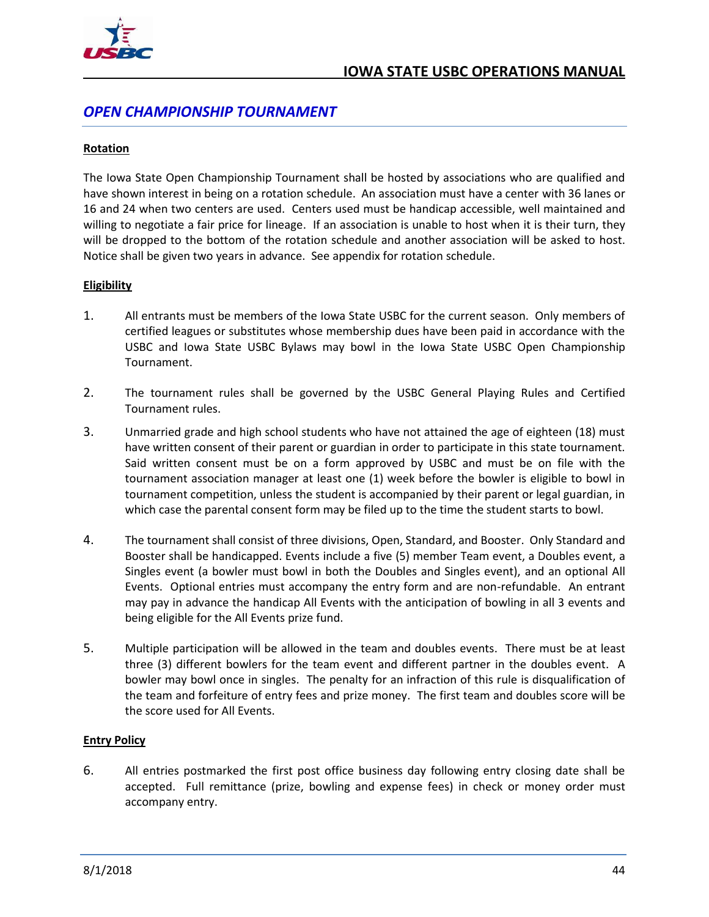

## <span id="page-50-0"></span>*OPEN CHAMPIONSHIP TOURNAMENT*

#### <span id="page-50-1"></span>**Rotation**

The Iowa State Open Championship Tournament shall be hosted by associations who are qualified and have shown interest in being on a rotation schedule. An association must have a center with 36 lanes or 16 and 24 when two centers are used. Centers used must be handicap accessible, well maintained and willing to negotiate a fair price for lineage. If an association is unable to host when it is their turn, they will be dropped to the bottom of the rotation schedule and another association will be asked to host. Notice shall be given two years in advance. See appendix for rotation schedule.

#### <span id="page-50-2"></span>**Eligibility**

- 1. All entrants must be members of the Iowa State USBC for the current season. Only members of certified leagues or substitutes whose membership dues have been paid in accordance with the USBC and Iowa State USBC Bylaws may bowl in the Iowa State USBC Open Championship Tournament.
- 2. The tournament rules shall be governed by the USBC General Playing Rules and Certified Tournament rules.
- 3. Unmarried grade and high school students who have not attained the age of eighteen (18) must have written consent of their parent or guardian in order to participate in this state tournament. Said written consent must be on a form approved by USBC and must be on file with the tournament association manager at least one (1) week before the bowler is eligible to bowl in tournament competition, unless the student is accompanied by their parent or legal guardian, in which case the parental consent form may be filed up to the time the student starts to bowl.
- 4. The tournament shall consist of three divisions, Open, Standard, and Booster. Only Standard and Booster shall be handicapped. Events include a five (5) member Team event, a Doubles event, a Singles event (a bowler must bowl in both the Doubles and Singles event), and an optional All Events. Optional entries must accompany the entry form and are non-refundable. An entrant may pay in advance the handicap All Events with the anticipation of bowling in all 3 events and being eligible for the All Events prize fund.
- 5. Multiple participation will be allowed in the team and doubles events. There must be at least three (3) different bowlers for the team event and different partner in the doubles event. A bowler may bowl once in singles. The penalty for an infraction of this rule is disqualification of the team and forfeiture of entry fees and prize money. The first team and doubles score will be the score used for All Events.

#### <span id="page-50-3"></span>**Entry Policy**

6. All entries postmarked the first post office business day following entry closing date shall be accepted. Full remittance (prize, bowling and expense fees) in check or money order must accompany entry.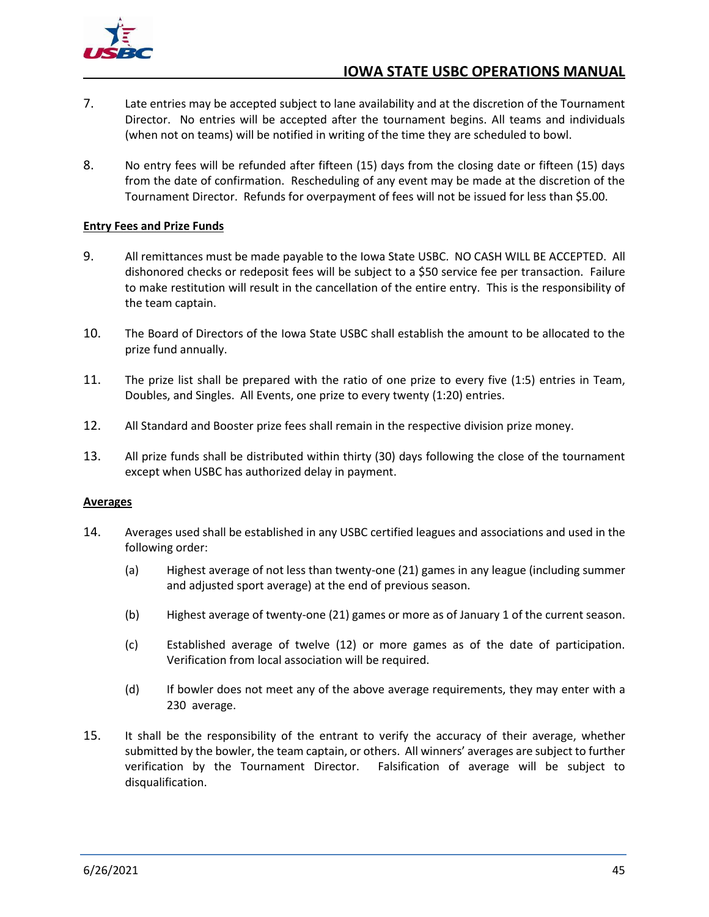

- 7. Late entries may be accepted subject to lane availability and at the discretion of the Tournament Director. No entries will be accepted after the tournament begins. All teams and individuals (when not on teams) will be notified in writing of the time they are scheduled to bowl.
- 8. No entry fees will be refunded after fifteen (15) days from the closing date or fifteen (15) days from the date of confirmation. Rescheduling of any event may be made at the discretion of the Tournament Director. Refunds for overpayment of fees will not be issued for less than \$5.00.

#### <span id="page-51-0"></span>**Entry Fees and Prize Funds**

- 9. All remittances must be made payable to the Iowa State USBC. NO CASH WILL BE ACCEPTED. All dishonored checks or redeposit fees will be subject to a \$50 service fee per transaction. Failure to make restitution will result in the cancellation of the entire entry. This is the responsibility of the team captain.
- 10. The Board of Directors of the Iowa State USBC shall establish the amount to be allocated to the prize fund annually.
- 11. The prize list shall be prepared with the ratio of one prize to every five (1:5) entries in Team, Doubles, and Singles. All Events, one prize to every twenty (1:20) entries.
- 12. All Standard and Booster prize fees shall remain in the respective division prize money.
- 13. All prize funds shall be distributed within thirty (30) days following the close of the tournament except when USBC has authorized delay in payment.

#### <span id="page-51-1"></span>**Averages**

- 14. Averages used shall be established in any USBC certified leagues and associations and used in the following order:
	- (a) Highest average of not less than twenty-one (21) games in any league (including summer and adjusted sport average) at the end of previous season.
	- (b) Highest average of twenty-one (21) games or more as of January 1 of the current season.
	- (c) Established average of twelve (12) or more games as of the date of participation. Verification from local association will be required.
	- (d) If bowler does not meet any of the above average requirements, they may enter with a 230 average.
- 15. It shall be the responsibility of the entrant to verify the accuracy of their average, whether submitted by the bowler, the team captain, or others. All winners' averages are subject to further verification by the Tournament Director. Falsification of average will be subject to disqualification.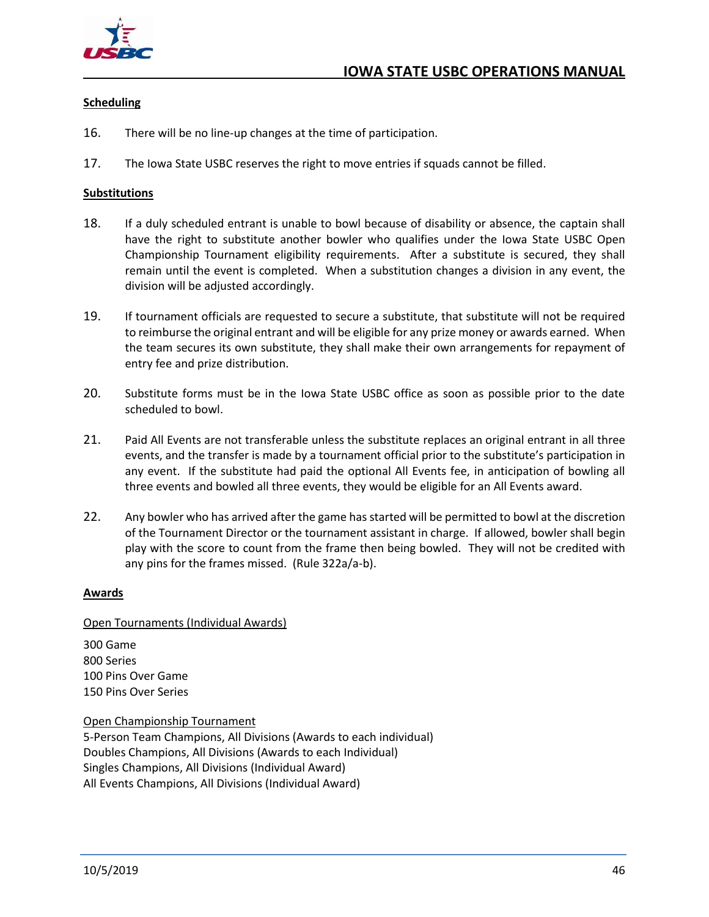

#### <span id="page-52-0"></span>**Scheduling**

- 16. There will be no line-up changes at the time of participation.
- 17. The Iowa State USBC reserves the right to move entries if squads cannot be filled.

#### <span id="page-52-1"></span>**Substitutions**

- 18. If a duly scheduled entrant is unable to bowl because of disability or absence, the captain shall have the right to substitute another bowler who qualifies under the Iowa State USBC Open Championship Tournament eligibility requirements. After a substitute is secured, they shall remain until the event is completed. When a substitution changes a division in any event, the division will be adjusted accordingly.
- 19. If tournament officials are requested to secure a substitute, that substitute will not be required to reimburse the original entrant and will be eligible for any prize money or awards earned. When the team secures its own substitute, they shall make their own arrangements for repayment of entry fee and prize distribution.
- 20. Substitute forms must be in the Iowa State USBC office as soon as possible prior to the date scheduled to bowl.
- 21. Paid All Events are not transferable unless the substitute replaces an original entrant in all three events, and the transfer is made by a tournament official prior to the substitute's participation in any event. If the substitute had paid the optional All Events fee, in anticipation of bowling all three events and bowled all three events, they would be eligible for an All Events award.
- 22. Any bowler who has arrived after the game has started will be permitted to bowl at the discretion of the Tournament Director or the tournament assistant in charge. If allowed, bowler shall begin play with the score to count from the frame then being bowled. They will not be credited with any pins for the frames missed. (Rule 322a/a-b).

#### <span id="page-52-2"></span>**Awards**

#### <span id="page-52-3"></span>Open Tournaments (Individual Awards)

300 Game 800 Series 100 Pins Over Game 150 Pins Over Series

<span id="page-52-4"></span>Open Championship Tournament 5-Person Team Champions, All Divisions (Awards to each individual) Doubles Champions, All Divisions (Awards to each Individual) Singles Champions, All Divisions (Individual Award) All Events Champions, All Divisions (Individual Award)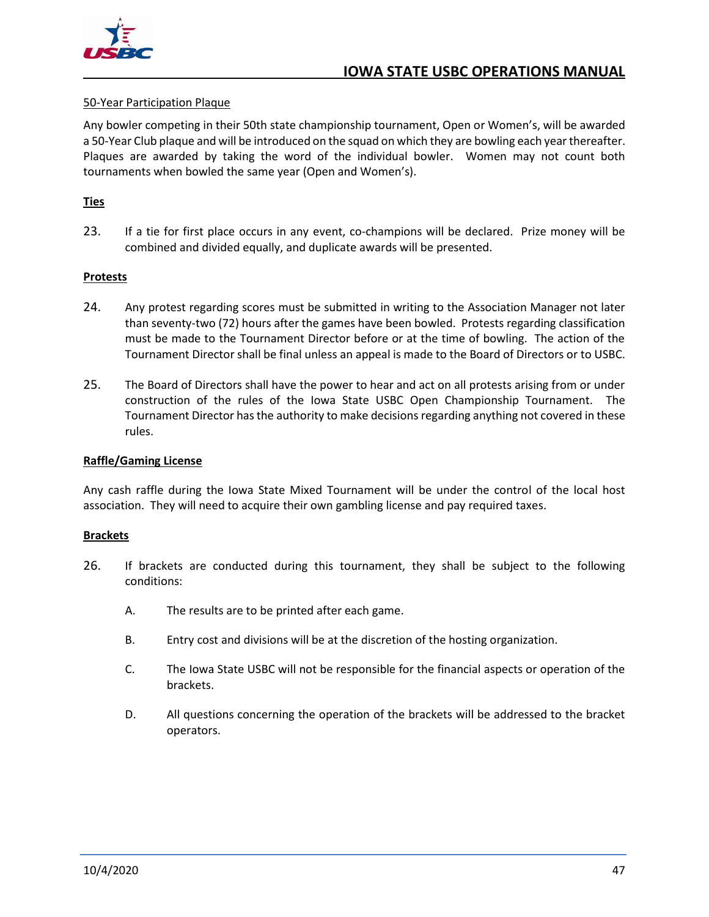

#### <span id="page-53-0"></span>50-Year Participation Plaque

Any bowler competing in their 50th state championship tournament, Open or Women's, will be awarded a 50-Year Club plaque and will be introduced on the squad on which they are bowling each year thereafter. Plaques are awarded by taking the word of the individual bowler. Women may not count both tournaments when bowled the same year (Open and Women's).

#### <span id="page-53-1"></span>**Ties**

23. If a tie for first place occurs in any event, co-champions will be declared. Prize money will be combined and divided equally, and duplicate awards will be presented.

#### <span id="page-53-2"></span>**Protests**

- 24. Any protest regarding scores must be submitted in writing to the Association Manager not later than seventy-two (72) hours after the games have been bowled. Protests regarding classification must be made to the Tournament Director before or at the time of bowling. The action of the Tournament Director shall be final unless an appeal is made to the Board of Directors or to USBC.
- 25. The Board of Directors shall have the power to hear and act on all protests arising from or under construction of the rules of the Iowa State USBC Open Championship Tournament. The Tournament Director has the authority to make decisions regarding anything not covered in these rules.

#### <span id="page-53-3"></span>**Raffle/Gaming License**

Any cash raffle during the Iowa State Mixed Tournament will be under the control of the local host association. They will need to acquire their own gambling license and pay required taxes.

#### <span id="page-53-4"></span>**Brackets**

- 26. If brackets are conducted during this tournament, they shall be subject to the following conditions:
	- A. The results are to be printed after each game.
	- B. Entry cost and divisions will be at the discretion of the hosting organization.
	- C. The Iowa State USBC will not be responsible for the financial aspects or operation of the brackets.
	- D. All questions concerning the operation of the brackets will be addressed to the bracket operators.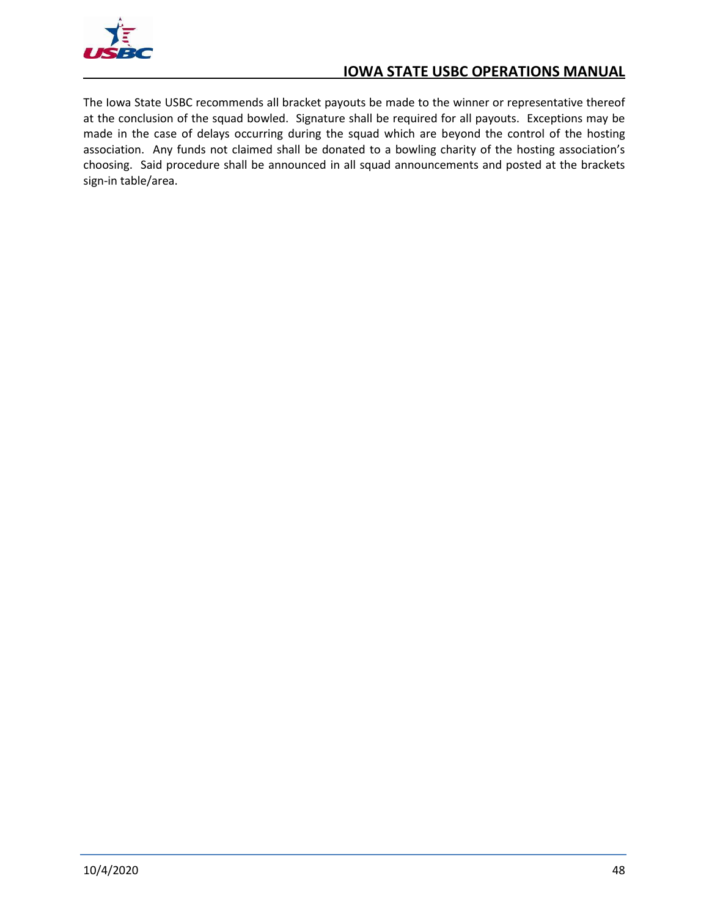

The Iowa State USBC recommends all bracket payouts be made to the winner or representative thereof at the conclusion of the squad bowled. Signature shall be required for all payouts. Exceptions may be made in the case of delays occurring during the squad which are beyond the control of the hosting association. Any funds not claimed shall be donated to a bowling charity of the hosting association's choosing. Said procedure shall be announced in all squad announcements and posted at the brackets sign-in table/area.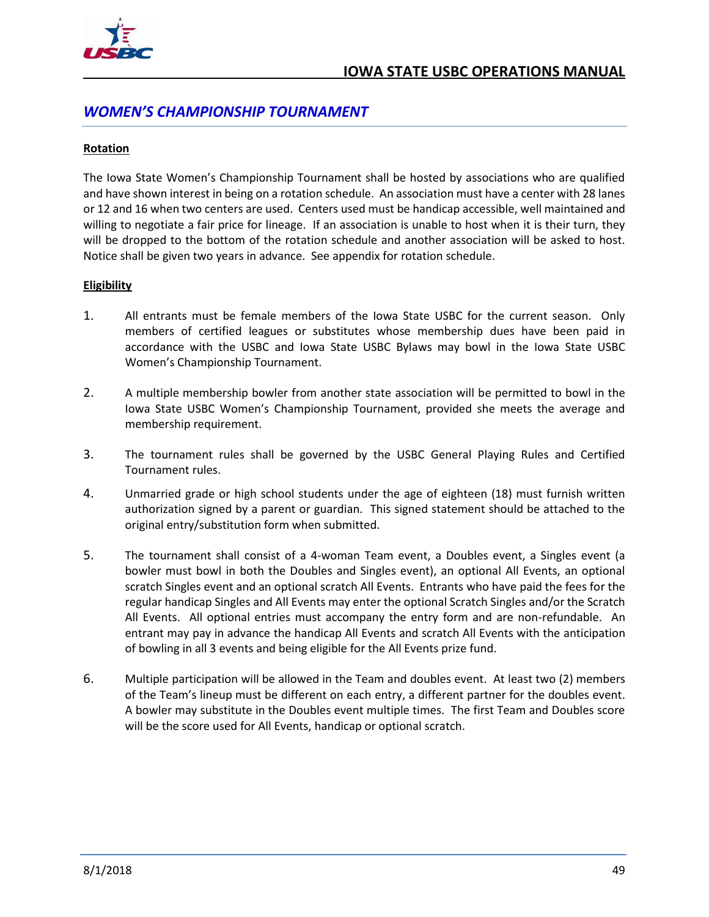

## <span id="page-55-0"></span>*WOMEN'S CHAMPIONSHIP TOURNAMENT*

#### <span id="page-55-1"></span>**Rotation**

The Iowa State Women's Championship Tournament shall be hosted by associations who are qualified and have shown interest in being on a rotation schedule. An association must have a center with 28 lanes or 12 and 16 when two centers are used. Centers used must be handicap accessible, well maintained and willing to negotiate a fair price for lineage. If an association is unable to host when it is their turn, they will be dropped to the bottom of the rotation schedule and another association will be asked to host. Notice shall be given two years in advance. See appendix for rotation schedule.

#### <span id="page-55-2"></span>**Eligibility**

- 1. All entrants must be female members of the Iowa State USBC for the current season. Only members of certified leagues or substitutes whose membership dues have been paid in accordance with the USBC and Iowa State USBC Bylaws may bowl in the Iowa State USBC Women's Championship Tournament.
- 2. A multiple membership bowler from another state association will be permitted to bowl in the Iowa State USBC Women's Championship Tournament, provided she meets the average and membership requirement.
- 3. The tournament rules shall be governed by the USBC General Playing Rules and Certified Tournament rules.
- 4. Unmarried grade or high school students under the age of eighteen (18) must furnish written authorization signed by a parent or guardian. This signed statement should be attached to the original entry/substitution form when submitted.
- 5. The tournament shall consist of a 4-woman Team event, a Doubles event, a Singles event (a bowler must bowl in both the Doubles and Singles event), an optional All Events, an optional scratch Singles event and an optional scratch All Events. Entrants who have paid the fees for the regular handicap Singles and All Events may enter the optional Scratch Singles and/or the Scratch All Events. All optional entries must accompany the entry form and are non-refundable. An entrant may pay in advance the handicap All Events and scratch All Events with the anticipation of bowling in all 3 events and being eligible for the All Events prize fund.
- 6. Multiple participation will be allowed in the Team and doubles event. At least two (2) members of the Team's lineup must be different on each entry, a different partner for the doubles event. A bowler may substitute in the Doubles event multiple times. The first Team and Doubles score will be the score used for All Events, handicap or optional scratch.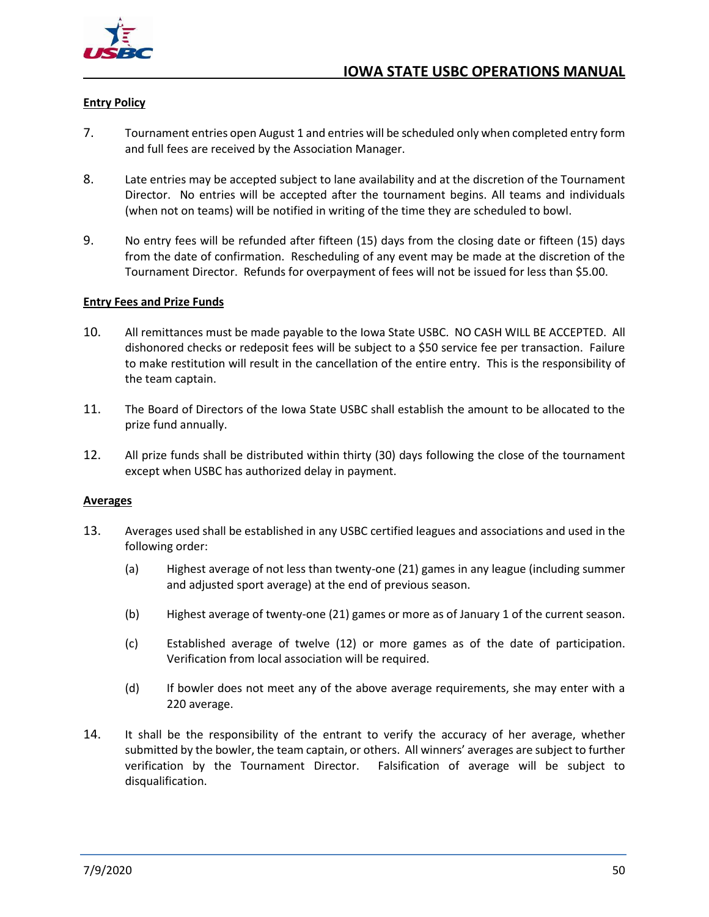

#### <span id="page-56-0"></span>**Entry Policy**

- 7. Tournament entries open August 1 and entries will be scheduled only when completed entry form and full fees are received by the Association Manager.
- 8. Late entries may be accepted subject to lane availability and at the discretion of the Tournament Director. No entries will be accepted after the tournament begins. All teams and individuals (when not on teams) will be notified in writing of the time they are scheduled to bowl.
- 9. No entry fees will be refunded after fifteen (15) days from the closing date or fifteen (15) days from the date of confirmation. Rescheduling of any event may be made at the discretion of the Tournament Director. Refunds for overpayment of fees will not be issued for less than \$5.00.

#### <span id="page-56-1"></span>**Entry Fees and Prize Funds**

- 10. All remittances must be made payable to the Iowa State USBC. NO CASH WILL BE ACCEPTED. All dishonored checks or redeposit fees will be subject to a \$50 service fee per transaction. Failure to make restitution will result in the cancellation of the entire entry. This is the responsibility of the team captain.
- 11. The Board of Directors of the Iowa State USBC shall establish the amount to be allocated to the prize fund annually.
- 12. All prize funds shall be distributed within thirty (30) days following the close of the tournament except when USBC has authorized delay in payment.

#### <span id="page-56-2"></span>**Averages**

- 13. Averages used shall be established in any USBC certified leagues and associations and used in the following order:
	- (a) Highest average of not less than twenty-one (21) games in any league (including summer and adjusted sport average) at the end of previous season.
	- (b) Highest average of twenty-one (21) games or more as of January 1 of the current season.
	- (c) Established average of twelve (12) or more games as of the date of participation. Verification from local association will be required.
	- (d) If bowler does not meet any of the above average requirements, she may enter with a 220 average.
- 14. It shall be the responsibility of the entrant to verify the accuracy of her average, whether submitted by the bowler, the team captain, or others. All winners' averages are subject to further verification by the Tournament Director. Falsification of average will be subject to disqualification.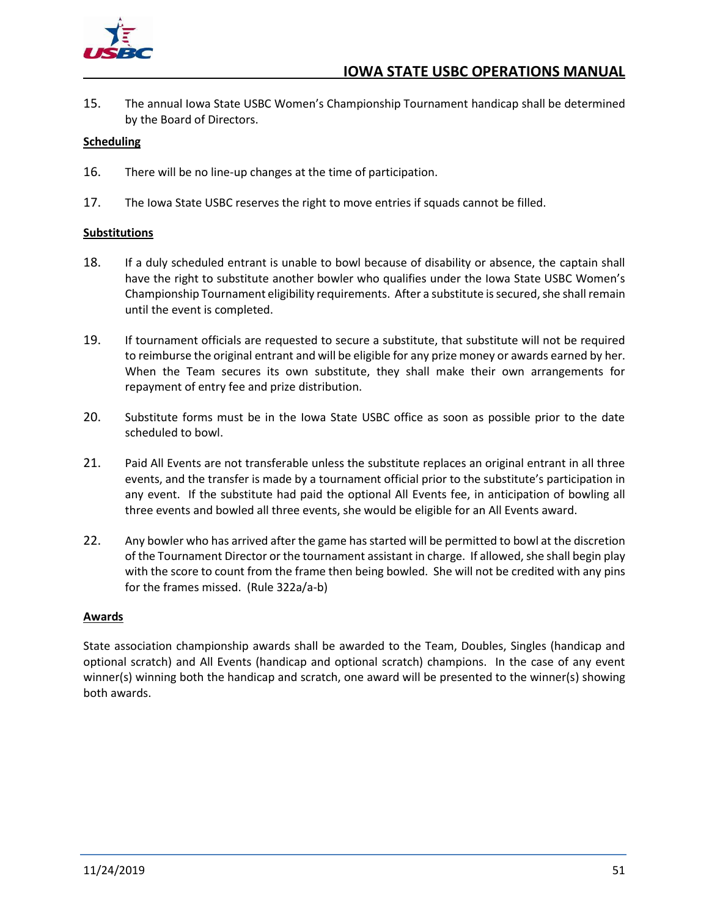

15. The annual Iowa State USBC Women's Championship Tournament handicap shall be determined by the Board of Directors.

#### <span id="page-57-0"></span>**Scheduling**

- 16. There will be no line-up changes at the time of participation.
- 17. The Iowa State USBC reserves the right to move entries if squads cannot be filled.

#### <span id="page-57-1"></span>**Substitutions**

- 18. If a duly scheduled entrant is unable to bowl because of disability or absence, the captain shall have the right to substitute another bowler who qualifies under the Iowa State USBC Women's Championship Tournament eligibility requirements. After a substitute is secured, she shall remain until the event is completed.
- 19. If tournament officials are requested to secure a substitute, that substitute will not be required to reimburse the original entrant and will be eligible for any prize money or awards earned by her. When the Team secures its own substitute, they shall make their own arrangements for repayment of entry fee and prize distribution.
- 20. Substitute forms must be in the Iowa State USBC office as soon as possible prior to the date scheduled to bowl.
- 21. Paid All Events are not transferable unless the substitute replaces an original entrant in all three events, and the transfer is made by a tournament official prior to the substitute's participation in any event. If the substitute had paid the optional All Events fee, in anticipation of bowling all three events and bowled all three events, she would be eligible for an All Events award.
- 22. Any bowler who has arrived after the game has started will be permitted to bowl at the discretion of the Tournament Director or the tournament assistant in charge. If allowed, she shall begin play with the score to count from the frame then being bowled. She will not be credited with any pins for the frames missed. (Rule 322a/a-b)

#### <span id="page-57-2"></span>**Awards**

State association championship awards shall be awarded to the Team, Doubles, Singles (handicap and optional scratch) and All Events (handicap and optional scratch) champions. In the case of any event winner(s) winning both the handicap and scratch, one award will be presented to the winner(s) showing both awards.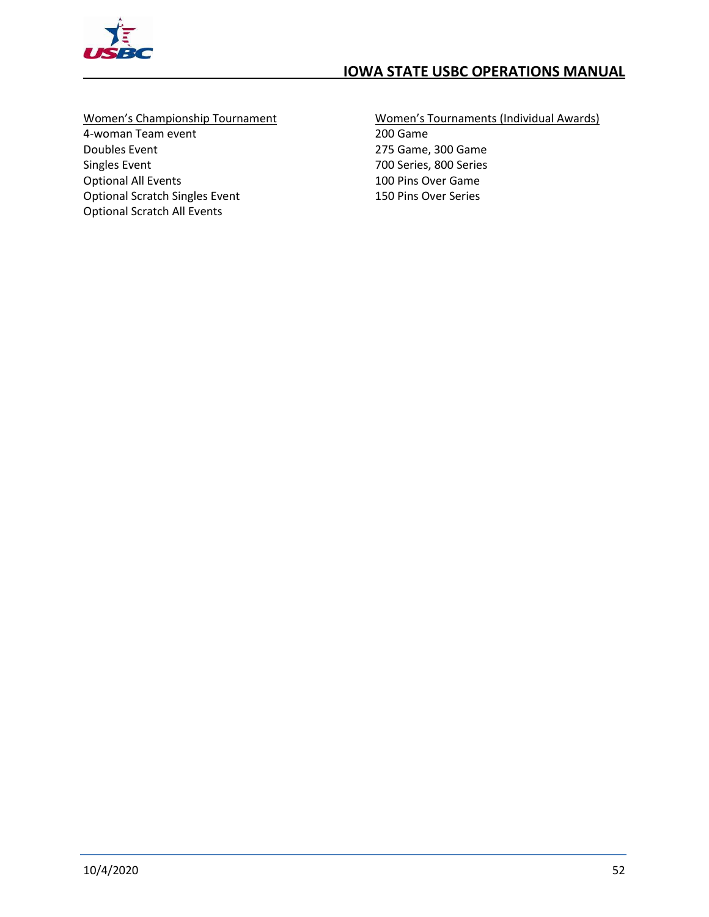

## <span id="page-58-0"></span>Women's Championship Tournament

4-woman Team event Doubles Event Singles Event Optional All Events Optional Scratch Singles Event Optional Scratch All Events

#### <span id="page-58-1"></span>Women's Tournaments (Individual Awards) 200 Game 275 Game, 300 Game 700 Series, 800 Series 100 Pins Over Game 150 Pins Over Series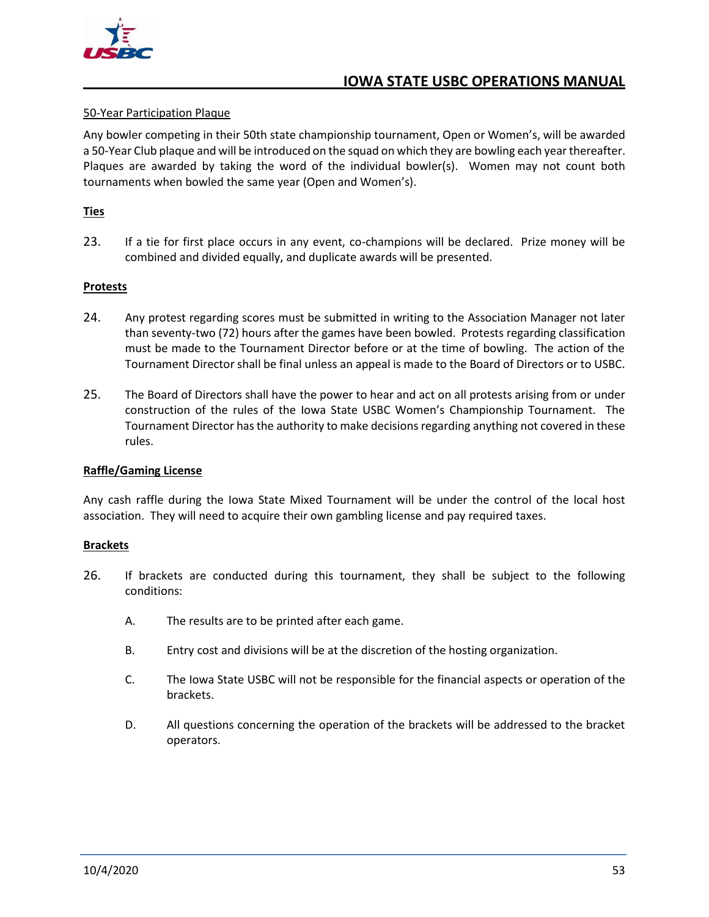

#### <span id="page-59-0"></span>50-Year Participation Plaque

Any bowler competing in their 50th state championship tournament, Open or Women's, will be awarded a 50-Year Club plaque and will be introduced on the squad on which they are bowling each year thereafter. Plaques are awarded by taking the word of the individual bowler(s). Women may not count both tournaments when bowled the same year (Open and Women's).

#### <span id="page-59-1"></span>**Ties**

23. If a tie for first place occurs in any event, co-champions will be declared. Prize money will be combined and divided equally, and duplicate awards will be presented.

#### <span id="page-59-2"></span>**Protests**

- 24. Any protest regarding scores must be submitted in writing to the Association Manager not later than seventy-two (72) hours after the games have been bowled. Protests regarding classification must be made to the Tournament Director before or at the time of bowling. The action of the Tournament Director shall be final unless an appeal is made to the Board of Directors or to USBC.
- 25. The Board of Directors shall have the power to hear and act on all protests arising from or under construction of the rules of the Iowa State USBC Women's Championship Tournament. The Tournament Director has the authority to make decisions regarding anything not covered in these rules.

#### <span id="page-59-3"></span>**Raffle/Gaming License**

Any cash raffle during the Iowa State Mixed Tournament will be under the control of the local host association. They will need to acquire their own gambling license and pay required taxes.

#### <span id="page-59-4"></span>**Brackets**

- 26. If brackets are conducted during this tournament, they shall be subject to the following conditions:
	- A. The results are to be printed after each game.
	- B. Entry cost and divisions will be at the discretion of the hosting organization.
	- C. The Iowa State USBC will not be responsible for the financial aspects or operation of the brackets.
	- D. All questions concerning the operation of the brackets will be addressed to the bracket operators.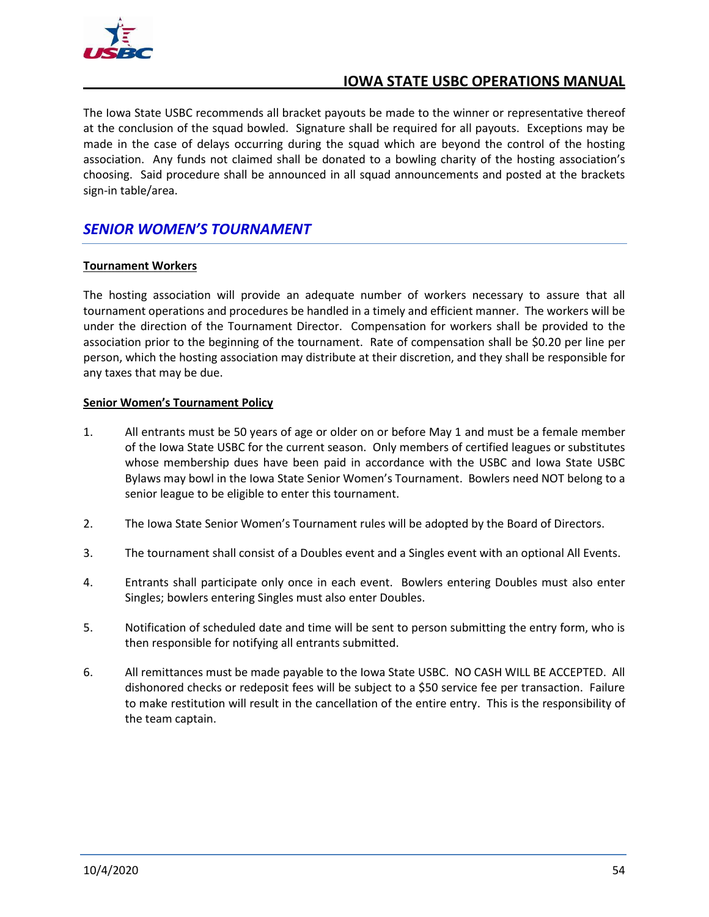

The Iowa State USBC recommends all bracket payouts be made to the winner or representative thereof at the conclusion of the squad bowled. Signature shall be required for all payouts. Exceptions may be made in the case of delays occurring during the squad which are beyond the control of the hosting association. Any funds not claimed shall be donated to a bowling charity of the hosting association's choosing. Said procedure shall be announced in all squad announcements and posted at the brackets sign-in table/area.

## <span id="page-60-0"></span>*SENIOR WOMEN'S TOURNAMENT*

#### <span id="page-60-1"></span>**Tournament Workers**

The hosting association will provide an adequate number of workers necessary to assure that all tournament operations and procedures be handled in a timely and efficient manner. The workers will be under the direction of the Tournament Director. Compensation for workers shall be provided to the association prior to the beginning of the tournament. Rate of compensation shall be \$0.20 per line per person, which the hosting association may distribute at their discretion, and they shall be responsible for any taxes that may be due.

#### <span id="page-60-2"></span>**Senior Women's Tournament Policy**

- 1. All entrants must be 50 years of age or older on or before May 1 and must be a female member of the Iowa State USBC for the current season. Only members of certified leagues or substitutes whose membership dues have been paid in accordance with the USBC and Iowa State USBC Bylaws may bowl in the Iowa State Senior Women's Tournament. Bowlers need NOT belong to a senior league to be eligible to enter this tournament.
- 2. The Iowa State Senior Women's Tournament rules will be adopted by the Board of Directors.
- 3. The tournament shall consist of a Doubles event and a Singles event with an optional All Events.
- 4. Entrants shall participate only once in each event. Bowlers entering Doubles must also enter Singles; bowlers entering Singles must also enter Doubles.
- 5. Notification of scheduled date and time will be sent to person submitting the entry form, who is then responsible for notifying all entrants submitted.
- 6. All remittances must be made payable to the Iowa State USBC. NO CASH WILL BE ACCEPTED. All dishonored checks or redeposit fees will be subject to a \$50 service fee per transaction. Failure to make restitution will result in the cancellation of the entire entry. This is the responsibility of the team captain.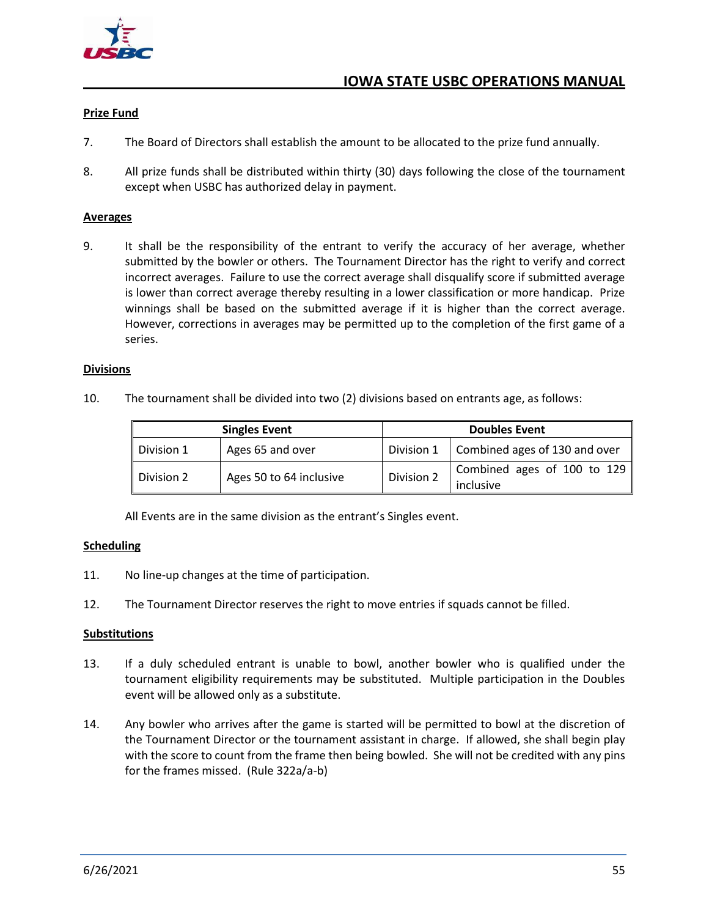

#### <span id="page-61-0"></span>**Prize Fund**

- 7. The Board of Directors shall establish the amount to be allocated to the prize fund annually.
- 8. All prize funds shall be distributed within thirty (30) days following the close of the tournament except when USBC has authorized delay in payment.

#### <span id="page-61-1"></span>**Averages**

9. It shall be the responsibility of the entrant to verify the accuracy of her average, whether submitted by the bowler or others. The Tournament Director has the right to verify and correct incorrect averages. Failure to use the correct average shall disqualify score if submitted average is lower than correct average thereby resulting in a lower classification or more handicap. Prize winnings shall be based on the submitted average if it is higher than the correct average. However, corrections in averages may be permitted up to the completion of the first game of a series.

#### <span id="page-61-2"></span>**Divisions**

10. The tournament shall be divided into two (2) divisions based on entrants age, as follows:

| <b>Singles Event</b>   |                         | <b>Doubles Event</b> |                                          |
|------------------------|-------------------------|----------------------|------------------------------------------|
| Division 1             | Ages 65 and over        | Division 1           | Combined ages of 130 and over            |
| $\mathsf I$ Division 2 | Ages 50 to 64 inclusive | Division 2           | Combined ages of 100 to 129<br>inclusive |

All Events are in the same division as the entrant's Singles event.

#### <span id="page-61-3"></span>**Scheduling**

- 11. No line-up changes at the time of participation.
- 12. The Tournament Director reserves the right to move entries if squads cannot be filled.

#### <span id="page-61-4"></span>**Substitutions**

- 13. If a duly scheduled entrant is unable to bowl, another bowler who is qualified under the tournament eligibility requirements may be substituted. Multiple participation in the Doubles event will be allowed only as a substitute.
- 14. Any bowler who arrives after the game is started will be permitted to bowl at the discretion of the Tournament Director or the tournament assistant in charge. If allowed, she shall begin play with the score to count from the frame then being bowled. She will not be credited with any pins for the frames missed. (Rule 322a/a-b)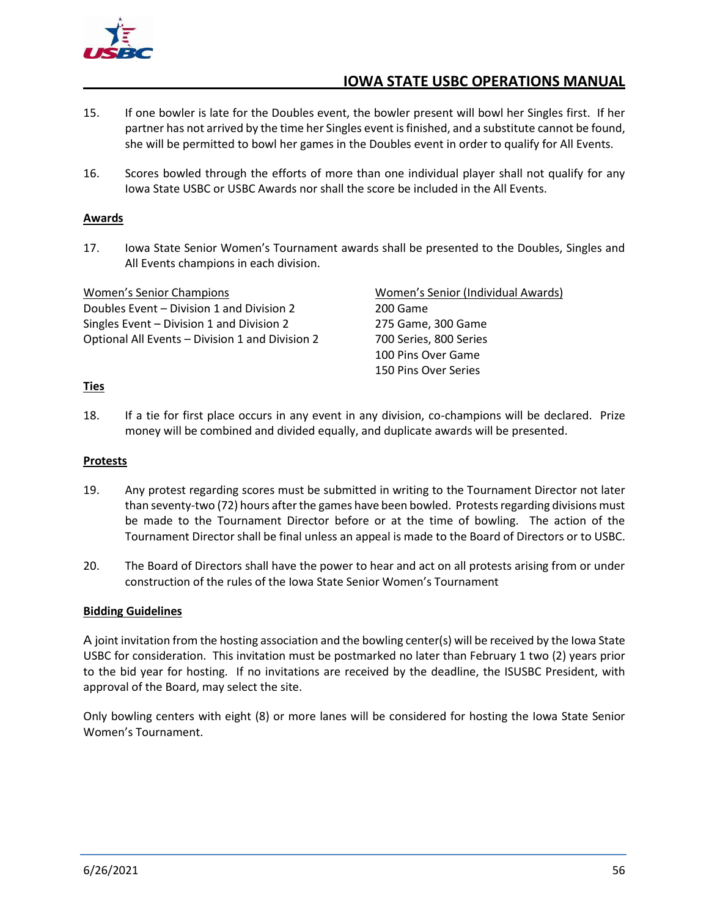

- 15. If one bowler is late for the Doubles event, the bowler present will bowl her Singles first. If her partner has not arrived by the time her Singles event is finished, and a substitute cannot be found, she will be permitted to bowl her games in the Doubles event in order to qualify for All Events.
- 16. Scores bowled through the efforts of more than one individual player shall not qualify for any Iowa State USBC or USBC Awards nor shall the score be included in the All Events.

#### <span id="page-62-0"></span>**Awards**

17. Iowa State Senior Women's Tournament awards shall be presented to the Doubles, Singles and All Events champions in each division.

<span id="page-62-2"></span><span id="page-62-1"></span>

| <b>Women's Senior Champions</b>                 | Women's Senior (Individual Awards) |  |
|-------------------------------------------------|------------------------------------|--|
| Doubles Event – Division 1 and Division 2       | 200 Game                           |  |
| Singles Event – Division 1 and Division 2       | 275 Game, 300 Game                 |  |
| Optional All Events - Division 1 and Division 2 | 700 Series, 800 Series             |  |
|                                                 | 100 Pins Over Game                 |  |
|                                                 | 150 Pins Over Series               |  |

#### <span id="page-62-3"></span>**Ties**

18. If a tie for first place occurs in any event in any division, co-champions will be declared. Prize money will be combined and divided equally, and duplicate awards will be presented.

#### <span id="page-62-4"></span>**Protests**

- 19. Any protest regarding scores must be submitted in writing to the Tournament Director not later than seventy-two (72) hours after the games have been bowled. Protests regarding divisions must be made to the Tournament Director before or at the time of bowling. The action of the Tournament Director shall be final unless an appeal is made to the Board of Directors or to USBC.
- 20. The Board of Directors shall have the power to hear and act on all protests arising from or under construction of the rules of the Iowa State Senior Women's Tournament

#### <span id="page-62-5"></span>**Bidding Guidelines**

A joint invitation from the hosting association and the bowling center(s) will be received by the Iowa State USBC for consideration. This invitation must be postmarked no later than February 1 two (2) years prior to the bid year for hosting. If no invitations are received by the deadline, the ISUSBC President, with approval of the Board, may select the site.

Only bowling centers with eight (8) or more lanes will be considered for hosting the Iowa State Senior Women's Tournament.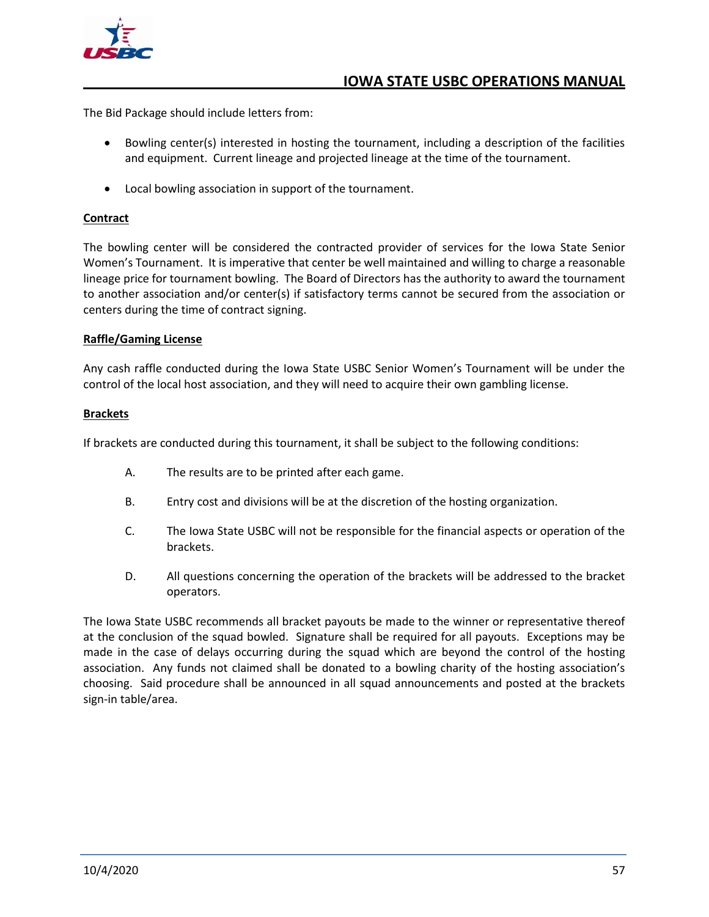

The Bid Package should include letters from:

- Bowling center(s) interested in hosting the tournament, including a description of the facilities and equipment. Current lineage and projected lineage at the time of the tournament.
- Local bowling association in support of the tournament.

#### <span id="page-63-0"></span>**Contract**

The bowling center will be considered the contracted provider of services for the Iowa State Senior Women's Tournament. It is imperative that center be well maintained and willing to charge a reasonable lineage price for tournament bowling. The Board of Directors has the authority to award the tournament to another association and/or center(s) if satisfactory terms cannot be secured from the association or centers during the time of contract signing.

#### <span id="page-63-1"></span>**Raffle/Gaming License**

Any cash raffle conducted during the Iowa State USBC Senior Women's Tournament will be under the control of the local host association, and they will need to acquire their own gambling license.

#### <span id="page-63-2"></span>**Brackets**

If brackets are conducted during this tournament, it shall be subject to the following conditions:

- A. The results are to be printed after each game.
- B. Entry cost and divisions will be at the discretion of the hosting organization.
- C. The Iowa State USBC will not be responsible for the financial aspects or operation of the brackets.
- D. All questions concerning the operation of the brackets will be addressed to the bracket operators.

The Iowa State USBC recommends all bracket payouts be made to the winner or representative thereof at the conclusion of the squad bowled. Signature shall be required for all payouts. Exceptions may be made in the case of delays occurring during the squad which are beyond the control of the hosting association. Any funds not claimed shall be donated to a bowling charity of the hosting association's choosing. Said procedure shall be announced in all squad announcements and posted at the brackets sign-in table/area.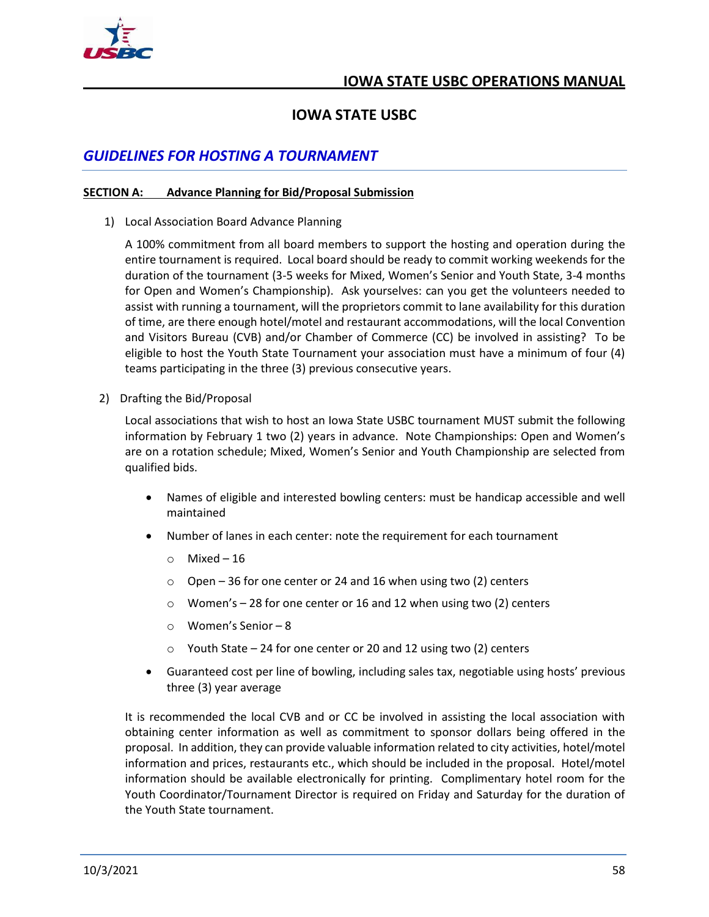

## **IOWA STATE USBC**

## <span id="page-64-0"></span>*GUIDELINES FOR HOSTING A TOURNAMENT*

#### <span id="page-64-1"></span>**SECTION A: Advance Planning for Bid/Proposal Submission**

1) Local Association Board Advance Planning

A 100% commitment from all board members to support the hosting and operation during the entire tournament is required. Local board should be ready to commit working weekends for the duration of the tournament (3-5 weeks for Mixed, Women's Senior and Youth State, 3-4 months for Open and Women's Championship). Ask yourselves: can you get the volunteers needed to assist with running a tournament, will the proprietors commit to lane availability for this duration of time, are there enough hotel/motel and restaurant accommodations, will the local Convention and Visitors Bureau (CVB) and/or Chamber of Commerce (CC) be involved in assisting? To be eligible to host the Youth State Tournament your association must have a minimum of four (4) teams participating in the three (3) previous consecutive years.

2) Drafting the Bid/Proposal

Local associations that wish to host an Iowa State USBC tournament MUST submit the following information by February 1 two (2) years in advance. Note Championships: Open and Women's are on a rotation schedule; Mixed, Women's Senior and Youth Championship are selected from qualified bids.

- Names of eligible and interested bowling centers: must be handicap accessible and well maintained
- Number of lanes in each center: note the requirement for each tournament
	- o Mixed 16
	- $\degree$  Open 36 for one center or 24 and 16 when using two (2) centers
	- o Women's 28 for one center or 16 and 12 when using two (2) centers
	- o Women's Senior 8
	- o Youth State 24 for one center or 20 and 12 using two (2) centers
- Guaranteed cost per line of bowling, including sales tax, negotiable using hosts' previous three (3) year average

It is recommended the local CVB and or CC be involved in assisting the local association with obtaining center information as well as commitment to sponsor dollars being offered in the proposal. In addition, they can provide valuable information related to city activities, hotel/motel information and prices, restaurants etc., which should be included in the proposal. Hotel/motel information should be available electronically for printing. Complimentary hotel room for the Youth Coordinator/Tournament Director is required on Friday and Saturday for the duration of the Youth State tournament.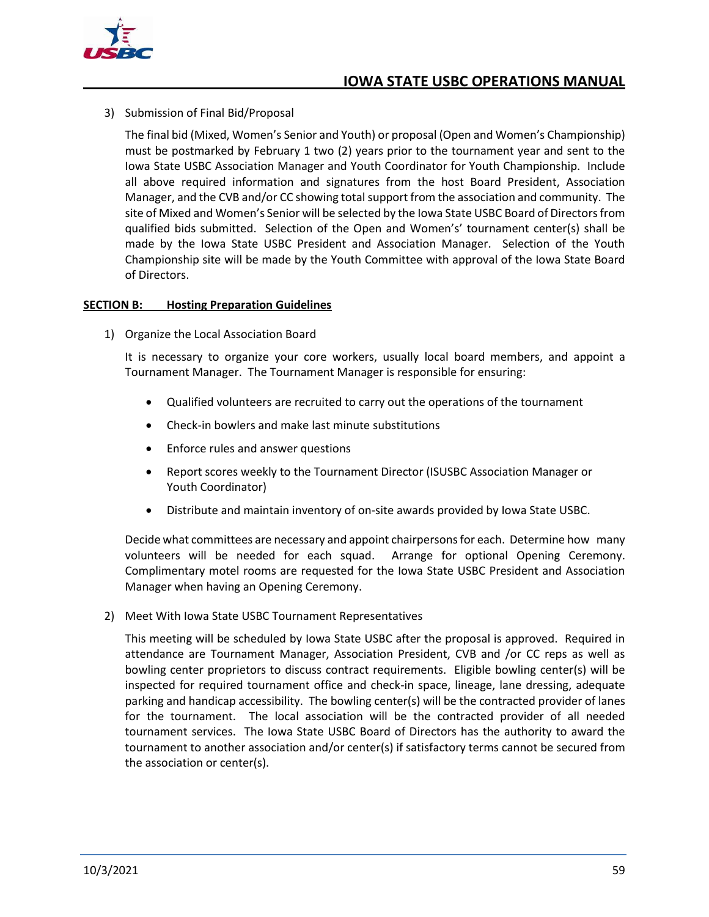

3) Submission of Final Bid/Proposal

The final bid (Mixed, Women's Senior and Youth) or proposal (Open and Women's Championship) must be postmarked by February 1 two (2) years prior to the tournament year and sent to the Iowa State USBC Association Manager and Youth Coordinator for Youth Championship. Include all above required information and signatures from the host Board President, Association Manager, and the CVB and/or CC showing total support from the association and community. The site of Mixed and Women's Senior will be selected by the Iowa State USBC Board of Directors from qualified bids submitted. Selection of the Open and Women's' tournament center(s) shall be made by the Iowa State USBC President and Association Manager. Selection of the Youth Championship site will be made by the Youth Committee with approval of the Iowa State Board of Directors.

#### <span id="page-65-0"></span>**SECTION B: Hosting Preparation Guidelines**

1) Organize the Local Association Board

It is necessary to organize your core workers, usually local board members, and appoint a Tournament Manager. The Tournament Manager is responsible for ensuring:

- Qualified volunteers are recruited to carry out the operations of the tournament
- Check-in bowlers and make last minute substitutions
- Enforce rules and answer questions
- Report scores weekly to the Tournament Director (ISUSBC Association Manager or Youth Coordinator)
- Distribute and maintain inventory of on-site awards provided by Iowa State USBC.

Decide what committees are necessary and appoint chairpersons for each. Determine how many volunteers will be needed for each squad. Arrange for optional Opening Ceremony. Complimentary motel rooms are requested for the Iowa State USBC President and Association Manager when having an Opening Ceremony.

2) Meet With Iowa State USBC Tournament Representatives

This meeting will be scheduled by Iowa State USBC after the proposal is approved. Required in attendance are Tournament Manager, Association President, CVB and /or CC reps as well as bowling center proprietors to discuss contract requirements. Eligible bowling center(s) will be inspected for required tournament office and check-in space, lineage, lane dressing, adequate parking and handicap accessibility. The bowling center(s) will be the contracted provider of lanes for the tournament. The local association will be the contracted provider of all needed tournament services. The Iowa State USBC Board of Directors has the authority to award the tournament to another association and/or center(s) if satisfactory terms cannot be secured from the association or center(s).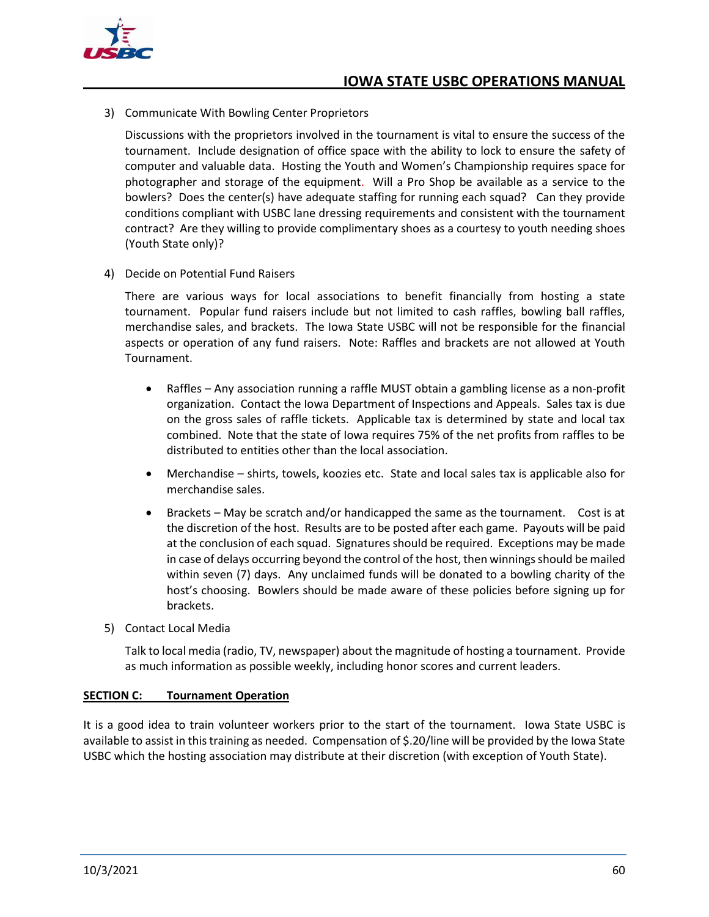

3) Communicate With Bowling Center Proprietors

Discussions with the proprietors involved in the tournament is vital to ensure the success of the tournament. Include designation of office space with the ability to lock to ensure the safety of computer and valuable data. Hosting the Youth and Women's Championship requires space for photographer and storage of the equipment. Will a Pro Shop be available as a service to the bowlers? Does the center(s) have adequate staffing for running each squad? Can they provide conditions compliant with USBC lane dressing requirements and consistent with the tournament contract? Are they willing to provide complimentary shoes as a courtesy to youth needing shoes (Youth State only)?

4) Decide on Potential Fund Raisers

There are various ways for local associations to benefit financially from hosting a state tournament. Popular fund raisers include but not limited to cash raffles, bowling ball raffles, merchandise sales, and brackets. The Iowa State USBC will not be responsible for the financial aspects or operation of any fund raisers. Note: Raffles and brackets are not allowed at Youth Tournament.

- Raffles Any association running a raffle MUST obtain a gambling license as a non-profit organization. Contact the Iowa Department of Inspections and Appeals. Sales tax is due on the gross sales of raffle tickets. Applicable tax is determined by state and local tax combined. Note that the state of Iowa requires 75% of the net profits from raffles to be distributed to entities other than the local association.
- Merchandise shirts, towels, koozies etc. State and local sales tax is applicable also for merchandise sales.
- Brackets May be scratch and/or handicapped the same as the tournament. Cost is at the discretion of the host. Results are to be posted after each game. Payouts will be paid at the conclusion of each squad. Signatures should be required. Exceptions may be made in case of delays occurring beyond the control of the host, then winnings should be mailed within seven (7) days. Any unclaimed funds will be donated to a bowling charity of the host's choosing. Bowlers should be made aware of these policies before signing up for brackets.
- 5) Contact Local Media

Talk to local media (radio, TV, newspaper) about the magnitude of hosting a tournament. Provide as much information as possible weekly, including honor scores and current leaders.

#### <span id="page-66-0"></span>**SECTION C: Tournament Operation**

It is a good idea to train volunteer workers prior to the start of the tournament. Iowa State USBC is available to assist in this training as needed. Compensation of \$.20/line will be provided by the Iowa State USBC which the hosting association may distribute at their discretion (with exception of Youth State).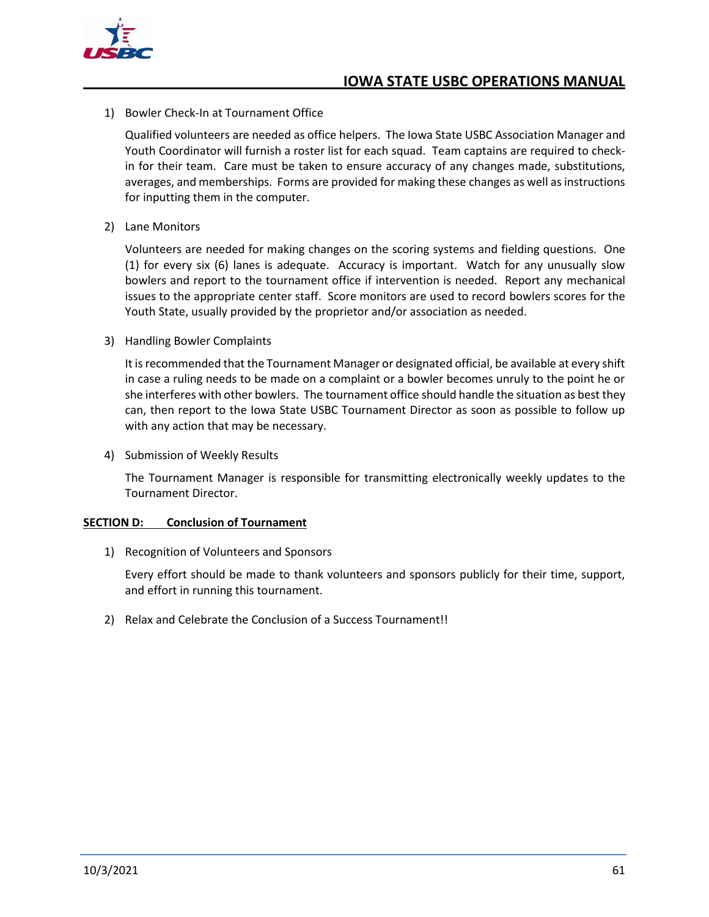

1) Bowler Check-In at Tournament Office

Qualified volunteers are needed as office helpers. The Iowa State USBC Association Manager and Youth Coordinator will furnish a roster list for each squad. Team captains are required to checkin for their team. Care must be taken to ensure accuracy of any changes made, substitutions, averages, and memberships. Forms are provided for making these changes as well as instructions for inputting them in the computer.

2) Lane Monitors

Volunteers are needed for making changes on the scoring systems and fielding questions. One (1) for every six (6) lanes is adequate. Accuracy is important. Watch for any unusually slow bowlers and report to the tournament office if intervention is needed. Report any mechanical issues to the appropriate center staff. Score monitors are used to record bowlers scores for the Youth State, usually provided by the proprietor and/or association as needed.

3) Handling Bowler Complaints

It is recommended that the Tournament Manager or designated official, be available at every shift in case a ruling needs to be made on a complaint or a bowler becomes unruly to the point he or she interferes with other bowlers. The tournament office should handle the situation as best they can, then report to the Iowa State USBC Tournament Director as soon as possible to follow up with any action that may be necessary.

4) Submission of Weekly Results

The Tournament Manager is responsible for transmitting electronically weekly updates to the Tournament Director.

#### <span id="page-67-0"></span>**SECTION D: Conclusion of Tournament**

1) Recognition of Volunteers and Sponsors

Every effort should be made to thank volunteers and sponsors publicly for their time, support, and effort in running this tournament.

2) Relax and Celebrate the Conclusion of a Success Tournament!!